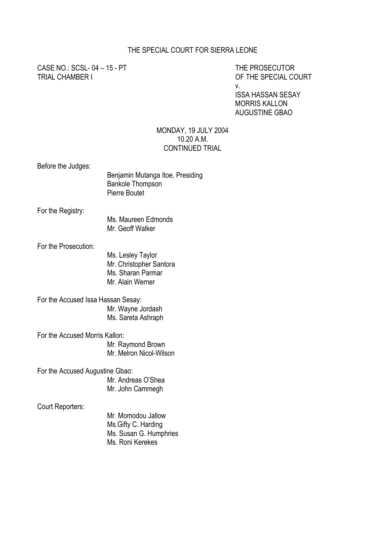## THE SPECIAL COURT FOR SIERRA LEONE

CASE NO.: SCSL- 04 – 15 - PT THE PROSECUTOR TRIAL CHAMBER I OF THE SPECIAL COURT

v.

ISSA HASSAN SESAY MORRIS KALLON AUGUSTINE GBAO

#### MONDAY, 19 JULY 2004 10.20 A.M. CONTINUED TRIAL

Before the Judges:

| DUIVIU LIIU VUUYUJ.                | Benjamin Mutanga Itoe, Presiding<br><b>Bankole Thompson</b><br><b>Pierre Boutet</b>   |
|------------------------------------|---------------------------------------------------------------------------------------|
| For the Registry:                  |                                                                                       |
|                                    | Ms. Maureen Edmonds<br>Mr. Geoff Walker                                               |
| For the Prosecution:               |                                                                                       |
|                                    | Ms. Lesley Taylor<br>Mr. Christopher Santora<br>Ms. Sharan Parmar<br>Mr. Alain Werner |
| For the Accused Issa Hassan Sesay: |                                                                                       |
|                                    | Mr. Wayne Jordash                                                                     |
|                                    | Ms. Sareta Ashraph                                                                    |
| For the Accused Morris Kallon:     |                                                                                       |
|                                    | Mr. Raymond Brown                                                                     |
|                                    | Mr. Melron Nicol-Wilson                                                               |
| For the Accused Augustine Gbao:    |                                                                                       |
|                                    | Mr. Andreas O'Shea                                                                    |
|                                    | Mr. John Cammegh                                                                      |
| Court Reporters:                   |                                                                                       |

Mr. Momodou Jallow Ms.Gifty C. Harding Ms. Susan G. Humphries Ms. Roni Kerekes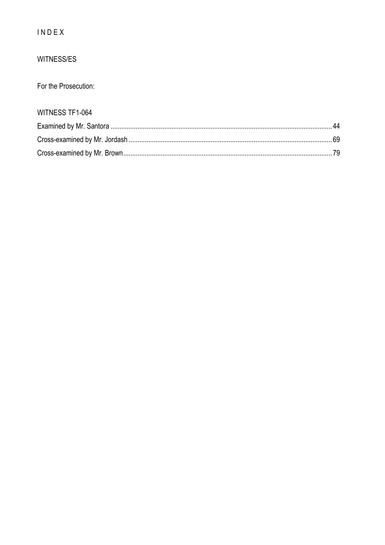## INDEX

## WITNESS/ES

For the Prosecution:

# WITNESS TF1-064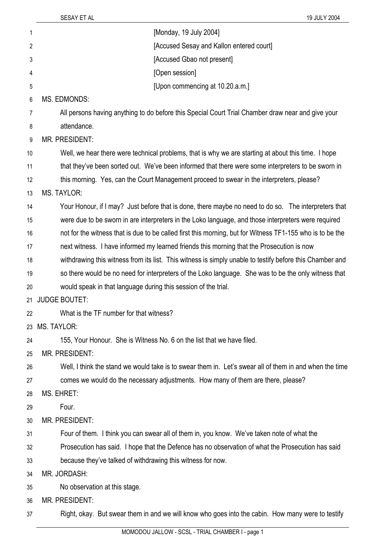| 1  | [Monday, 19 July 2004]                                                                                    |
|----|-----------------------------------------------------------------------------------------------------------|
| 2  | [Accused Sesay and Kallon entered court]                                                                  |
| 3  | [Accused Gbao not present]                                                                                |
| 4  | [Open session]                                                                                            |
| 5  | [Upon commencing at 10.20.a.m.]                                                                           |
| 6  | <b>MS. EDMONDS:</b>                                                                                       |
| 7  | All persons having anything to do before this Special Court Trial Chamber draw near and give your         |
| 8  | attendance.                                                                                               |
| 9  | MR. PRESIDENT:                                                                                            |
| 10 | Well, we hear there were technical problems, that is why we are starting at about this time. I hope       |
| 11 | that they've been sorted out. We've been informed that there were some interpreters to be sworn in        |
| 12 | this morning. Yes, can the Court Management proceed to swear in the interpreters, please?                 |
| 13 | <b>MS. TAYLOR:</b>                                                                                        |
| 14 | Your Honour, if I may? Just before that is done, there maybe no need to do so. The interpreters that      |
| 15 | were due to be sworn in are interpreters in the Loko language, and those interpreters were required       |
| 16 | not for the witness that is due to be called first this morning, but for Witness TF1-155 who is to be the |
| 17 | next witness. I have informed my learned friends this morning that the Prosecution is now                 |
| 18 | withdrawing this witness from its list. This witness is simply unable to testify before this Chamber and  |
| 19 | so there would be no need for interpreters of the Loko language. She was to be the only witness that      |
| 20 | would speak in that language during this session of the trial.                                            |
| 21 | <b>JUDGE BOUTET:</b>                                                                                      |
| 22 | What is the TF number for that witness?                                                                   |
| 23 | <b>MS. TAYLOR:</b>                                                                                        |
| 24 | 155, Your Honour. She is Witness No. 6 on the list that we have filed.                                    |
| 25 | <b>MR. PRESIDENT:</b>                                                                                     |
| 26 | Well, I think the stand we would take is to swear them in. Let's swear all of them in and when the time   |
| 27 | comes we would do the necessary adjustments. How many of them are there, please?                          |
| 28 | MS. EHRET:                                                                                                |
| 29 | Four.                                                                                                     |
| 30 | MR. PRESIDENT:                                                                                            |
| 31 | Four of them. I think you can swear all of them in, you know. We've taken note of what the                |
| 32 | Prosecution has said. I hope that the Defence has no observation of what the Prosecution has said         |
| 33 | because they've talked of withdrawing this witness for now.                                               |
| 34 | MR. JORDASH:                                                                                              |
| 35 | No observation at this stage.                                                                             |
| 36 | <b>MR. PRESIDENT:</b>                                                                                     |
| 37 | Right, okay. But swear them in and we will know who goes into the cabin. How many were to testify         |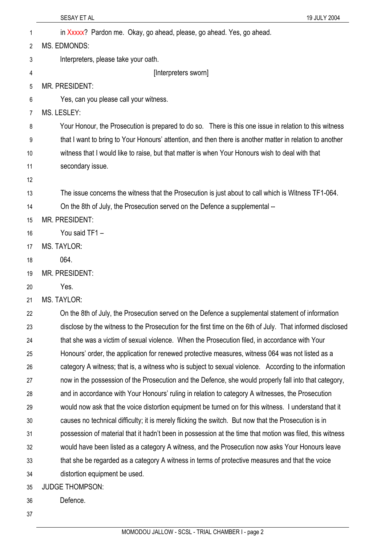|    | SESAY ET AL<br>19 JULY 2004                                                                               |
|----|-----------------------------------------------------------------------------------------------------------|
| 1  | in Xxxxx? Pardon me. Okay, go ahead, please, go ahead. Yes, go ahead.                                     |
| 2  | MS. EDMONDS:                                                                                              |
| 3  | Interpreters, please take your oath.                                                                      |
| 4  | [Interpreters sworn]                                                                                      |
| 5  | <b>MR. PRESIDENT:</b>                                                                                     |
| 6  | Yes, can you please call your witness.                                                                    |
| 7  | MS. LESLEY:                                                                                               |
| 8  | Your Honour, the Prosecution is prepared to do so. There is this one issue in relation to this witness    |
| 9  | that I want to bring to Your Honours' attention, and then there is another matter in relation to another  |
| 10 | witness that I would like to raise, but that matter is when Your Honours wish to deal with that           |
| 11 | secondary issue.                                                                                          |
| 12 |                                                                                                           |
| 13 | The issue concerns the witness that the Prosecution is just about to call which is Witness TF1-064.       |
| 14 | On the 8th of July, the Prosecution served on the Defence a supplemental --                               |
| 15 | <b>MR. PRESIDENT:</b>                                                                                     |
| 16 | You said TF1 -                                                                                            |
| 17 | <b>MS. TAYLOR:</b>                                                                                        |
| 18 | 064.                                                                                                      |
| 19 | <b>MR. PRESIDENT:</b>                                                                                     |
| 20 | Yes.                                                                                                      |
| 21 | <b>MS. TAYLOR:</b>                                                                                        |
| 22 | On the 8th of July, the Prosecution served on the Defence a supplemental statement of information         |
| 23 | disclose by the witness to the Prosecution for the first time on the 6th of July. That informed disclosed |
| 24 | that she was a victim of sexual violence. When the Prosecution filed, in accordance with Your             |
| 25 | Honours' order, the application for renewed protective measures, witness 064 was not listed as a          |
| 26 | category A witness; that is, a witness who is subject to sexual violence. According to the information    |
| 27 | now in the possession of the Prosecution and the Defence, she would properly fall into that category,     |
| 28 | and in accordance with Your Honours' ruling in relation to category A witnesses, the Prosecution          |
| 29 | would now ask that the voice distortion equipment be turned on for this witness. I understand that it     |
| 30 | causes no technical difficulty; it is merely flicking the switch. But now that the Prosecution is in      |
| 31 | possession of material that it hadn't been in possession at the time that motion was filed, this witness  |
| 32 | would have been listed as a category A witness, and the Prosecution now asks Your Honours leave           |
| 33 | that she be regarded as a category A witness in terms of protective measures and that the voice           |
| 34 | distortion equipment be used.                                                                             |
| 35 | <b>JUDGE THOMPSON:</b>                                                                                    |
| 36 | Defence.                                                                                                  |
| 37 |                                                                                                           |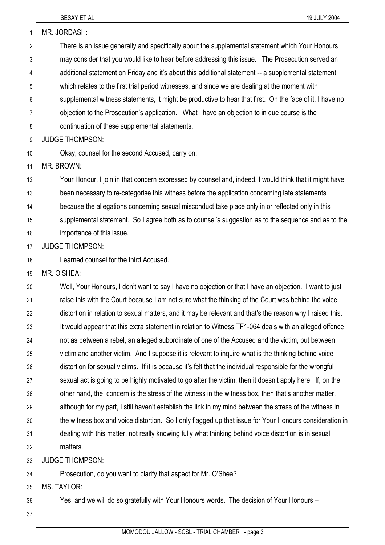3

4

5 6

7

8

9 10

11

12

13

14 15

16

17

18

19

20

21

22

23

24

25

26

27

28

29

30

31

32

33

34

SESAY ET AL 19 JULY 2004 1 MR. JORDASH: There is an issue generally and specifically about the supplemental statement which Your Honours may consider that you would like to hear before addressing this issue. The Prosecution served an additional statement on Friday and it's about this additional statement -- a supplemental statement which relates to the first trial period witnesses, and since we are dealing at the moment with supplemental witness statements, it might be productive to hear that first. On the face of it, I have no objection to the Prosecution's application. What I have an objection to in due course is the continuation of these supplemental statements. JUDGE THOMPSON: Okay, counsel for the second Accused, carry on. MR. BROWN: Your Honour, I join in that concern expressed by counsel and, indeed, I would think that it might have been necessary to re-categorise this witness before the application concerning late statements because the allegations concerning sexual misconduct take place only in or reflected only in this supplemental statement. So I agree both as to counsel's suggestion as to the sequence and as to the importance of this issue. JUDGE THOMPSON: Learned counsel for the third Accused. MR. O'SHEA: Well, Your Honours, I don't want to say I have no objection or that I have an objection. I want to just raise this with the Court because I am not sure what the thinking of the Court was behind the voice distortion in relation to sexual matters, and it may be relevant and that's the reason why I raised this. It would appear that this extra statement in relation to Witness TF1-064 deals with an alleged offence not as between a rebel, an alleged subordinate of one of the Accused and the victim, but between victim and another victim. And I suppose it is relevant to inquire what is the thinking behind voice distortion for sexual victims. If it is because it's felt that the individual responsible for the wrongful sexual act is going to be highly motivated to go after the victim, then it doesn't apply here. If, on the other hand, the concern is the stress of the witness in the witness box, then that's another matter, although for my part, I still haven't establish the link in my mind between the stress of the witness in the witness box and voice distortion. So I only flagged up that issue for Your Honours consideration in dealing with this matter, not really knowing fully what thinking behind voice distortion is in sexual matters. JUDGE THOMPSON: Prosecution, do you want to clarify that aspect for Mr. O'Shea?

35 MS. TAYI OR:

36 Yes, and we will do so gratefully with Your Honours words. The decision of Your Honours –

37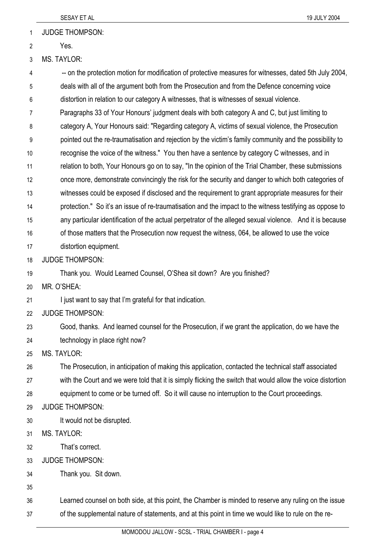1 JUDGE THOMPSON:

2 Yes.

3 MS. TAYLOR:

4 5 6 7 8 9 10 11 12 13 14 15 16 17 18 19 20 21 22 23 24 25 26 27 28 29 30 31 32 33 34 35 36 37 -- on the protection motion for modification of protective measures for witnesses, dated 5th July 2004, deals with all of the argument both from the Prosecution and from the Defence concerning voice distortion in relation to our category A witnesses, that is witnesses of sexual violence. Paragraphs 33 of Your Honours' judgment deals with both category A and C, but just limiting to category A, Your Honours said: "Regarding category A, victims of sexual violence, the Prosecution pointed out the re-traumatisation and rejection by the victim's family community and the possibility to recognise the voice of the witness." You then have a sentence by category C witnesses, and in relation to both, Your Honours go on to say, "In the opinion of the Trial Chamber, these submissions once more, demonstrate convincingly the risk for the security and danger to which both categories of witnesses could be exposed if disclosed and the requirement to grant appropriate measures for their protection." So it's an issue of re-traumatisation and the impact to the witness testifying as oppose to any particular identification of the actual perpetrator of the alleged sexual violence. And it is because of those matters that the Prosecution now request the witness, 064, be allowed to use the voice distortion equipment. JUDGE THOMPSON: Thank you. Would Learned Counsel, O'Shea sit down? Are you finished? MR. O'SHEA: I just want to say that I'm grateful for that indication. JUDGE THOMPSON: Good, thanks. And learned counsel for the Prosecution, if we grant the application, do we have the technology in place right now? MS. TAYLOR: The Prosecution, in anticipation of making this application, contacted the technical staff associated with the Court and we were told that it is simply flicking the switch that would allow the voice distortion equipment to come or be turned off. So it will cause no interruption to the Court proceedings. JUDGE THOMPSON: It would not be disrupted. MS. TAYLOR: That's correct. JUDGE THOMPSON: Thank you. Sit down. Learned counsel on both side, at this point, the Chamber is minded to reserve any ruling on the issue of the supplemental nature of statements, and at this point in time we would like to rule on the re-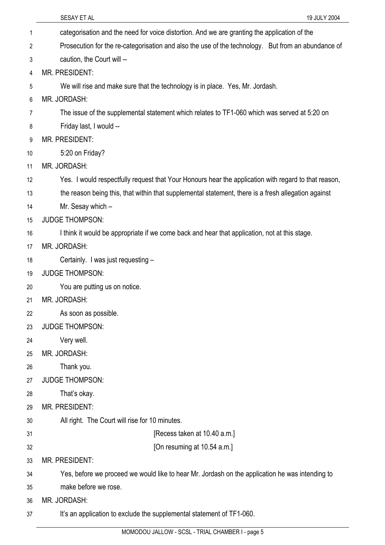|                | SESAY ET AL<br>19 JULY 2004                                                                          |
|----------------|------------------------------------------------------------------------------------------------------|
| 1              | categorisation and the need for voice distortion. And we are granting the application of the         |
| $\overline{2}$ | Prosecution for the re-categorisation and also the use of the technology. But from an abundance of   |
| 3              | caution, the Court will --                                                                           |
| 4              | <b>MR. PRESIDENT:</b>                                                                                |
| 5              | We will rise and make sure that the technology is in place. Yes, Mr. Jordash.                        |
| 6              | MR. JORDASH:                                                                                         |
| 7              | The issue of the supplemental statement which relates to TF1-060 which was served at 5:20 on         |
| 8              | Friday last, I would --                                                                              |
| 9              | <b>MR. PRESIDENT:</b>                                                                                |
| 10             | 5:20 on Friday?                                                                                      |
| 11             | MR. JORDASH:                                                                                         |
| 12             | Yes. I would respectfully request that Your Honours hear the application with regard to that reason, |
| 13             | the reason being this, that within that supplemental statement, there is a fresh allegation against  |
| 14             | Mr. Sesay which -                                                                                    |
| 15             | <b>JUDGE THOMPSON:</b>                                                                               |
| 16             | I think it would be appropriate if we come back and hear that application, not at this stage.        |
| 17             | MR. JORDASH:                                                                                         |
| 18             | Certainly. I was just requesting -                                                                   |
| 19             | <b>JUDGE THOMPSON:</b>                                                                               |
| 20             | You are putting us on notice.                                                                        |
| 21             | MR. JORDASH:                                                                                         |
| 22             | As soon as possible.                                                                                 |
| 23             | <b>JUDGE THOMPSON:</b>                                                                               |
| 24             | Very well.                                                                                           |
| 25             | MR. JORDASH:                                                                                         |
| 26             | Thank you.                                                                                           |
| 27             | <b>JUDGE THOMPSON:</b>                                                                               |
| 28             | That's okay.                                                                                         |
| 29             | <b>MR. PRESIDENT:</b>                                                                                |
| 30             | All right. The Court will rise for 10 minutes.                                                       |
| 31             | [Recess taken at 10.40 a.m.]                                                                         |
| 32             | [On resuming at 10.54 a.m.]                                                                          |
| 33             | <b>MR. PRESIDENT:</b>                                                                                |
| 34             | Yes, before we proceed we would like to hear Mr. Jordash on the application he was intending to      |
| 35             | make before we rose.                                                                                 |
| 36             | MR. JORDASH:                                                                                         |
| 37             | It's an application to exclude the supplemental statement of TF1-060.                                |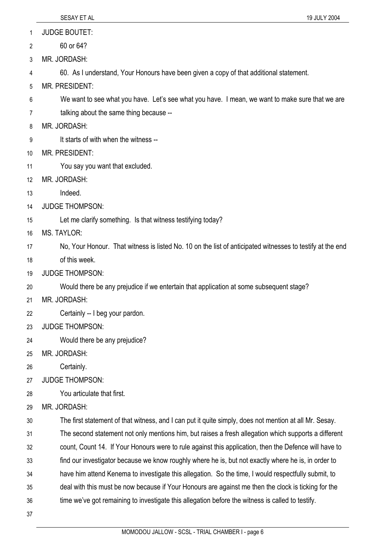1 JUDGE BOUTET:

- 2 60 or 64?
- 3 MR. JORDASH:

4 60. As I understand, Your Honours have been given a copy of that additional statement.

- 5 MR. PRESIDENT:
- 6 We want to see what you have. Let's see what you have. I mean, we want to make sure that we are
- 7 talking about the same thing because --
- 8 MR. JORDASH:
- 9 It starts of with when the witness --
- 10 MR. PRESIDENT:
- 11 You say you want that excluded.
- 12 MR. JORDASH:
- 13 Indeed.
- 14 JUDGE THOMPSON:
- 15 Let me clarify something. Is that witness testifying today?
- 16 MS. TAYLOR:
- 17 No, Your Honour. That witness is listed No. 10 on the list of anticipated witnesses to testify at the end
- 18 of this week.
- 19 JUDGE THOMPSON:
- 20 Would there be any prejudice if we entertain that application at some subsequent stage?
- 21 MR. JORDASH:
- 22 Certainly -- I beg your pardon.
- 23 JUDGE THOMPSON:
- 24 Would there be any prejudice?
- 25 MR. JORDASH:
- 26 Certainly.
- 27 JUDGE THOMPSON:
- 28 You articulate that first.
- 29 MR. JORDASH:
- 30 The first statement of that witness, and I can put it quite simply, does not mention at all Mr. Sesay.
- 31 The second statement not only mentions him, but raises a fresh allegation which supports a different
- 32 count, Count 14. If Your Honours were to rule against this application, then the Defence will have to
- 33 find our investigator because we know roughly where he is, but not exactly where he is, in order to
- 34 have him attend Kenema to investigate this allegation. So the time, I would respectfully submit, to
- 35 deal with this must be now because if Your Honours are against me then the clock is ticking for the
- 36 time we've got remaining to investigate this allegation before the witness is called to testify.
- 37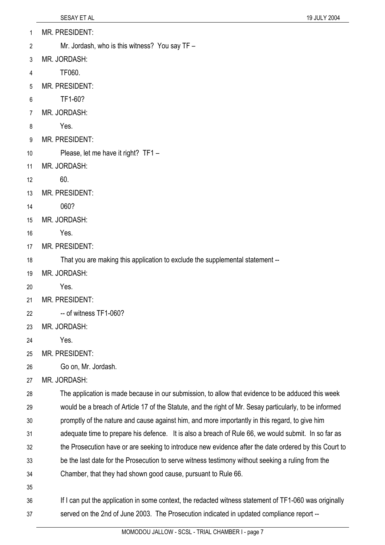- MR. PRESIDENT: 1
- Mr. Jordash, who is this witness? You say TF 2
- 3 MR. JORDASH:
- 4 TF060.
- 5 MR. PRESIDENT:
- 6 TF1-60?
- 7 MR. JORDASH:
- 8 Yes.
- 9 MR. PRESIDENT:
- 10 Please, let me have it right? TF1 -
- 11 MR. JORDASH:
- 12 60.
- 13 MR. PRESIDENT:
- 14 060?
- 15 MR. JORDASH:
- 16 Yes.
- 17 MR. PRESIDENT:
- 18 That you are making this application to exclude the supplemental statement --
- 19 MR. JORDASH:
- 20 Yes.
- 21 MR. PRESIDENT:
- 22 -- of witness TF1-060?
- 23 MR. JORDASH:
- 24 Yes.
- 25 MR. PRESIDENT:
- 26 Go on, Mr. Jordash.
- 27 MR. JORDASH:

28 29 30 31 32 The application is made because in our submission, to allow that evidence to be adduced this week would be a breach of Article 17 of the Statute, and the right of Mr. Sesay particularly, to be informed promptly of the nature and cause against him, and more importantly in this regard, to give him adequate time to prepare his defence. It is also a breach of Rule 66, we would submit. In so far as the Prosecution have or are seeking to introduce new evidence after the date ordered by this Court to

- 33 be the last date for the Prosecution to serve witness testimony without seeking a ruling from the
- 34 Chamber, that they had shown good cause, pursuant to Rule 66.
- 35

36 37 If I can put the application in some context, the redacted witness statement of TF1-060 was originally served on the 2nd of June 2003. The Prosecution indicated in updated compliance report --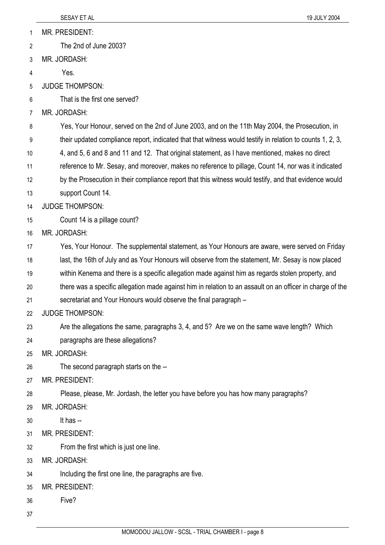MR. PRESIDENT: 1

The 2nd of June 2003? 2

3 MR. JORDASH:

4 Yes.

5 JUDGE THOMPSON:

6 That is the first one served?

7 MR. JORDASH:

8 Yes, Your Honour, served on the 2nd of June 2003, and on the 11th May 2004, the Prosecution, in

9 their updated compliance report, indicated that that witness would testify in relation to counts 1, 2, 3,

10 4, and 5, 6 and 8 and 11 and 12. That original statement, as I have mentioned, makes no direct

11 reference to Mr. Sesay, and moreover, makes no reference to pillage, Count 14, nor was it indicated

12 by the Prosecution in their compliance report that this witness would testify, and that evidence would

13 support Count 14.

14 JUDGE THOMPSON:

15 Count 14 is a pillage count?

16 MR. JORDASH:

17 Yes, Your Honour. The supplemental statement, as Your Honours are aware, were served on Friday

18 last, the 16th of July and as Your Honours will observe from the statement, Mr. Sesay is now placed

19 within Kenema and there is a specific allegation made against him as regards stolen property, and

20 21 there was a specific allegation made against him in relation to an assault on an officer in charge of the secretariat and Your Honours would observe the final paragraph –

22 JUDGE THOMPSON:

23 Are the allegations the same, paragraphs 3, 4, and 5? Are we on the same wave length? Which

24 paragraphs are these allegations?

25 MR. JORDASH:

26 The second paragraph starts on the --

27 MR. PRESIDENT:

28 Please, please, Mr. Jordash, the letter you have before you has how many paragraphs?

- 29 MR. JORDASH:
- 30 It has --
- 31 MR. PRESIDENT:

32 From the first which is just one line.

33 MR. JORDASH:

34 Including the first one line, the paragraphs are five.

35 MR. PRESIDENT:

36 Five?

37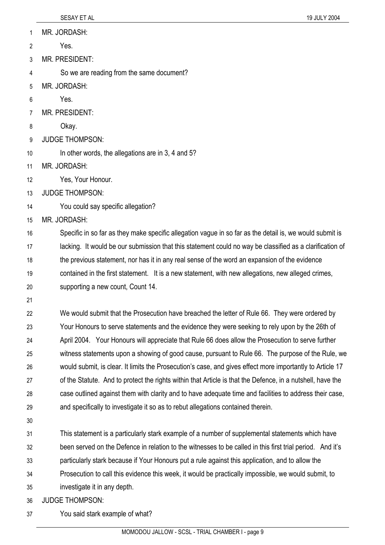1 MR. JORDASH:

2 Yes.

3 MR. PRESIDENT:

4 So we are reading from the same document?

- 5 MR. JORDASH:
- 6 Yes.
- 7 MR. PRESIDENT:
- 8 Okay.
- 9 JUDGE THOMPSON:
- 10 In other words, the allegations are in 3, 4 and 5?
- 11 MR. JORDASH:
- 12 Yes, Your Honour.
- 13 JUDGE THOMPSON:
- 14 You could say specific allegation?
- 15 MR. JORDASH:

16 17 18 19 20 Specific in so far as they make specific allegation vague in so far as the detail is, we would submit is lacking. It would be our submission that this statement could no way be classified as a clarification of the previous statement, nor has it in any real sense of the word an expansion of the evidence contained in the first statement. It is a new statement, with new allegations, new alleged crimes, supporting a new count, Count 14.

21

22 23 24 25 26 27 28 29 We would submit that the Prosecution have breached the letter of Rule 66. They were ordered by Your Honours to serve statements and the evidence they were seeking to rely upon by the 26th of April 2004. Your Honours will appreciate that Rule 66 does allow the Prosecution to serve further witness statements upon a showing of good cause, pursuant to Rule 66. The purpose of the Rule, we would submit, is clear. It limits the Prosecution's case, and gives effect more importantly to Article 17 of the Statute. And to protect the rights within that Article is that the Defence, in a nutshell, have the case outlined against them with clarity and to have adequate time and facilities to address their case, and specifically to investigate it so as to rebut allegations contained therein.

30

31 32 This statement is a particularly stark example of a number of supplemental statements which have been served on the Defence in relation to the witnesses to be called in this first trial period. And it's

33 particularly stark because if Your Honours put a rule against this application, and to allow the

34 Prosecution to call this evidence this week, it would be practically impossible, we would submit, to

35 investigate it in any depth.

36 JUDGE THOMPSON:

37 You said stark example of what?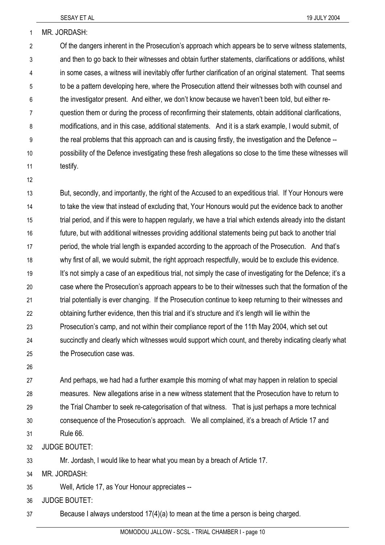1 MR. JORDASH:

2 3 4 5 6 7 8 9 10 11 Of the dangers inherent in the Prosecution's approach which appears be to serve witness statements, and then to go back to their witnesses and obtain further statements, clarifications or additions, whilst in some cases, a witness will inevitably offer further clarification of an original statement. That seems to be a pattern developing here, where the Prosecution attend their witnesses both with counsel and the investigator present. And either, we don't know because we haven't been told, but either requestion them or during the process of reconfirming their statements, obtain additional clarifications, modifications, and in this case, additional statements. And it is a stark example, I would submit, of the real problems that this approach can and is causing firstly, the investigation and the Defence - possibility of the Defence investigating these fresh allegations so close to the time these witnesses will testify.

12

13 14 15 16 17 18 19 20 21 22 23 24 25 But, secondly, and importantly, the right of the Accused to an expeditious trial. If Your Honours were to take the view that instead of excluding that, Your Honours would put the evidence back to another trial period, and if this were to happen regularly, we have a trial which extends already into the distant future, but with additional witnesses providing additional statements being put back to another trial period, the whole trial length is expanded according to the approach of the Prosecution. And that's why first of all, we would submit, the right approach respectfully, would be to exclude this evidence. It's not simply a case of an expeditious trial, not simply the case of investigating for the Defence; it's a case where the Prosecution's approach appears to be to their witnesses such that the formation of the trial potentially is ever changing. If the Prosecution continue to keep returning to their witnesses and obtaining further evidence, then this trial and it's structure and it's length will lie within the Prosecution's camp, and not within their compliance report of the 11th May 2004, which set out succinctly and clearly which witnesses would support which count, and thereby indicating clearly what the Prosecution case was.

26

27 28 29 30 31 And perhaps, we had had a further example this morning of what may happen in relation to special measures. New allegations arise in a new witness statement that the Prosecution have to return to the Trial Chamber to seek re-categorisation of that witness. That is just perhaps a more technical consequence of the Prosecution's approach. We all complained, it's a breach of Article 17 and Rule 66.

32 JUDGE BOUTET:

33 Mr. Jordash, I would like to hear what you mean by a breach of Article 17.

- 34 MR. JORDASH:
- 35 Well, Article 17, as Your Honour appreciates --

36 JUDGE BOUTET:

37 Because I always understood 17(4)(a) to mean at the time a person is being charged.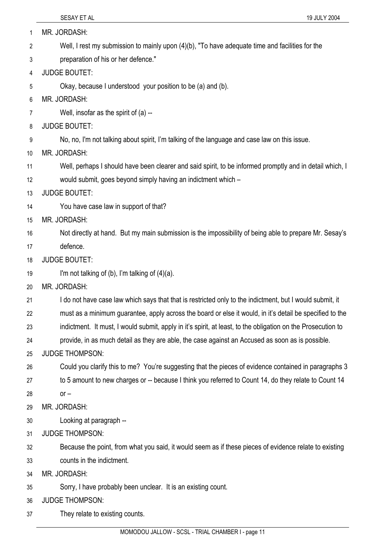| 1  | MR. JORDASH:                                                                                                 |
|----|--------------------------------------------------------------------------------------------------------------|
| 2  | Well, I rest my submission to mainly upon $(4)(b)$ , "To have adequate time and facilities for the           |
| 3  | preparation of his or her defence."                                                                          |
| 4  | <b>JUDGE BOUTET:</b>                                                                                         |
| 5  | Okay, because I understood your position to be (a) and (b).                                                  |
| 6  | MR. JORDASH:                                                                                                 |
| 7  | Well, insofar as the spirit of $(a)$ --                                                                      |
| 8  | <b>JUDGE BOUTET:</b>                                                                                         |
| 9  | No, no, I'm not talking about spirit, I'm talking of the language and case law on this issue.                |
| 10 | MR. JORDASH:                                                                                                 |
| 11 | Well, perhaps I should have been clearer and said spirit, to be informed promptly and in detail which, I     |
| 12 | would submit, goes beyond simply having an indictment which -                                                |
| 13 | <b>JUDGE BOUTET:</b>                                                                                         |
| 14 | You have case law in support of that?                                                                        |
| 15 | MR. JORDASH:                                                                                                 |
| 16 | Not directly at hand. But my main submission is the impossibility of being able to prepare Mr. Sesay's       |
| 17 | defence.                                                                                                     |
| 18 | <b>JUDGE BOUTET:</b>                                                                                         |
| 19 | I'm not talking of (b), I'm talking of $(4)(a)$ .                                                            |
| 20 | MR. JORDASH:                                                                                                 |
| 21 | I do not have case law which says that that is restricted only to the indictment, but I would submit, it     |
| 22 | must as a minimum guarantee, apply across the board or else it would, in it's detail be specified to the     |
| 23 | indictment. It must, I would submit, apply in it's spirit, at least, to the obligation on the Prosecution to |
| 24 | provide, in as much detail as they are able, the case against an Accused as soon as is possible.             |
| 25 | <b>JUDGE THOMPSON:</b>                                                                                       |
| 26 | Could you clarify this to me? You're suggesting that the pieces of evidence contained in paragraphs 3        |
| 27 | to 5 amount to new charges or -- because I think you referred to Count 14, do they relate to Count 14        |
| 28 | $or -$                                                                                                       |
| 29 | MR. JORDASH:                                                                                                 |
| 30 | Looking at paragraph --                                                                                      |
| 31 | <b>JUDGE THOMPSON:</b>                                                                                       |
| 32 | Because the point, from what you said, it would seem as if these pieces of evidence relate to existing       |
| 33 | counts in the indictment.                                                                                    |
| 34 | MR. JORDASH:                                                                                                 |
| 35 | Sorry, I have probably been unclear. It is an existing count.                                                |
| 36 | <b>JUDGE THOMPSON:</b>                                                                                       |
| 37 | They relate to existing counts.                                                                              |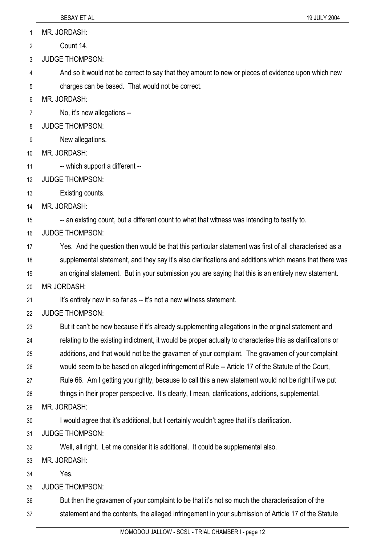1 MR. JORDASH:

2 Count 14.

3 JUDGE THOMPSON:

4 And so it would not be correct to say that they amount to new or pieces of evidence upon which new

5 charges can be based. That would not be correct.

6 MR. JORDASH:

7 No, it's new allegations --

8 JUDGE THOMPSON:

9 New allegations.

10 MR. JORDASH:

11 -- which support a different --

12 JUDGE THOMPSON:

13 Existing counts.

14 MR. JORDASH:

15 -- an existing count, but a different count to what that witness was intending to testify to.

16 JUDGE THOMPSON:

17 Yes. And the question then would be that this particular statement was first of all characterised as a

18 supplemental statement, and they say it's also clarifications and additions which means that there was

19 an original statement. But in your submission you are saying that this is an entirely new statement.

20 MR JORDASH:

21 It's entirely new in so far as -- it's not a new witness statement.

22 JUDGE THOMPSON:

23 But it can't be new because if it's already supplementing allegations in the original statement and

24 relating to the existing indictment, it would be proper actually to characterise this as clarifications or

25 additions, and that would not be the gravamen of your complaint. The gravamen of your complaint

26 would seem to be based on alleged infringement of Rule -- Article 17 of the Statute of the Court,

27 Rule 66. Am I getting you rightly, because to call this a new statement would not be right if we put

28 things in their proper perspective. It's clearly, I mean, clarifications, additions, supplemental.

29 MR. JORDASH:

30 I would agree that it's additional, but I certainly wouldn't agree that it's clarification.

31 JUDGE THOMPSON:

32 Well, all right. Let me consider it is additional. It could be supplemental also.

33 MR. JORDASH:

34 Yes.

35 JUDGE THOMPSON:

36 But then the gravamen of your complaint to be that it's not so much the characterisation of the

37 statement and the contents, the alleged infringement in your submission of Article 17 of the Statute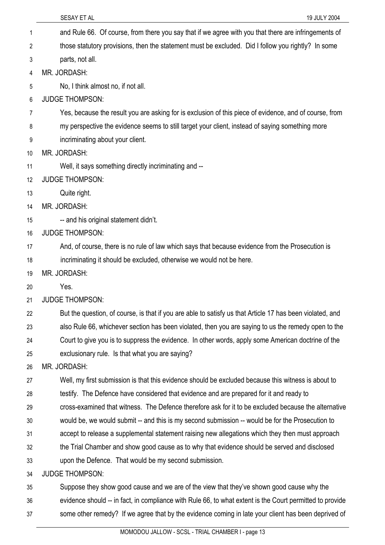|    | SESAY ET AL<br>19 JULY 2004                                                                               |
|----|-----------------------------------------------------------------------------------------------------------|
| 1  | and Rule 66. Of course, from there you say that if we agree with you that there are infringements of      |
| 2  | those statutory provisions, then the statement must be excluded. Did I follow you rightly? In some        |
| 3  | parts, not all.                                                                                           |
| 4  | MR. JORDASH:                                                                                              |
| 5  | No, I think almost no, if not all.                                                                        |
| 6  | <b>JUDGE THOMPSON:</b>                                                                                    |
| 7  | Yes, because the result you are asking for is exclusion of this piece of evidence, and of course, from    |
| 8  | my perspective the evidence seems to still target your client, instead of saying something more           |
| 9  | incriminating about your client.                                                                          |
| 10 | MR. JORDASH:                                                                                              |
| 11 | Well, it says something directly incriminating and --                                                     |
| 12 | <b>JUDGE THOMPSON:</b>                                                                                    |
| 13 | Quite right.                                                                                              |
| 14 | MR. JORDASH:                                                                                              |
| 15 | -- and his original statement didn't.                                                                     |
| 16 | <b>JUDGE THOMPSON:</b>                                                                                    |
| 17 | And, of course, there is no rule of law which says that because evidence from the Prosecution is          |
| 18 | incriminating it should be excluded, otherwise we would not be here.                                      |
| 19 | MR. JORDASH:                                                                                              |
| 20 | Yes.                                                                                                      |
| 21 | <b>JUDGE THOMPSON:</b>                                                                                    |
| 22 | But the question, of course, is that if you are able to satisfy us that Article 17 has been violated, and |
| 23 | also Rule 66, whichever section has been violated, then you are saying to us the remedy open to the       |
| 24 | Court to give you is to suppress the evidence. In other words, apply some American doctrine of the        |
| 25 | exclusionary rule. Is that what you are saying?                                                           |
| 26 | MR. JORDASH:                                                                                              |
| 27 | Well, my first submission is that this evidence should be excluded because this witness is about to       |
| 28 | testify. The Defence have considered that evidence and are prepared for it and ready to                   |
| 29 | cross-examined that witness. The Defence therefore ask for it to be excluded because the alternative      |
| 30 | would be, we would submit -- and this is my second submission -- would be for the Prosecution to          |
| 31 | accept to release a supplemental statement raising new allegations which they then must approach          |
| 32 | the Trial Chamber and show good cause as to why that evidence should be served and disclosed              |
| 33 | upon the Defence. That would be my second submission.                                                     |
| 34 | <b>JUDGE THOMPSON:</b>                                                                                    |
| 35 | Suppose they show good cause and we are of the view that they've shown good cause why the                 |
| 36 | evidence should -- in fact, in compliance with Rule 66, to what extent is the Court permitted to provide  |
| 37 | some other remedy? If we agree that by the evidence coming in late your client has been deprived of       |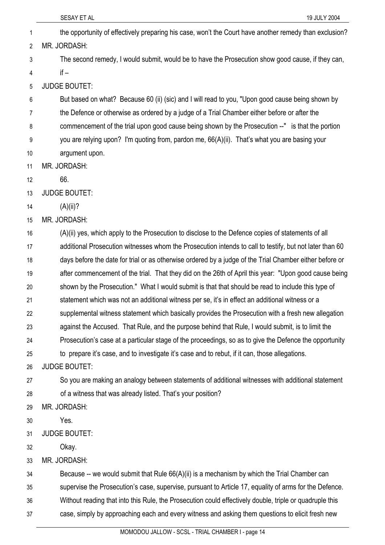| 1  | the opportunity of effectively preparing his case, won't the Court have another remedy than exclusion?  |
|----|---------------------------------------------------------------------------------------------------------|
| 2  | MR. JORDASH:                                                                                            |
| 3  | The second remedy, I would submit, would be to have the Prosecution show good cause, if they can,       |
| 4  | $if -$                                                                                                  |
| 5  | <b>JUDGE BOUTET:</b>                                                                                    |
| 6  | But based on what? Because 60 (ii) (sic) and I will read to you, "Upon good cause being shown by        |
| 7  | the Defence or otherwise as ordered by a judge of a Trial Chamber either before or after the            |
| 8  | commencement of the trial upon good cause being shown by the Prosecution --" is that the portion        |
| 9  | you are relying upon? I'm quoting from, pardon me, 66(A)(ii). That's what you are basing your           |
| 10 | argument upon.                                                                                          |
| 11 | MR. JORDASH:                                                                                            |
| 12 | 66.                                                                                                     |
| 13 | <b>JUDGE BOUTET:</b>                                                                                    |
| 14 | $(A)(ii)$ ?                                                                                             |
| 15 | MR. JORDASH:                                                                                            |
| 16 | (A)(ii) yes, which apply to the Prosecution to disclose to the Defence copies of statements of all      |
| 17 | additional Prosecution witnesses whom the Prosecution intends to call to testify, but not later than 60 |
| 18 | days before the date for trial or as otherwise ordered by a judge of the Trial Chamber either before or |
| 19 | after commencement of the trial. That they did on the 26th of April this year: "Upon good cause being   |
| 20 | shown by the Prosecution." What I would submit is that that should be read to include this type of      |
| 21 | statement which was not an additional witness per se, it's in effect an additional witness or a         |
| 22 | supplemental witness statement which basically provides the Prosecution with a fresh new allegation     |
| 23 | against the Accused. That Rule, and the purpose behind that Rule, I would submit, is to limit the       |
| 24 | Prosecution's case at a particular stage of the proceedings, so as to give the Defence the opportunity  |
| 25 | to prepare it's case, and to investigate it's case and to rebut, if it can, those allegations.          |
| 26 | <b>JUDGE BOUTET:</b>                                                                                    |
| 27 | So you are making an analogy between statements of additional witnesses with additional statement       |
| 28 | of a witness that was already listed. That's your position?                                             |
| 29 | MR. JORDASH:                                                                                            |
| 30 | Yes.                                                                                                    |
| 31 | <b>JUDGE BOUTET:</b>                                                                                    |
| 32 | Okay.                                                                                                   |
| 33 | MR. JORDASH:                                                                                            |
| 34 | Because -- we would submit that Rule $66(A)(ii)$ is a mechanism by which the Trial Chamber can          |
| 35 | supervise the Prosecution's case, supervise, pursuant to Article 17, equality of arms for the Defence.  |
| 36 | Without reading that into this Rule, the Prosecution could effectively double, triple or quadruple this |

case, simply by approaching each and every witness and asking them questions to elicit fresh new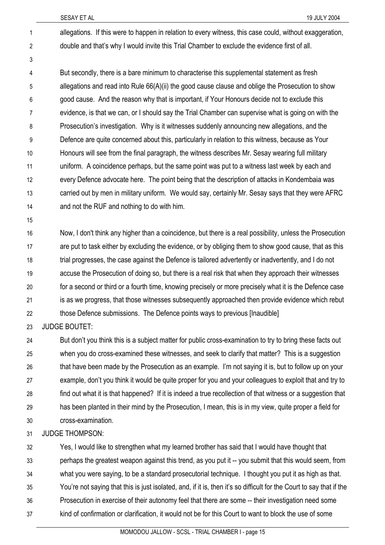allegations. If this were to happen in relation to every witness, this case could, without exaggeration, double and that's why I would invite this Trial Chamber to exclude the evidence first of all. 1 2

But secondly, there is a bare minimum to characterise this supplemental statement as fresh allegations and read into Rule 66(A)(ii) the good cause clause and oblige the Prosecution to show good cause. And the reason why that is important, if Your Honours decide not to exclude this evidence, is that we can, or I should say the Trial Chamber can supervise what is going on with the Prosecution's investigation. Why is it witnesses suddenly announcing new allegations, and the Defence are quite concerned about this, particularly in relation to this witness, because as Your Honours will see from the final paragraph, the witness describes Mr. Sesay wearing full military uniform. A coincidence perhaps, but the same point was put to a witness last week by each and every Defence advocate here. The point being that the description of attacks in Kondembaia was carried out by men in military uniform. We would say, certainly Mr. Sesay says that they were AFRC and not the RUF and nothing to do with him. 4 5 6 7 8 9 10 11 12 13 14

15

3

Now, I don't think any higher than a coincidence, but there is a real possibility, unless the Prosecution are put to task either by excluding the evidence, or by obliging them to show good cause, that as this trial progresses, the case against the Defence is tailored advertently or inadvertently, and I do not accuse the Prosecution of doing so, but there is a real risk that when they approach their witnesses for a second or third or a fourth time, knowing precisely or more precisely what it is the Defence case is as we progress, that those witnesses subsequently approached then provide evidence which rebut those Defence submissions. The Defence points ways to previous [Inaudible] 16 17 18 19 20 21 22

23 JUDGE BOUTET:

24 25 26 27 28 29 30 But don't you think this is a subject matter for public cross-examination to try to bring these facts out when you do cross-examined these witnesses, and seek to clarify that matter? This is a suggestion that have been made by the Prosecution as an example. I'm not saying it is, but to follow up on your example, don't you think it would be quite proper for you and your colleagues to exploit that and try to find out what it is that happened? If it is indeed a true recollection of that witness or a suggestion that has been planted in their mind by the Prosecution, I mean, this is in my view, quite proper a field for cross-examination.

31 JUDGE THOMPSON:

32 33 34 35 36 37 Yes, I would like to strengthen what my learned brother has said that I would have thought that perhaps the greatest weapon against this trend, as you put it -- you submit that this would seem, from what you were saying, to be a standard prosecutorial technique. I thought you put it as high as that. You're not saying that this is just isolated, and, if it is, then it's so difficult for the Court to say that if the Prosecution in exercise of their autonomy feel that there are some -- their investigation need some kind of confirmation or clarification, it would not be for this Court to want to block the use of some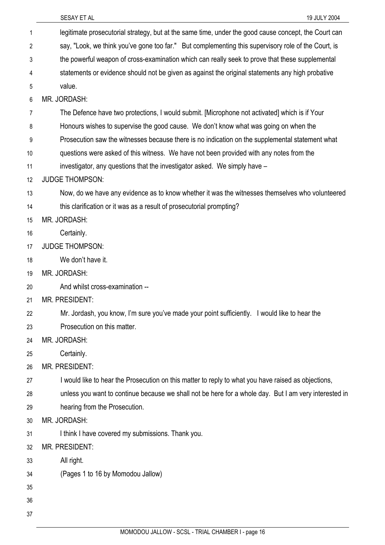| 1  | legitimate prosecutorial strategy, but at the same time, under the good cause concept, the Court can  |
|----|-------------------------------------------------------------------------------------------------------|
| 2  | say, "Look, we think you've gone too far." But complementing this supervisory role of the Court, is   |
| 3  | the powerful weapon of cross-examination which can really seek to prove that these supplemental       |
| 4  | statements or evidence should not be given as against the original statements any high probative      |
| 5  | value.                                                                                                |
| 6  | MR. JORDASH:                                                                                          |
| 7  | The Defence have two protections, I would submit. [Microphone not activated] which is if Your         |
| 8  | Honours wishes to supervise the good cause. We don't know what was going on when the                  |
| 9  | Prosecution saw the witnesses because there is no indication on the supplemental statement what       |
| 10 | questions were asked of this witness. We have not been provided with any notes from the               |
| 11 | investigator, any questions that the investigator asked. We simply have -                             |
| 12 | <b>JUDGE THOMPSON:</b>                                                                                |
| 13 | Now, do we have any evidence as to know whether it was the witnesses themselves who volunteered       |
| 14 | this clarification or it was as a result of prosecutorial prompting?                                  |
| 15 | MR. JORDASH:                                                                                          |
| 16 | Certainly.                                                                                            |
| 17 | <b>JUDGE THOMPSON:</b>                                                                                |
| 18 | We don't have it.                                                                                     |
| 19 | MR. JORDASH:                                                                                          |
| 20 | And whilst cross-examination --                                                                       |
| 21 | <b>MR. PRESIDENT:</b>                                                                                 |
| 22 | Mr. Jordash, you know, I'm sure you've made your point sufficiently. I would like to hear the         |
| 23 | Prosecution on this matter.                                                                           |
| 24 | MR. JORDASH:                                                                                          |
| 25 | Certainly.                                                                                            |
| 26 | MR. PRESIDENT:                                                                                        |
| 27 | I would like to hear the Prosecution on this matter to reply to what you have raised as objections,   |
| 28 | unless you want to continue because we shall not be here for a whole day. But I am very interested in |
| 29 | hearing from the Prosecution.                                                                         |
| 30 | MR. JORDASH:                                                                                          |
| 31 | I think I have covered my submissions. Thank you.                                                     |
| 32 | <b>MR. PRESIDENT:</b>                                                                                 |
| 33 | All right.                                                                                            |
| 34 | (Pages 1 to 16 by Momodou Jallow)                                                                     |
| 35 |                                                                                                       |
| 36 |                                                                                                       |
| 37 |                                                                                                       |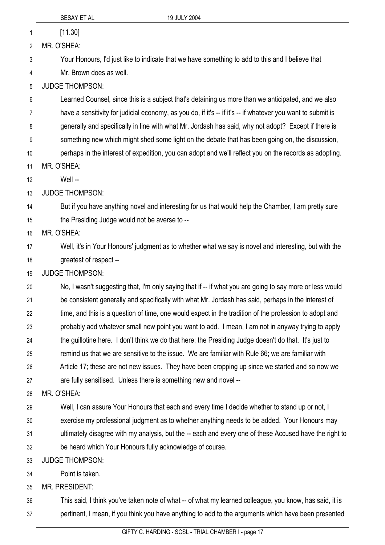1 [11.30]

2 MR. O'SHEA:

3 Your Honours, I'd just like to indicate that we have something to add to this and I believe that

4 Mr. Brown does as well.

5 JUDGE THOMPSON:

6 Learned Counsel, since this is a subject that's detaining us more than we anticipated, and we also

7 have a sensitivity for judicial economy, as you do, if it's -- if it's -- if whatever you want to submit is

8 generally and specifically in line with what Mr. Jordash has said, why not adopt? Except if there is

9 something new which might shed some light on the debate that has been going on, the discussion,

10 11 perhaps in the interest of expedition, you can adopt and we'll reflect you on the records as adopting. MR. O'SHEA:

12 Well --

13 JUDGE THOMPSON:

14 15 But if you have anything novel and interesting for us that would help the Chamber, I am pretty sure the Presiding Judge would not be averse to --

16 MR. O'SHEA:

17 18 Well, it's in Your Honours' judgment as to whether what we say is novel and interesting, but with the greatest of respect --

19 JUDGE THOMPSON:

20 21 22 23 24 25 26 27 No, I wasn't suggesting that, I'm only saying that if -- if what you are going to say more or less would be consistent generally and specifically with what Mr. Jordash has said, perhaps in the interest of time, and this is a question of time, one would expect in the tradition of the profession to adopt and probably add whatever small new point you want to add. I mean, I am not in anyway trying to apply the guillotine here. I don't think we do that here; the Presiding Judge doesn't do that. It's just to remind us that we are sensitive to the issue. We are familiar with Rule 66; we are familiar with Article 17; these are not new issues. They have been cropping up since we started and so now we are fully sensitised. Unless there is something new and novel --

28 MR. O'SHEA:

29 Well, I can assure Your Honours that each and every time I decide whether to stand up or not, I

30 exercise my professional judgment as to whether anything needs to be added. Your Honours may

31 ultimately disagree with my analysis, but the -- each and every one of these Accused have the right to

32 be heard which Your Honours fully acknowledge of course.

33 JUDGE THOMPSON:

34 Point is taken.

35 MR. PRESIDENT:

36 37 This said, I think you've taken note of what -- of what my learned colleague, you know, has said, it is pertinent, I mean, if you think you have anything to add to the arguments which have been presented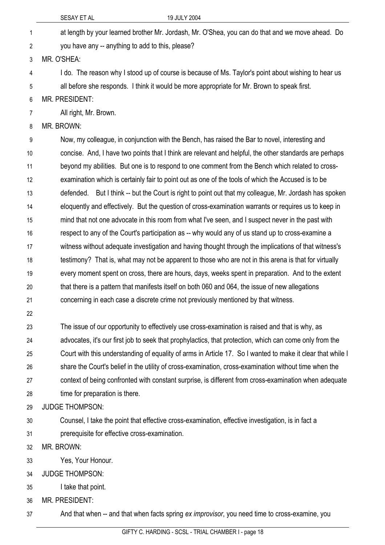|    | SESAY ET AL<br>19 JULY 2004                                                                                |  |
|----|------------------------------------------------------------------------------------------------------------|--|
| 1  | at length by your learned brother Mr. Jordash, Mr. O'Shea, you can do that and we move ahead. Do           |  |
| 2  | you have any -- anything to add to this, please?                                                           |  |
| 3  | MR. O'SHEA:                                                                                                |  |
| 4  | I do. The reason why I stood up of course is because of Ms. Taylor's point about wishing to hear us        |  |
| 5  | all before she responds. I think it would be more appropriate for Mr. Brown to speak first.                |  |
| 6  | MR. PRESIDENT:                                                                                             |  |
| 7  | All right, Mr. Brown.                                                                                      |  |
| 8  | MR. BROWN:                                                                                                 |  |
| 9  | Now, my colleague, in conjunction with the Bench, has raised the Bar to novel, interesting and             |  |
| 10 | concise. And, I have two points that I think are relevant and helpful, the other standards are perhaps     |  |
| 11 | beyond my abilities. But one is to respond to one comment from the Bench which related to cross-           |  |
| 12 | examination which is certainly fair to point out as one of the tools of which the Accused is to be         |  |
| 13 | defended. But I think -- but the Court is right to point out that my colleague, Mr. Jordash has spoken     |  |
| 14 | eloquently and effectively. But the question of cross-examination warrants or requires us to keep in       |  |
| 15 | mind that not one advocate in this room from what I've seen, and I suspect never in the past with          |  |
| 16 | respect to any of the Court's participation as -- why would any of us stand up to cross-examine a          |  |
| 17 | witness without adequate investigation and having thought through the implications of that witness's       |  |
| 18 | testimony? That is, what may not be apparent to those who are not in this arena is that for virtually      |  |
| 19 | every moment spent on cross, there are hours, days, weeks spent in preparation. And to the extent          |  |
| 20 | that there is a pattern that manifests itself on both 060 and 064, the issue of new allegations            |  |
| 21 | concerning in each case a discrete crime not previously mentioned by that witness.                         |  |
| 22 |                                                                                                            |  |
| 23 | The issue of our opportunity to effectively use cross-examination is raised and that is why, as            |  |
| 24 | advocates, it's our first job to seek that prophylactics, that protection, which can come only from the    |  |
| 25 | Court with this understanding of equality of arms in Article 17. So I wanted to make it clear that while I |  |
| 26 | share the Court's belief in the utility of cross-examination, cross-examination without time when the      |  |
| 27 | context of being confronted with constant surprise, is different from cross-examination when adequate      |  |
| 28 | time for preparation is there.                                                                             |  |
| 29 | <b>JUDGE THOMPSON:</b>                                                                                     |  |
| 30 | Counsel, I take the point that effective cross-examination, effective investigation, is in fact a          |  |
| 31 | prerequisite for effective cross-examination.                                                              |  |
| 32 | MR. BROWN:                                                                                                 |  |

- 33 Yes, Your Honour.
- 34 JUDGE THOMPSON:
- 35 I take that point.

36 MR. PRESIDENT:

37 And that when -- and that when facts spring *ex improvisor*, you need time to cross-examine, you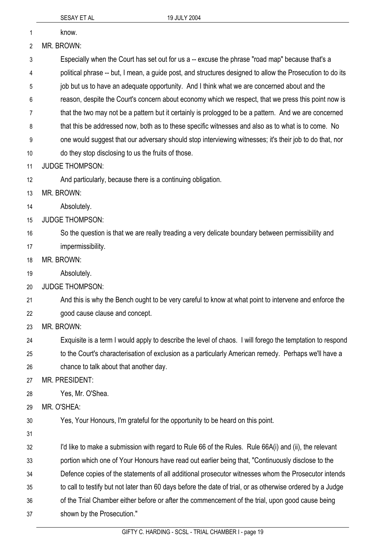shown by the Prosecution."

|    | SESAY ET AL<br>19 JULY 2004                                                                                |
|----|------------------------------------------------------------------------------------------------------------|
| 1  | know.                                                                                                      |
| 2  | MR. BROWN:                                                                                                 |
| 3  | Especially when the Court has set out for us a -- excuse the phrase "road map" because that's a            |
| 4  | political phrase -- but, I mean, a guide post, and structures designed to allow the Prosecution to do its  |
| 5  | job but us to have an adequate opportunity. And I think what we are concerned about and the                |
| 6  | reason, despite the Court's concern about economy which we respect, that we press this point now is        |
| 7  | that the two may not be a pattern but it certainly is prologged to be a pattern. And we are concerned      |
| 8  | that this be addressed now, both as to these specific witnesses and also as to what is to come. No         |
| 9  | one would suggest that our adversary should stop interviewing witnesses; it's their job to do that, nor    |
| 10 | do they stop disclosing to us the fruits of those.                                                         |
| 11 | <b>JUDGE THOMPSON:</b>                                                                                     |
| 12 | And particularly, because there is a continuing obligation.                                                |
| 13 | MR. BROWN:                                                                                                 |
| 14 | Absolutely.                                                                                                |
| 15 | <b>JUDGE THOMPSON:</b>                                                                                     |
| 16 | So the question is that we are really treading a very delicate boundary between permissibility and         |
| 17 | impermissibility.                                                                                          |
| 18 | MR. BROWN:                                                                                                 |
| 19 | Absolutely.                                                                                                |
| 20 | <b>JUDGE THOMPSON:</b>                                                                                     |
| 21 | And this is why the Bench ought to be very careful to know at what point to intervene and enforce the      |
| 22 | good cause clause and concept.                                                                             |
| 23 | MR. BROWN:                                                                                                 |
| 24 | Exquisite is a term I would apply to describe the level of chaos. I will forego the temptation to respond  |
| 25 | to the Court's characterisation of exclusion as a particularly American remedy. Perhaps we'll have a       |
| 26 | chance to talk about that another day.                                                                     |
| 27 | <b>MR. PRESIDENT:</b>                                                                                      |
| 28 | Yes, Mr. O'Shea.                                                                                           |
| 29 | MR. O'SHEA:                                                                                                |
| 30 | Yes, Your Honours, I'm grateful for the opportunity to be heard on this point.                             |
| 31 |                                                                                                            |
| 32 | I'd like to make a submission with regard to Rule 66 of the Rules. Rule 66A(i) and (ii), the relevant      |
| 33 | portion which one of Your Honours have read out earlier being that, "Continuously disclose to the          |
| 34 | Defence copies of the statements of all additional prosecutor witnesses whom the Prosecutor intends        |
| 35 | to call to testify but not later than 60 days before the date of trial, or as otherwise ordered by a Judge |
| 36 | of the Trial Chamber either before or after the commencement of the trial, upon good cause being           |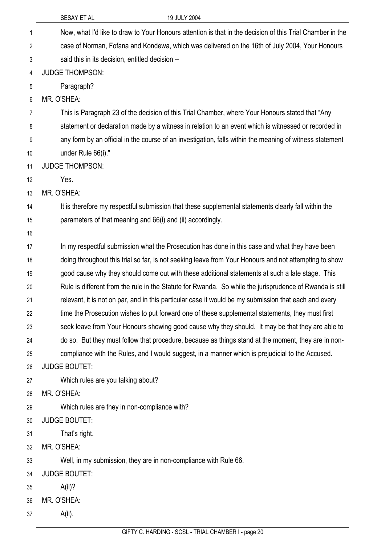|    | 19 JULY 2004<br>SESAY ET AL                                                                               |
|----|-----------------------------------------------------------------------------------------------------------|
| 1  | Now, what I'd like to draw to Your Honours attention is that in the decision of this Trial Chamber in the |
| 2  | case of Norman, Fofana and Kondewa, which was delivered on the 16th of July 2004, Your Honours            |
| 3  | said this in its decision, entitled decision --                                                           |
| 4  | <b>JUDGE THOMPSON:</b>                                                                                    |
| 5  | Paragraph?                                                                                                |
| 6  | MR. O'SHEA:                                                                                               |
| 7  | This is Paragraph 23 of the decision of this Trial Chamber, where Your Honours stated that "Any           |
| 8  | statement or declaration made by a witness in relation to an event which is witnessed or recorded in      |
| 9  | any form by an official in the course of an investigation, falls within the meaning of witness statement  |
| 10 | under Rule 66(i)."                                                                                        |
| 11 | <b>JUDGE THOMPSON:</b>                                                                                    |
| 12 | Yes.                                                                                                      |
| 13 | MR. O'SHEA:                                                                                               |
| 14 | It is therefore my respectful submission that these supplemental statements clearly fall within the       |
| 15 | parameters of that meaning and 66(i) and (ii) accordingly.                                                |
| 16 |                                                                                                           |
| 17 | In my respectful submission what the Prosecution has done in this case and what they have been            |
| 18 | doing throughout this trial so far, is not seeking leave from Your Honours and not attempting to show     |
| 19 | good cause why they should come out with these additional statements at such a late stage. This           |
| 20 | Rule is different from the rule in the Statute for Rwanda. So while the jurisprudence of Rwanda is still  |
| 21 | relevant, it is not on par, and in this particular case it would be my submission that each and every     |
| 22 | time the Prosecution wishes to put forward one of these supplemental statements, they must first          |
| 23 | seek leave from Your Honours showing good cause why they should. It may be that they are able to          |
| 24 | do so. But they must follow that procedure, because as things stand at the moment, they are in non-       |
| 25 | compliance with the Rules, and I would suggest, in a manner which is prejudicial to the Accused.          |
| 26 | <b>JUDGE BOUTET:</b>                                                                                      |
| 27 | Which rules are you talking about?                                                                        |
| 28 | MR. O'SHEA:                                                                                               |
| 29 | Which rules are they in non-compliance with?                                                              |
| 30 | <b>JUDGE BOUTET:</b>                                                                                      |
| 31 | That's right.                                                                                             |
| 32 | MR. O'SHEA:                                                                                               |
| 33 | Well, in my submission, they are in non-compliance with Rule 66.                                          |
| 34 | <b>JUDGE BOUTET:</b>                                                                                      |
| 35 | $A(ii)$ ?                                                                                                 |
| 36 | MR. O'SHEA:                                                                                               |
| 37 | $A(ii)$ .                                                                                                 |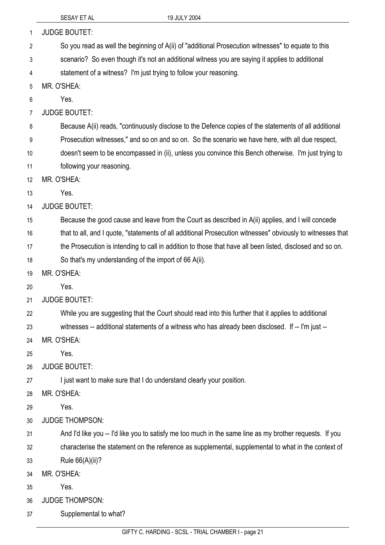| 1              | <b>JUDGE BOUTET:</b>                                                                                       |
|----------------|------------------------------------------------------------------------------------------------------------|
| 2              | So you read as well the beginning of A(ii) of "additional Prosecution witnesses" to equate to this         |
| 3              | scenario? So even though it's not an additional witness you are saying it applies to additional            |
| 4              | statement of a witness? I'm just trying to follow your reasoning.                                          |
| 5              | MR. O'SHEA:                                                                                                |
| 6              | Yes.                                                                                                       |
| $\overline{7}$ | <b>JUDGE BOUTET:</b>                                                                                       |
| 8              | Because A(ii) reads, "continuously disclose to the Defence copies of the statements of all additional      |
| 9              | Prosecution witnesses," and so on and so on. So the scenario we have here, with all due respect,           |
| 10             | doesn't seem to be encompassed in (ii), unless you convince this Bench otherwise. I'm just trying to       |
| 11             | following your reasoning.                                                                                  |
| 12             | MR. O'SHEA:                                                                                                |
| 13             | Yes.                                                                                                       |
| 14             | <b>JUDGE BOUTET:</b>                                                                                       |
| 15             | Because the good cause and leave from the Court as described in A(ii) applies, and I will concede          |
| 16             | that to all, and I quote, "statements of all additional Prosecution witnesses" obviously to witnesses that |
| 17             | the Prosecution is intending to call in addition to those that have all been listed, disclosed and so on.  |
| 18             | So that's my understanding of the import of 66 A(ii).                                                      |
| 19             | MR. O'SHEA:                                                                                                |
| 20             | Yes.                                                                                                       |
| 21             | <b>JUDGE BOUTET:</b>                                                                                       |
| 22             | While you are suggesting that the Court should read into this further that it applies to additional        |
| 23             | witnesses -- additional statements of a witness who has already been disclosed. If -- I'm just --          |
| 24             | MR. O'SHEA:                                                                                                |
| 25             | Yes.                                                                                                       |
| 26             | <b>JUDGE BOUTET:</b>                                                                                       |
| 27             | I just want to make sure that I do understand clearly your position.                                       |
| 28             | MR. O'SHEA:                                                                                                |
| 29             | Yes.                                                                                                       |
| 30             | <b>JUDGE THOMPSON:</b>                                                                                     |
| 31             | And I'd like you -- I'd like you to satisfy me too much in the same line as my brother requests. If you    |
| 32             | characterise the statement on the reference as supplemental, supplemental to what in the context of        |
| 33             | Rule 66(A)(ii)?                                                                                            |
| 34             | MR. O'SHEA:                                                                                                |
| 35             | Yes.                                                                                                       |
| 36             | <b>JUDGE THOMPSON:</b>                                                                                     |
| 37             | Supplemental to what?                                                                                      |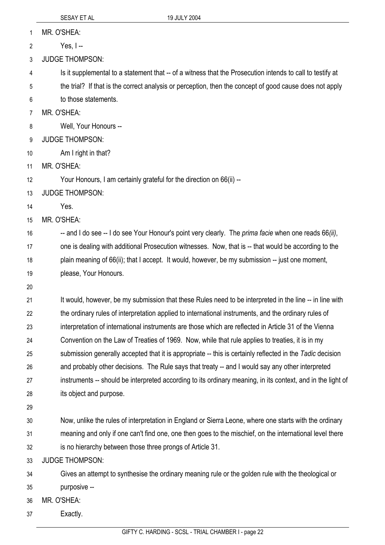MR. O'SHEA: 1

Yes, I -- 2

3 JUDGE THOMPSON:

4 Is it supplemental to a statement that -- of a witness that the Prosecution intends to call to testify at

5 the trial? If that is the correct analysis or perception, then the concept of good cause does not apply

6 to those statements.

7 MR. O'SHEA:

8 Well, Your Honours --

- 9 JUDGE THOMPSON:
- 10 Am I right in that?
- 11 MR. O'SHEA:

12 Your Honours, I am certainly grateful for the direction on 66(ii) --

13 JUDGE THOMPSON:

14 Yes.

15 MR. O'SHEA:

16 17 18 19 -- and I do see -- I do see Your Honour's point very clearly. The *prima facie* when one reads 66*(ii)*, one is dealing with additional Prosecution witnesses. Now, that is -- that would be according to the plain meaning of 66(ii); that I accept. It would, however, be my submission -- just one moment, please, Your Honours.

20

21 22 23 24 25 26 27 28 It would, however, be my submission that these Rules need to be interpreted in the line -- in line with the ordinary rules of interpretation applied to international instruments, and the ordinary rules of interpretation of international instruments are those which are reflected in Article 31 of the Vienna Convention on the Law of Treaties of 1969. Now, while that rule applies to treaties, it is in my submission generally accepted that it is appropriate -- this is certainly reflected in the *Tadic* decision and probably other decisions. The Rule says that treaty -- and I would say any other interpreted instruments -- should be interpreted according to its ordinary meaning, in its context, and in the light of its object and purpose.

29

30 31 32 Now, unlike the rules of interpretation in England or Sierra Leone, where one starts with the ordinary meaning and only if one can't find one, one then goes to the mischief, on the international level there is no hierarchy between those three prongs of Article 31.

33 JUDGE THOMPSON:

34 Gives an attempt to synthesise the ordinary meaning rule or the golden rule with the theological or

- 35 purposive --
- 36 MR. O'SHEA:
- 37 Exactly.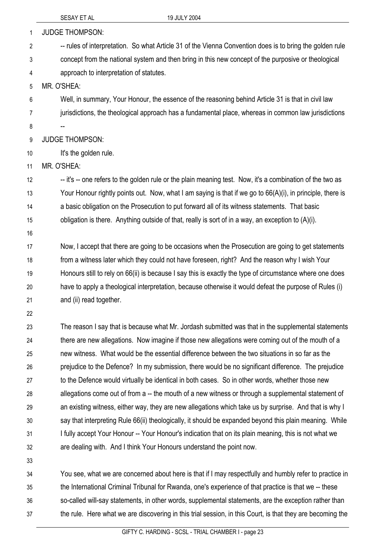| 1  | <b>JUDGE THOMPSON:</b>                                                                                     |
|----|------------------------------------------------------------------------------------------------------------|
| 2  | -- rules of interpretation. So what Article 31 of the Vienna Convention does is to bring the golden rule   |
| 3  | concept from the national system and then bring in this new concept of the purposive or theological        |
| 4  | approach to interpretation of statutes.                                                                    |
| 5  | MR. O'SHEA:                                                                                                |
| 6  | Well, in summary, Your Honour, the essence of the reasoning behind Article 31 is that in civil law         |
| 7  | jurisdictions, the theological approach has a fundamental place, whereas in common law jurisdictions       |
| 8  |                                                                                                            |
| 9  | <b>JUDGE THOMPSON:</b>                                                                                     |
| 10 | It's the golden rule.                                                                                      |
| 11 | MR. O'SHEA:                                                                                                |
| 12 | -- it's -- one refers to the golden rule or the plain meaning test. Now, it's a combination of the two as  |
| 13 | Your Honour rightly points out. Now, what I am saying is that if we go to 66(A)(i), in principle, there is |
| 14 | a basic obligation on the Prosecution to put forward all of its witness statements. That basic             |
| 15 | obligation is there. Anything outside of that, really is sort of in a way, an exception to $(A)(i)$ .      |
| 16 |                                                                                                            |
| 17 | Now, I accept that there are going to be occasions when the Prosecution are going to get statements        |
| 18 | from a witness later which they could not have foreseen, right? And the reason why I wish Your             |
| 19 | Honours still to rely on 66(ii) is because I say this is exactly the type of circumstance where one does   |
| 20 | have to apply a theological interpretation, because otherwise it would defeat the purpose of Rules (i)     |
| 21 | and (ii) read together.                                                                                    |
| 22 |                                                                                                            |
| 23 | The reason I say that is because what Mr. Jordash submitted was that in the supplemental statements        |
| 24 | there are new allegations. Now imagine if those new allegations were coming out of the mouth of a          |
| 25 | new witness. What would be the essential difference between the two situations in so far as the            |
| 26 | prejudice to the Defence? In my submission, there would be no significant difference. The prejudice        |
| 27 | to the Defence would virtually be identical in both cases. So in other words, whether those new            |
| 28 | allegations come out of from a -- the mouth of a new witness or through a supplemental statement of        |
| 29 | an existing witness, either way, they are new allegations which take us by surprise. And that is why I     |
| 30 | say that interpreting Rule 66(ii) theologically, it should be expanded beyond this plain meaning. While    |
| 31 | I fully accept Your Honour -- Your Honour's indication that on its plain meaning, this is not what we      |
| 32 | are dealing with. And I think Your Honours understand the point now.                                       |
| 33 |                                                                                                            |
| 34 | You see, what we are concerned about here is that if I may respectfully and humbly refer to practice in    |
| 35 | the International Criminal Tribunal for Rwanda, one's experience of that practice is that we -- these      |
| 36 | so-called will-say statements, in other words, supplemental statements, are the exception rather than      |

the rule. Here what we are discovering in this trial session, in this Court, is that they are becoming the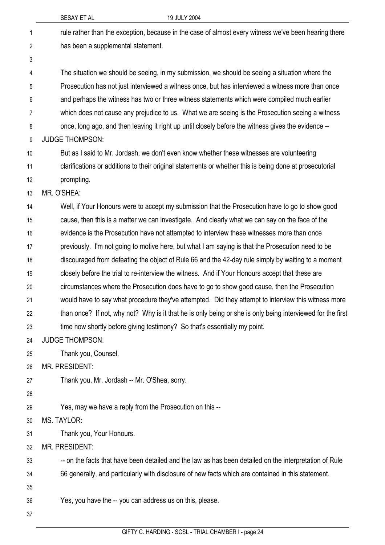|    | SESAY ET AL                                              | 19 JULY 2004                                                                                               |
|----|----------------------------------------------------------|------------------------------------------------------------------------------------------------------------|
| 1  |                                                          | rule rather than the exception, because in the case of almost every witness we've been hearing there       |
| 2  | has been a supplemental statement.                       |                                                                                                            |
| 3  |                                                          |                                                                                                            |
| 4  |                                                          | The situation we should be seeing, in my submission, we should be seeing a situation where the             |
| 5  |                                                          | Prosecution has not just interviewed a witness once, but has interviewed a witness more than once          |
| 6  |                                                          | and perhaps the witness has two or three witness statements which were compiled much earlier               |
| 7  |                                                          | which does not cause any prejudice to us. What we are seeing is the Prosecution seeing a witness           |
| 8  |                                                          | once, long ago, and then leaving it right up until closely before the witness gives the evidence --        |
| 9  | <b>JUDGE THOMPSON:</b>                                   |                                                                                                            |
| 10 |                                                          | But as I said to Mr. Jordash, we don't even know whether these witnesses are volunteering                  |
| 11 |                                                          | clarifications or additions to their original statements or whether this is being done at prosecutorial    |
| 12 | prompting.                                               |                                                                                                            |
| 13 | MR. O'SHEA:                                              |                                                                                                            |
| 14 |                                                          | Well, if Your Honours were to accept my submission that the Prosecution have to go to show good            |
| 15 |                                                          | cause, then this is a matter we can investigate. And clearly what we can say on the face of the            |
| 16 |                                                          | evidence is the Prosecution have not attempted to interview these witnesses more than once                 |
| 17 |                                                          | previously. I'm not going to motive here, but what I am saying is that the Prosecution need to be          |
| 18 |                                                          | discouraged from defeating the object of Rule 66 and the 42-day rule simply by waiting to a moment         |
| 19 |                                                          | closely before the trial to re-interview the witness. And if Your Honours accept that these are            |
| 20 |                                                          | circumstances where the Prosecution does have to go to show good cause, then the Prosecution               |
| 21 |                                                          | would have to say what procedure they've attempted. Did they attempt to interview this witness more        |
| 22 |                                                          | than once? If not, why not? Why is it that he is only being or she is only being interviewed for the first |
| 23 |                                                          | time now shortly before giving testimony? So that's essentially my point.                                  |
| 24 | <b>JUDGE THOMPSON:</b>                                   |                                                                                                            |
| 25 | Thank you, Counsel.                                      |                                                                                                            |
| 26 | MR. PRESIDENT:                                           |                                                                                                            |
| 27 | Thank you, Mr. Jordash -- Mr. O'Shea, sorry.             |                                                                                                            |
| 28 |                                                          |                                                                                                            |
| 29 | Yes, may we have a reply from the Prosecution on this -- |                                                                                                            |
| 30 | MS. TAYLOR:                                              |                                                                                                            |
| 31 | Thank you, Your Honours.                                 |                                                                                                            |
| 32 | MR. PRESIDENT:                                           |                                                                                                            |
| 33 |                                                          | -- on the facts that have been detailed and the law as has been detailed on the interpretation of Rule     |
| 34 |                                                          | 66 generally, and particularly with disclosure of new facts which are contained in this statement.         |
| 35 |                                                          |                                                                                                            |
| 36 | Yes, you have the -- you can address us on this, please. |                                                                                                            |
| 37 |                                                          |                                                                                                            |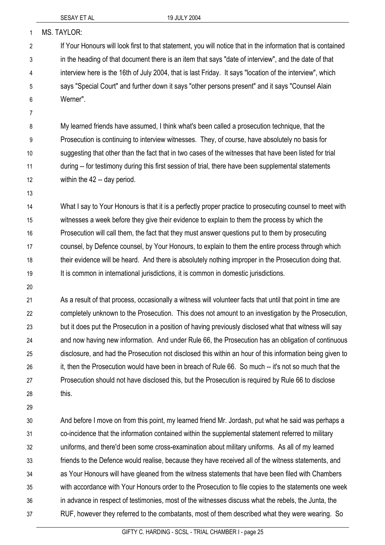| $\mathbf{1}$   | MS. TAYLOR:                                                                                                  |
|----------------|--------------------------------------------------------------------------------------------------------------|
| $\overline{2}$ | If Your Honours will look first to that statement, you will notice that in the information that is contained |
| 3              | in the heading of that document there is an item that says "date of interview", and the date of that         |
| 4              | interview here is the 16th of July 2004, that is last Friday. It says "location of the interview", which     |
| 5              | says "Special Court" and further down it says "other persons present" and it says "Counsel Alain             |
| 6              | Werner".                                                                                                     |
| $\overline{7}$ |                                                                                                              |
| 8              | My learned friends have assumed, I think what's been called a prosecution technique, that the                |
| 9              | Prosecution is continuing to interview witnesses. They, of course, have absolutely no basis for              |
| 10             | suggesting that other than the fact that in two cases of the witnesses that have been listed for trial       |
| 11             | during -- for testimony during this first session of trial, there have been supplemental statements          |
| 12             | within the 42 -- day period.                                                                                 |
| 13             |                                                                                                              |
| 14             | What I say to Your Honours is that it is a perfectly proper practice to prosecuting counsel to meet with     |
| 15             | witnesses a week before they give their evidence to explain to them the process by which the                 |
| 16             | Prosecution will call them, the fact that they must answer questions put to them by prosecuting              |
| 17             | counsel, by Defence counsel, by Your Honours, to explain to them the entire process through which            |
| 18             | their evidence will be heard. And there is absolutely nothing improper in the Prosecution doing that.        |
| 19             | It is common in international jurisdictions, it is common in domestic jurisdictions.                         |
| 20             |                                                                                                              |
| 21             | As a result of that process, occasionally a witness will volunteer facts that until that point in time are   |
| 22             | completely unknown to the Prosecution. This does not amount to an investigation by the Prosecution,          |
| 23             | but it does put the Prosecution in a position of having previously disclosed what that witness will say      |
| 24             | and now having new information. And under Rule 66, the Prosecution has an obligation of continuous           |
| 25             | disclosure, and had the Prosecution not disclosed this within an hour of this information being given to     |
| 26             | it, then the Prosecution would have been in breach of Rule 66. So much -- it's not so much that the          |
| 27             | Prosecution should not have disclosed this, but the Prosecution is required by Rule 66 to disclose           |
| 28             | this.                                                                                                        |
| 29             |                                                                                                              |
| 30             | And before I move on from this point, my learned friend Mr. Jordash, put what he said was perhaps a          |
| 31             | co-incidence that the information contained within the supplemental statement referred to military           |
|                |                                                                                                              |

uniforms, and there'd been some cross-examination about military uniforms. As all of my learned friends to the Defence would realise, because they have received all of the witness statements, and as Your Honours will have gleaned from the witness statements that have been filed with Chambers with accordance with Your Honours order to the Prosecution to file copies to the statements one week in advance in respect of testimonies, most of the witnesses discuss what the rebels, the Junta, the RUF, however they referred to the combatants, most of them described what they were wearing. So 32 33 34 35 36 37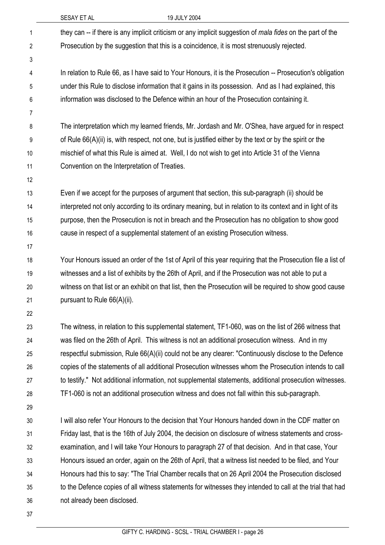|                | SESAY ET AL                                   | 19 JULY 2004                                                                                                      |
|----------------|-----------------------------------------------|-------------------------------------------------------------------------------------------------------------------|
| 1              |                                               | they can -- if there is any implicit criticism or any implicit suggestion of <i>mala fides</i> on the part of the |
| 2              |                                               | Prosecution by the suggestion that this is a coincidence, it is most strenuously rejected.                        |
| 3              |                                               |                                                                                                                   |
| 4              |                                               | In relation to Rule 66, as I have said to Your Honours, it is the Prosecution -- Prosecution's obligation         |
| 5              |                                               | under this Rule to disclose information that it gains in its possession. And as I had explained, this             |
| 6              |                                               | information was disclosed to the Defence within an hour of the Prosecution containing it.                         |
| $\overline{7}$ |                                               |                                                                                                                   |
| 8              |                                               | The interpretation which my learned friends, Mr. Jordash and Mr. O'Shea, have argued for in respect               |
| 9              |                                               | of Rule 66(A)(ii) is, with respect, not one, but is justified either by the text or by the spirit or the          |
| 10             |                                               | mischief of what this Rule is aimed at. Well, I do not wish to get into Article 31 of the Vienna                  |
| 11             | Convention on the Interpretation of Treaties. |                                                                                                                   |
| 12             |                                               |                                                                                                                   |
| 13             |                                               | Even if we accept for the purposes of argument that section, this sub-paragraph (ii) should be                    |
| 14             |                                               | interpreted not only according to its ordinary meaning, but in relation to its context and in light of its        |
| 15             |                                               | purpose, then the Prosecution is not in breach and the Prosecution has no obligation to show good                 |
| 16             |                                               | cause in respect of a supplemental statement of an existing Prosecution witness.                                  |
| 17             |                                               |                                                                                                                   |
| 18             |                                               | Your Honours issued an order of the 1st of April of this year requiring that the Prosecution file a list of       |
| 19             |                                               | witnesses and a list of exhibits by the 26th of April, and if the Prosecution was not able to put a               |
| 20             |                                               | witness on that list or an exhibit on that list, then the Prosecution will be required to show good cause         |
| 21             | pursuant to Rule 66(A)(ii).                   |                                                                                                                   |
| 22             |                                               |                                                                                                                   |
| 23             |                                               | The witness, in relation to this supplemental statement, TF1-060, was on the list of 266 witness that             |
| 24             |                                               | was filed on the 26th of April. This witness is not an additional prosecution witness. And in my                  |
| 25             |                                               | respectful submission, Rule 66(A)(ii) could not be any clearer: "Continuously disclose to the Defence             |
| 26             |                                               | copies of the statements of all additional Prosecution witnesses whom the Prosecution intends to call             |
| 27             |                                               | to testify." Not additional information, not supplemental statements, additional prosecution witnesses.           |
| 28             |                                               | TF1-060 is not an additional prosecution witness and does not fall within this sub-paragraph.                     |
| 29             |                                               |                                                                                                                   |
| 30             |                                               | I will also refer Your Honours to the decision that Your Honours handed down in the CDF matter on                 |
| 31             |                                               | Friday last, that is the 16th of July 2004, the decision on disclosure of witness statements and cross-           |
| 32             |                                               | examination, and I will take Your Honours to paragraph 27 of that decision. And in that case, Your                |
| 33             |                                               | Honours issued an order, again on the 26th of April, that a witness list needed to be filed, and Your             |
| 34             |                                               | Honours had this to say: "The Trial Chamber recalls that on 26 April 2004 the Prosecution disclosed               |
| 35             |                                               | to the Defence copies of all witness statements for witnesses they intended to call at the trial that had         |
| 36             | not already been disclosed.                   |                                                                                                                   |
| 37             |                                               |                                                                                                                   |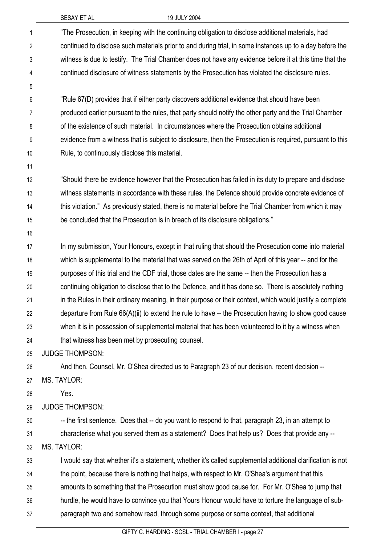| SESAY ET AL |  |  |
|-------------|--|--|
|             |  |  |

### 19 JULY 2004

| 1              | "The Prosecution, in keeping with the continuing obligation to disclose additional materials, had           |
|----------------|-------------------------------------------------------------------------------------------------------------|
| $\overline{2}$ | continued to disclose such materials prior to and during trial, in some instances up to a day before the    |
| $\mathfrak{Z}$ | witness is due to testify. The Trial Chamber does not have any evidence before it at this time that the     |
| 4              | continued disclosure of witness statements by the Prosecution has violated the disclosure rules.            |
| 5              |                                                                                                             |
| 6              | "Rule 67(D) provides that if either party discovers additional evidence that should have been               |
| 7              | produced earlier pursuant to the rules, that party should notify the other party and the Trial Chamber      |
| 8              | of the existence of such material. In circumstances where the Prosecution obtains additional                |
| 9              | evidence from a witness that is subject to disclosure, then the Prosecution is required, pursuant to this   |
| 10             | Rule, to continuously disclose this material.                                                               |
| 11             |                                                                                                             |
| 12             | "Should there be evidence however that the Prosecution has failed in its duty to prepare and disclose       |
| 13             | witness statements in accordance with these rules, the Defence should provide concrete evidence of          |
| 14             | this violation." As previously stated, there is no material before the Trial Chamber from which it may      |
| 15             | be concluded that the Prosecution is in breach of its disclosure obligations."                              |
| 16             |                                                                                                             |
| 17             | In my submission, Your Honours, except in that ruling that should the Prosecution come into material        |
| 18             | which is supplemental to the material that was served on the 26th of April of this year -- and for the      |
| 19             | purposes of this trial and the CDF trial, those dates are the same -- then the Prosecution has a            |
| 20             | continuing obligation to disclose that to the Defence, and it has done so. There is absolutely nothing      |
| 21             | in the Rules in their ordinary meaning, in their purpose or their context, which would justify a complete   |
| 22             | departure from Rule $66(A)(ii)$ to extend the rule to have $-$ the Prosecution having to show good cause    |
| 23             | when it is in possession of supplemental material that has been volunteered to it by a witness when         |
| 24             | that witness has been met by prosecuting counsel.                                                           |
| 25             | <b>JUDGE THOMPSON:</b>                                                                                      |
| 26             | And then, Counsel, Mr. O'Shea directed us to Paragraph 23 of our decision, recent decision --               |
| 27             | MS. TAYLOR:                                                                                                 |
| 28             | Yes.                                                                                                        |
| 29             | <b>JUDGE THOMPSON:</b>                                                                                      |
| 30             | -- the first sentence. Does that -- do you want to respond to that, paragraph 23, in an attempt to          |
| 31             | characterise what you served them as a statement? Does that help us? Does that provide any --               |
| 32             | <b>MS. TAYLOR:</b>                                                                                          |
| 33             | I would say that whether it's a statement, whether it's called supplemental additional clarification is not |
| 34             | the point, because there is nothing that helps, with respect to Mr. O'Shea's argument that this             |
| 35             | amounts to something that the Prosecution must show good cause for. For Mr. O'Shea to jump that             |
| 36             | hurdle, he would have to convince you that Yours Honour would have to torture the language of sub-          |
| 37             | paragraph two and somehow read, through some purpose or some context, that additional                       |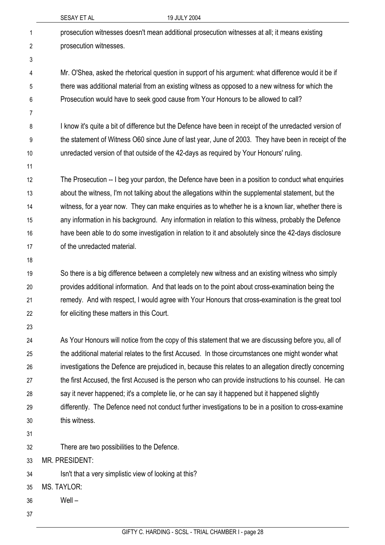|    | 19 JULY 2004<br>SESAY ET AL                                                                             |
|----|---------------------------------------------------------------------------------------------------------|
| 1  | prosecution witnesses doesn't mean additional prosecution witnesses at all; it means existing           |
| 2  | prosecution witnesses.                                                                                  |
| 3  |                                                                                                         |
| 4  | Mr. O'Shea, asked the rhetorical question in support of his argument: what difference would it be if    |
| 5  | there was additional material from an existing witness as opposed to a new witness for which the        |
| 6  | Prosecution would have to seek good cause from Your Honours to be allowed to call?                      |
| 7  |                                                                                                         |
| 8  | I know it's quite a bit of difference but the Defence have been in receipt of the unredacted version of |
| 9  | the statement of Witness O60 since June of last year, June of 2003. They have been in receipt of the    |
| 10 | unredacted version of that outside of the 42-days as required by Your Honours' ruling.                  |
| 11 |                                                                                                         |
| 12 | The Prosecution -- I beg your pardon, the Defence have been in a position to conduct what enquiries     |
| 13 | about the witness, I'm not talking about the allegations within the supplemental statement, but the     |
| 14 | witness, for a year now. They can make enquiries as to whether he is a known liar, whether there is     |
| 15 | any information in his background. Any information in relation to this witness, probably the Defence    |
| 16 | have been able to do some investigation in relation to it and absolutely since the 42-days disclosure   |
| 17 | of the unredacted material.                                                                             |
| 18 |                                                                                                         |
| 19 | So there is a big difference between a completely new witness and an existing witness who simply        |
| 20 | provides additional information. And that leads on to the point about cross-examination being the       |
| 21 | remedy. And with respect, I would agree with Your Honours that cross-examination is the great tool      |
| 22 | for eliciting these matters in this Court.                                                              |
| 23 |                                                                                                         |
| 24 | As Your Honours will notice from the copy of this statement that we are discussing before you, all of   |
| 25 | the additional material relates to the first Accused. In those circumstances one might wonder what      |
| 26 | investigations the Defence are prejudiced in, because this relates to an allegation directly concerning |
| 27 | the first Accused, the first Accused is the person who can provide instructions to his counsel. He can  |
| 28 | say it never happened; it's a complete lie, or he can say it happened but it happened slightly          |
| 29 | differently. The Defence need not conduct further investigations to be in a position to cross-examine   |
| 30 | this witness.                                                                                           |
| 31 |                                                                                                         |
| 32 | There are two possibilities to the Defence.                                                             |
| 33 | MR. PRESIDENT:                                                                                          |
| 34 | Isn't that a very simplistic view of looking at this?                                                   |
| 35 | <b>MS. TAYLOR:</b>                                                                                      |
| 36 | Well-                                                                                                   |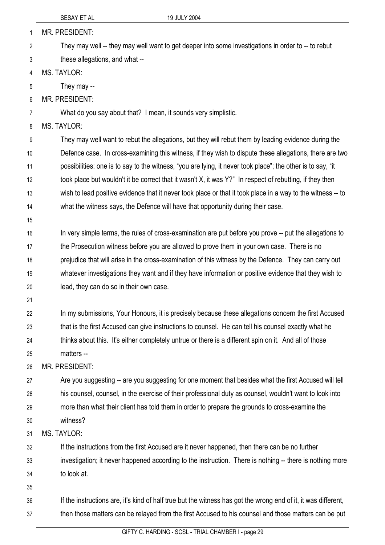|                | SESAY ET AL                                                    | 19 JULY 2004                                                                                                   |
|----------------|----------------------------------------------------------------|----------------------------------------------------------------------------------------------------------------|
| $\mathbf{1}$   | MR. PRESIDENT:                                                 |                                                                                                                |
| $\overline{2}$ |                                                                | They may well -- they may well want to get deeper into some investigations in order to -- to rebut             |
| 3              | these allegations, and what --                                 |                                                                                                                |
| 4              | <b>MS. TAYLOR:</b>                                             |                                                                                                                |
| 5              | They may --                                                    |                                                                                                                |
| 6              | <b>MR. PRESIDENT:</b>                                          |                                                                                                                |
| 7              | What do you say about that? I mean, it sounds very simplistic. |                                                                                                                |
| 8              | <b>MS. TAYLOR:</b>                                             |                                                                                                                |
| 9              |                                                                | They may well want to rebut the allegations, but they will rebut them by leading evidence during the           |
| 10             |                                                                | Defence case. In cross-examining this witness, if they wish to dispute these allegations, there are two        |
| 11             |                                                                | possibilities: one is to say to the witness, "you are lying, it never took place"; the other is to say, "it    |
| 12             |                                                                | took place but wouldn't it be correct that it wasn't X, it was Y?" In respect of rebutting, if they then       |
| 13             |                                                                | wish to lead positive evidence that it never took place or that it took place in a way to the witness -- to    |
| 14             |                                                                | what the witness says, the Defence will have that opportunity during their case.                               |
| 15             |                                                                |                                                                                                                |
| 16             |                                                                | In very simple terms, the rules of cross-examination are put before you prove -- put the allegations to        |
| 17             |                                                                | the Prosecution witness before you are allowed to prove them in your own case. There is no                     |
| 18             |                                                                | prejudice that will arise in the cross-examination of this witness by the Defence. They can carry out          |
| 19             |                                                                | whatever investigations they want and if they have information or positive evidence that they wish to          |
| 20             | lead, they can do so in their own case.                        |                                                                                                                |
| 21             |                                                                |                                                                                                                |
| 22             |                                                                | In my submissions, Your Honours, it is precisely because these allegations concern the first Accused           |
| 23             |                                                                | that is the first Accused can give instructions to counsel. He can tell his counsel exactly what he            |
| 24             |                                                                | thinks about this. It's either completely untrue or there is a different spin on it. And all of those          |
| 25             | matters --                                                     |                                                                                                                |
| 26             | MR. PRESIDENT:                                                 |                                                                                                                |
| 27             |                                                                | Are you suggesting -- are you suggesting for one moment that besides what the first Accused will tell          |
| 28             |                                                                | his counsel, counsel, in the exercise of their professional duty as counsel, wouldn't want to look into        |
| 29             |                                                                | more than what their client has told them in order to prepare the grounds to cross-examine the                 |
| 30             | witness?                                                       |                                                                                                                |
| 31             | <b>MS. TAYLOR:</b>                                             |                                                                                                                |
| 32             |                                                                | If the instructions from the first Accused are it never happened, then there can be no further                 |
| 33             |                                                                | investigation; it never happened according to the instruction. There is nothing -- there is nothing more       |
| 34             | to look at.                                                    |                                                                                                                |
| 35             |                                                                |                                                                                                                |
| 36             |                                                                | If the instructions are, it's kind of half true but the witness has got the wrong end of it, it was different, |
| 37             |                                                                | then those matters can be relayed from the first Accused to his counsel and those matters can be put           |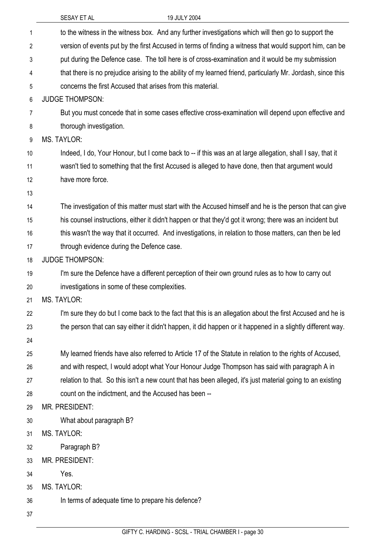|                | SESAY ET AL<br>19 JULY 2004                                                                                  |
|----------------|--------------------------------------------------------------------------------------------------------------|
| 1              | to the witness in the witness box. And any further investigations which will then go to support the          |
| $\overline{2}$ | version of events put by the first Accused in terms of finding a witness that would support him, can be      |
| 3              | put during the Defence case. The toll here is of cross-examination and it would be my submission             |
| 4              | that there is no prejudice arising to the ability of my learned friend, particularly Mr. Jordash, since this |
| 5              | concerns the first Accused that arises from this material.                                                   |
| 6              | <b>JUDGE THOMPSON:</b>                                                                                       |
| 7              | But you must concede that in some cases effective cross-examination will depend upon effective and           |
| 8              | thorough investigation.                                                                                      |
| 9              | <b>MS. TAYLOR:</b>                                                                                           |
| 10             | Indeed, I do, Your Honour, but I come back to -- if this was an at large allegation, shall I say, that it    |
| 11             | wasn't tied to something that the first Accused is alleged to have done, then that argument would            |
| 12             | have more force.                                                                                             |
| 13             |                                                                                                              |
| 14             | The investigation of this matter must start with the Accused himself and he is the person that can give      |
| 15             | his counsel instructions, either it didn't happen or that they'd got it wrong; there was an incident but     |
| 16             | this wasn't the way that it occurred. And investigations, in relation to those matters, can then be led      |
| 17             | through evidence during the Defence case.                                                                    |
| 18             | <b>JUDGE THOMPSON:</b>                                                                                       |
| 19             | I'm sure the Defence have a different perception of their own ground rules as to how to carry out            |
| 20             | investigations in some of these complexities.                                                                |
| 21             | <b>MS. TAYLOR:</b>                                                                                           |
| 22             | I'm sure they do but I come back to the fact that this is an allegation about the first Accused and he is    |
| 23             | the person that can say either it didn't happen, it did happen or it happened in a slightly different way.   |
| 24             |                                                                                                              |
| 25             | My learned friends have also referred to Article 17 of the Statute in relation to the rights of Accused,     |
| 26             | and with respect, I would adopt what Your Honour Judge Thompson has said with paragraph A in                 |
| 27             | relation to that. So this isn't a new count that has been alleged, it's just material going to an existing   |
| 28             | count on the indictment, and the Accused has been --                                                         |
| 29             | <b>MR. PRESIDENT:</b>                                                                                        |
| 30             | What about paragraph B?                                                                                      |
| 31             | <b>MS. TAYLOR:</b>                                                                                           |
| 32             | Paragraph B?                                                                                                 |
| 33             | MR. PRESIDENT:                                                                                               |
| 34             | Yes.                                                                                                         |
| 35             | <b>MS. TAYLOR:</b>                                                                                           |
| 36             | In terms of adequate time to prepare his defence?                                                            |
| 37             |                                                                                                              |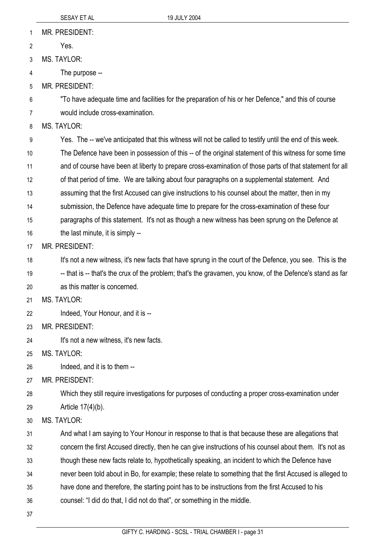MR. PRESIDENT: 1

Yes. 2

3 MS. TAYLOR:

4 The purpose --

5 MR. PRESIDENT:

6 7 "To have adequate time and facilities for the preparation of his or her Defence," and this of course would include cross-examination.

8 MS. TAYI OR:

9 Yes. The -- we've anticipated that this witness will not be called to testify until the end of this week.

10 The Defence have been in possession of this -- of the original statement of this witness for some time

11 and of course have been at liberty to prepare cross-examination of those parts of that statement for all

12 of that period of time. We are talking about four paragraphs on a supplemental statement. And

13 assuming that the first Accused can give instructions to his counsel about the matter, then in my

14 submission, the Defence have adequate time to prepare for the cross-examination of these four

15 paragraphs of this statement. It's not as though a new witness has been sprung on the Defence at

16 the last minute, it is simply --

17 MR. PRESIDENT:

18 It's not a new witness, it's new facts that have sprung in the court of the Defence, you see. This is the

19 -- that is -- that's the crux of the problem; that's the gravamen, you know, of the Defence's stand as far

20 as this matter is concerned.

21 MS. TAYLOR:

22 Indeed, Your Honour, and it is --

23 MR. PRESIDENT:

24 It's not a new witness, it's new facts.

25 MS. TAYLOR:

26 Indeed, and it is to them --

27 MR. PREISDENT:

28 Which they still require investigations for purposes of conducting a proper cross-examination under

29 Article 17(4)(b).

30 MS. TAYLOR:

31 And what I am saying to Your Honour in response to that is that because these are allegations that

32 concern the first Accused directly, then he can give instructions of his counsel about them. It's not as

33 though these new facts relate to, hypothetically speaking, an incident to which the Defence have

34 never been told about in Bo, for example; these relate to something that the first Accused is alleged to

35 have done and therefore, the starting point has to be instructions from the first Accused to his

36 counsel: "I did do that, I did not do that", or something in the middle.

37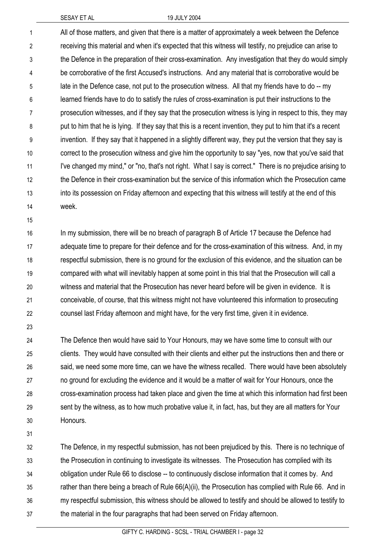All of those matters, and given that there is a matter of approximately a week between the Defence receiving this material and when it's expected that this witness will testify, no prejudice can arise to the Defence in the preparation of their cross-examination. Any investigation that they do would simply be corroborative of the first Accused's instructions. And any material that is corroborative would be late in the Defence case, not put to the prosecution witness. All that my friends have to do -- my learned friends have to do to satisfy the rules of cross-examination is put their instructions to the prosecution witnesses, and if they say that the prosecution witness is lying in respect to this, they may put to him that he is lying. If they say that this is a recent invention, they put to him that it's a recent invention. If they say that it happened in a slightly different way, they put the version that they say is correct to the prosecution witness and give him the opportunity to say "yes, now that you've said that I've changed my mind," or "no, that's not right. What I say is correct." There is no prejudice arising to the Defence in their cross-examination but the service of this information which the Prosecution came into its possession on Friday afternoon and expecting that this witness will testify at the end of this week. 1 2 3 4 5 6 7 8 9 10 11 12 13 14

15

In my submission, there will be no breach of paragraph B of Article 17 because the Defence had adequate time to prepare for their defence and for the cross-examination of this witness. And, in my respectful submission, there is no ground for the exclusion of this evidence, and the situation can be compared with what will inevitably happen at some point in this trial that the Prosecution will call a witness and material that the Prosecution has never heard before will be given in evidence. It is conceivable, of course, that this witness might not have volunteered this information to prosecuting counsel last Friday afternoon and might have, for the very first time, given it in evidence. 16 17 18 19 20 21 22

23

The Defence then would have said to Your Honours, may we have some time to consult with our clients. They would have consulted with their clients and either put the instructions then and there or said, we need some more time, can we have the witness recalled. There would have been absolutely no ground for excluding the evidence and it would be a matter of wait for Your Honours, once the cross-examination process had taken place and given the time at which this information had first been sent by the witness, as to how much probative value it, in fact, has, but they are all matters for Your Honours. 24 25 26 27 28 29 30

31

The Defence, in my respectful submission, has not been prejudiced by this. There is no technique of the Prosecution in continuing to investigate its witnesses. The Prosecution has complied with its obligation under Rule 66 to disclose -- to continuously disclose information that it comes by. And rather than there being a breach of Rule 66(A)(ii), the Prosecution has complied with Rule 66. And in my respectful submission, this witness should be allowed to testify and should be allowed to testify to the material in the four paragraphs that had been served on Friday afternoon. 32 33 34 35 36 37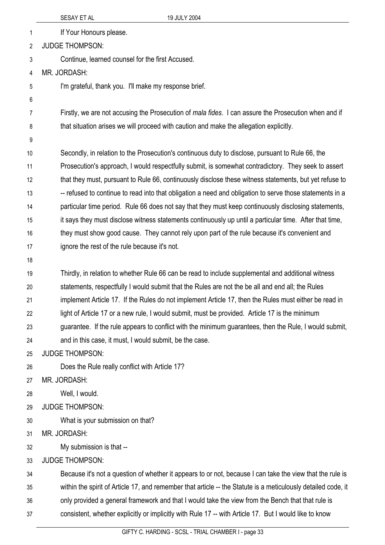|    | SESAY ET AL                                             | 19 JULY 2004                                                                                                  |  |
|----|---------------------------------------------------------|---------------------------------------------------------------------------------------------------------------|--|
| 1  | If Your Honours please.                                 |                                                                                                               |  |
| 2  | <b>JUDGE THOMPSON:</b>                                  |                                                                                                               |  |
| 3  | Continue, learned counsel for the first Accused.        |                                                                                                               |  |
| 4  | MR. JORDASH:                                            |                                                                                                               |  |
| 5  | I'm grateful, thank you. I'll make my response brief.   |                                                                                                               |  |
| 6  |                                                         |                                                                                                               |  |
| 7  |                                                         | Firstly, we are not accusing the Prosecution of <i>mala fides</i> . I can assure the Prosecution when and if  |  |
| 8  |                                                         | that situation arises we will proceed with caution and make the allegation explicitly.                        |  |
| 9  |                                                         |                                                                                                               |  |
| 10 |                                                         | Secondly, in relation to the Prosecution's continuous duty to disclose, pursuant to Rule 66, the              |  |
| 11 |                                                         | Prosecution's approach, I would respectfully submit, is somewhat contradictory. They seek to assert           |  |
| 12 |                                                         | that they must, pursuant to Rule 66, continuously disclose these witness statements, but yet refuse to        |  |
| 13 |                                                         | -- refused to continue to read into that obligation a need and obligation to serve those statements in a      |  |
| 14 |                                                         | particular time period. Rule 66 does not say that they must keep continuously disclosing statements,          |  |
| 15 |                                                         | it says they must disclose witness statements continuously up until a particular time. After that time,       |  |
| 16 |                                                         | they must show good cause. They cannot rely upon part of the rule because it's convenient and                 |  |
| 17 | ignore the rest of the rule because it's not.           |                                                                                                               |  |
| 18 |                                                         |                                                                                                               |  |
| 19 |                                                         | Thirdly, in relation to whether Rule 66 can be read to include supplemental and additional witness            |  |
| 20 |                                                         | statements, respectfully I would submit that the Rules are not the be all and end all; the Rules              |  |
| 21 |                                                         | implement Article 17. If the Rules do not implement Article 17, then the Rules must either be read in         |  |
| 22 |                                                         | light of Article 17 or a new rule, I would submit, must be provided. Article 17 is the minimum                |  |
| 23 |                                                         | guarantee. If the rule appears to conflict with the minimum guarantees, then the Rule, I would submit,        |  |
| 24 | and in this case, it must, I would submit, be the case. |                                                                                                               |  |
| 25 | <b>JUDGE THOMPSON:</b>                                  |                                                                                                               |  |
| 26 | Does the Rule really conflict with Article 17?          |                                                                                                               |  |
| 27 | MR. JORDASH:                                            |                                                                                                               |  |
| 28 | Well, I would.                                          |                                                                                                               |  |
| 29 | <b>JUDGE THOMPSON:</b>                                  |                                                                                                               |  |
| 30 | What is your submission on that?                        |                                                                                                               |  |
| 31 | MR. JORDASH:                                            |                                                                                                               |  |
| 32 | My submission is that --                                |                                                                                                               |  |
| 33 | <b>JUDGE THOMPSON:</b>                                  |                                                                                                               |  |
| 34 |                                                         | Because it's not a question of whether it appears to or not, because I can take the view that the rule is     |  |
| 35 |                                                         | within the spirit of Article 17, and remember that article -- the Statute is a meticulously detailed code, it |  |
| 36 |                                                         | only provided a general framework and that I would take the view from the Bench that that rule is             |  |
| 37 |                                                         | consistent, whether explicitly or implicitly with Rule 17 -- with Article 17. But I would like to know        |  |
|    |                                                         |                                                                                                               |  |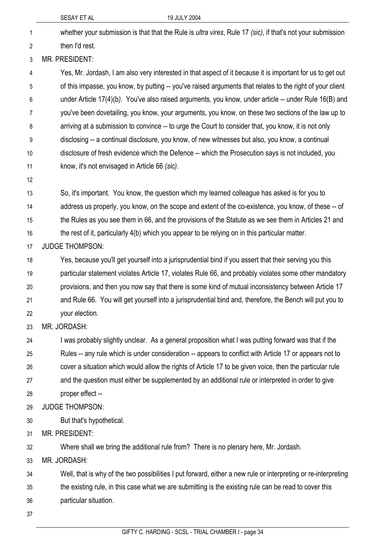|              | 19 JULY 2004<br>SESAY ET AL                                                                                        |
|--------------|--------------------------------------------------------------------------------------------------------------------|
| $\mathbf{1}$ | whether your submission is that that the Rule is <i>ultra vires</i> , Rule 17 (sic), if that's not your submission |
| 2            | then I'd rest.                                                                                                     |
| 3            | MR. PRESIDENT:                                                                                                     |
| 4            | Yes, Mr. Jordash, I am also very interested in that aspect of it because it is important for us to get out         |
| 5            | of this impasse, you know, by putting -- you've raised arguments that relates to the right of your client          |
| 6            | under Article 17(4)(b). You've also raised arguments, you know, under article -- under Rule 16(B) and              |
| 7            | you've been dovetailing, you know, your arguments, you know, on these two sections of the law up to                |
| 8            | arriving at a submission to convince -- to urge the Court to consider that, you know, it is not only               |
| 9            | disclosing -- a continual disclosure, you know, of new witnesses but also, you know, a continual                   |
| 10           | disclosure of fresh evidence which the Defence -- which the Prosecution says is not included, you                  |
| 11           | know, it's not envisaged in Article 66 (sic).                                                                      |
| 12           |                                                                                                                    |
| 13           | So, it's important. You know, the question which my learned colleague has asked is for you to                      |
| 14           | address us properly, you know, on the scope and extent of the co-existence, you know, of these -- of               |
| 15           | the Rules as you see them in 66, and the provisions of the Statute as we see them in Articles 21 and               |
| 16           | the rest of it, particularly 4(b) which you appear to be relying on in this particular matter.                     |
| 17           | <b>JUDGE THOMPSON:</b>                                                                                             |
| 18           | Yes, because you'll get yourself into a jurisprudential bind if you assert that their serving you this             |
| 19           | particular statement violates Article 17, violates Rule 66, and probably violates some other mandatory             |
| 20           | provisions, and then you now say that there is some kind of mutual inconsistency between Article 17                |
| 21           | and Rule 66. You will get yourself into a jurisprudential bind and, therefore, the Bench will put you to           |
| 22           | your election.                                                                                                     |
| 23           | MR. JORDASH:                                                                                                       |
| 24           | I was probably slightly unclear. As a general proposition what I was putting forward was that if the               |
| 25           | Rules -- any rule which is under consideration -- appears to conflict with Article 17 or appears not to            |
| 26           | cover a situation which would allow the rights of Article 17 to be given voice, then the particular rule           |
| 27           | and the question must either be supplemented by an additional rule or interpreted in order to give                 |
| 28           | proper effect --                                                                                                   |
| 29           | <b>JUDGE THOMPSON:</b>                                                                                             |
| 30           | But that's hypothetical.                                                                                           |
| 31           | <b>MR. PRESIDENT:</b>                                                                                              |
| 32           | Where shall we bring the additional rule from? There is no plenary here, Mr. Jordash.                              |
| 33           | MR. JORDASH:                                                                                                       |
| 34           | Well, that is why of the two possibilities I put forward, either a new rule or interpreting or re-interpreting     |
| 35           | the existing rule, in this case what we are submitting is the existing rule can be read to cover this              |
| 36           | particular situation.                                                                                              |
| 37           |                                                                                                                    |
|              |                                                                                                                    |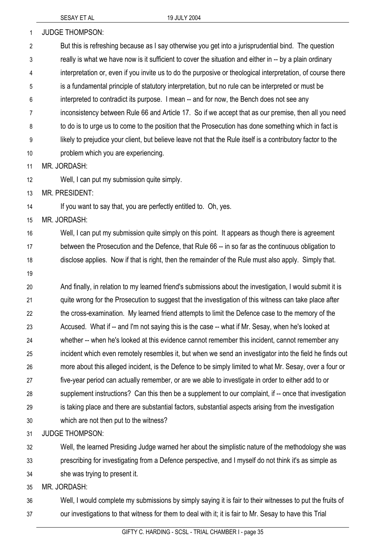| 1              | <b>JUDGE THOMPSON:</b>                                                                                      |
|----------------|-------------------------------------------------------------------------------------------------------------|
| $\overline{2}$ | But this is refreshing because as I say otherwise you get into a jurisprudential bind. The question         |
| 3              | really is what we have now is it sufficient to cover the situation and either in -- by a plain ordinary     |
| 4              | interpretation or, even if you invite us to do the purposive or theological interpretation, of course there |
| 5              | is a fundamental principle of statutory interpretation, but no rule can be interpreted or must be           |
| 6              | interpreted to contradict its purpose. I mean -- and for now, the Bench does not see any                    |
| 7              | inconsistency between Rule 66 and Article 17. So if we accept that as our premise, then all you need        |
| 8              | to do is to urge us to come to the position that the Prosecution has done something which in fact is        |
| 9              | likely to prejudice your client, but believe leave not that the Rule itself is a contributory factor to the |
| 10             | problem which you are experiencing.                                                                         |
| 11             | MR. JORDASH:                                                                                                |
| 12             | Well, I can put my submission quite simply.                                                                 |
| 13             | MR. PRESIDENT:                                                                                              |
| 14             | If you want to say that, you are perfectly entitled to. Oh, yes.                                            |
| 15             | MR. JORDASH:                                                                                                |
| 16             | Well, I can put my submission quite simply on this point. It appears as though there is agreement           |
| 17             | between the Prosecution and the Defence, that Rule 66 -- in so far as the continuous obligation to          |
| 18             | disclose applies. Now if that is right, then the remainder of the Rule must also apply. Simply that.        |
| 19             |                                                                                                             |
| 20             | And finally, in relation to my learned friend's submissions about the investigation, I would submit it is   |
| 21             | quite wrong for the Prosecution to suggest that the investigation of this witness can take place after      |
| 22             | the cross-examination. My learned friend attempts to limit the Defence case to the memory of the            |
| 23             | Accused. What if -- and I'm not saying this is the case -- what if Mr. Sesay, when he's looked at           |
| 24             | whether -- when he's looked at this evidence cannot remember this incident, cannot remember any             |
| 25             | incident which even remotely resembles it, but when we send an investigator into the field he finds out     |
| 26             | more about this alleged incident, is the Defence to be simply limited to what Mr. Sesay, over a four or     |
| 27             | five-year period can actually remember, or are we able to investigate in order to either add to or          |
| 28             | supplement instructions? Can this then be a supplement to our complaint, if -- once that investigation      |
| 29             | is taking place and there are substantial factors, substantial aspects arising from the investigation       |
| 30             | which are not then put to the witness?                                                                      |
| 31             | <b>JUDGE THOMPSON:</b>                                                                                      |
| 32             | Well, the learned Presiding Judge warned her about the simplistic nature of the methodology she was         |
| 33             | prescribing for investigating from a Defence perspective, and I myself do not think it's as simple as       |

34 she was trying to present it.

35 MR. JORDASH:

36 37 Well, I would complete my submissions by simply saying it is fair to their witnesses to put the fruits of our investigations to that witness for them to deal with it; it is fair to Mr. Sesay to have this Trial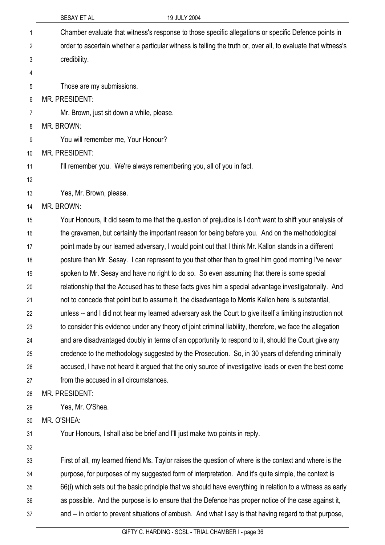|    | SESAY ET AL<br>19 JULY 2004                                                                                   |
|----|---------------------------------------------------------------------------------------------------------------|
| 1  | Chamber evaluate that witness's response to those specific allegations or specific Defence points in          |
| 2  | order to ascertain whether a particular witness is telling the truth or, over all, to evaluate that witness's |
| 3  | credibility.                                                                                                  |
| 4  |                                                                                                               |
| 5  | Those are my submissions.                                                                                     |
| 6  | <b>MR. PRESIDENT:</b>                                                                                         |
| 7  | Mr. Brown, just sit down a while, please.                                                                     |
| 8  | MR. BROWN:                                                                                                    |
| 9  | You will remember me, Your Honour?                                                                            |
| 10 | <b>MR. PRESIDENT:</b>                                                                                         |
| 11 | I'll remember you. We're always remembering you, all of you in fact.                                          |
| 12 |                                                                                                               |
| 13 | Yes, Mr. Brown, please.                                                                                       |
| 14 | MR. BROWN:                                                                                                    |
| 15 | Your Honours, it did seem to me that the question of prejudice is I don't want to shift your analysis of      |
| 16 | the gravamen, but certainly the important reason for being before you. And on the methodological              |
| 17 | point made by our learned adversary, I would point out that I think Mr. Kallon stands in a different          |
| 18 | posture than Mr. Sesay. I can represent to you that other than to greet him good morning I've never           |
| 19 | spoken to Mr. Sesay and have no right to do so. So even assuming that there is some special                   |
| 20 | relationship that the Accused has to these facts gives him a special advantage investigatorially. And         |
| 21 | not to concede that point but to assume it, the disadvantage to Morris Kallon here is substantial,            |
| 22 | unless -- and I did not hear my learned adversary ask the Court to give itself a limiting instruction not     |
| 23 | to consider this evidence under any theory of joint criminal liability, therefore, we face the allegation     |
| 24 | and are disadvantaged doubly in terms of an opportunity to respond to it, should the Court give any           |
| 25 | credence to the methodology suggested by the Prosecution. So, in 30 years of defending criminally             |
| 26 | accused, I have not heard it argued that the only source of investigative leads or even the best come         |
| 27 | from the accused in all circumstances.                                                                        |
| 28 | MR. PRESIDENT:                                                                                                |
| 29 | Yes, Mr. O'Shea.                                                                                              |
| 30 | MR. O'SHEA:                                                                                                   |
| 31 | Your Honours, I shall also be brief and I'll just make two points in reply.                                   |
| 32 |                                                                                                               |
| 33 | First of all, my learned friend Ms. Taylor raises the question of where is the context and where is the       |
| 34 | purpose, for purposes of my suggested form of interpretation. And it's quite simple, the context is           |
| 35 | 66(i) which sets out the basic principle that we should have everything in relation to a witness as early     |
| 36 | as possible. And the purpose is to ensure that the Defence has proper notice of the case against it,          |
| 37 | and -- in order to prevent situations of ambush. And what I say is that having regard to that purpose,        |
|    |                                                                                                               |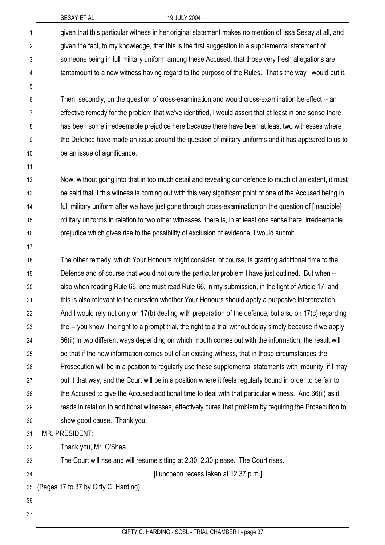| $\mathbf{1}$   | given that this particular witness in her original statement makes no mention of Issa Sesay at all, and     |
|----------------|-------------------------------------------------------------------------------------------------------------|
| $\overline{2}$ | given the fact, to my knowledge, that this is the first suggestion in a supplemental statement of           |
| 3              | someone being in full military uniform among these Accused, that those very fresh allegations are           |
| 4              | tantamount to a new witness having regard to the purpose of the Rules. That's the way I would put it.       |
| 5              |                                                                                                             |
| 6              | Then, secondly, on the question of cross-examination and would cross-examination be effect -- an            |
| $\overline{7}$ | effective remedy for the problem that we've identified, I would assert that at least in one sense there     |
| 8              | has been some irredeemable prejudice here because there have been at least two witnesses where              |
| 9              | the Defence have made an issue around the question of military uniforms and it has appeared to us to        |
| 10             | be an issue of significance.                                                                                |
| 11             |                                                                                                             |
| 12             | Now, without going into that in too much detail and revealing our defence to much of an extent, it must     |
| 13             | be said that if this witness is coming out with this very significant point of one of the Accused being in  |
| 14             | full military uniform after we have just gone through cross-examination on the question of [Inaudible]      |
| 15             | military uniforms in relation to two other witnesses, there is, in at least one sense here, irredeemable    |
| 16             | prejudice which gives rise to the possibility of exclusion of evidence, I would submit.                     |
| 17             |                                                                                                             |
| 18             | The other remedy, which Your Honours might consider, of course, is granting additional time to the          |
| 19             | Defence and of course that would not cure the particular problem I have just outlined. But when --          |
| 20             | also when reading Rule 66, one must read Rule 66, in my submission, in the light of Article 17, and         |
| 21             | this is also relevant to the question whether Your Honours should apply a purposive interpretation.         |
| 22             | And I would rely not only on 17(b) dealing with preparation of the defence, but also on 17(c) regarding     |
| 23             | the -- you know, the right to a prompt trial, the right to a trial without delay simply because if we apply |
| 24             | 66(ii) in two different ways depending on which mouth comes out with the information, the result will       |
| 25             | be that if the new information comes out of an existing witness, that in those circumstances the            |
| 26             | Prosecution will be in a position to regularly use these supplemental statements with impunity, if I may    |
| 27             | put it that way, and the Court will be in a position where it feels regularly bound in order to be fair to  |
| 28             | the Accused to give the Accused additional time to deal with that particular witness. And 66(ii) as it      |
| 29             | reads in relation to additional witnesses, effectively cures that problem by requiring the Prosecution to   |
| 30             | show good cause. Thank you.                                                                                 |
| 31             | MR. PRESIDENT:                                                                                              |
| 32             | Thank you, Mr. O'Shea.                                                                                      |
| 33             | The Court will rise and will resume sitting at 2.30, 2.30 please. The Court rises.                          |
| 34             | [Luncheon recess taken at 12.37 p.m.]                                                                       |
| 35             | (Pages 17 to 37 by Gifty C. Harding)                                                                        |
| 36             |                                                                                                             |
| 37             |                                                                                                             |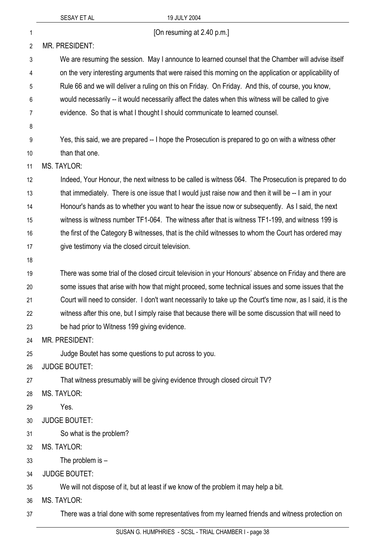|                | SESAY ET AL                                           | 19 JULY 2004                                                                                                |
|----------------|-------------------------------------------------------|-------------------------------------------------------------------------------------------------------------|
| 1              |                                                       | [On resuming at 2.40 p.m.]                                                                                  |
| 2              | MR. PRESIDENT:                                        |                                                                                                             |
| $\mathfrak{Z}$ |                                                       | We are resuming the session. May I announce to learned counsel that the Chamber will advise itself          |
| 4              |                                                       | on the very interesting arguments that were raised this morning on the application or applicability of      |
| 5              |                                                       | Rule 66 and we will deliver a ruling on this on Friday. On Friday. And this, of course, you know,           |
| 6              |                                                       | would necessarily -- it would necessarily affect the dates when this witness will be called to give         |
| $\overline{7}$ |                                                       | evidence. So that is what I thought I should communicate to learned counsel.                                |
| 8              |                                                       |                                                                                                             |
| 9              |                                                       | Yes, this said, we are prepared -- I hope the Prosecution is prepared to go on with a witness other         |
| 10             | than that one.                                        |                                                                                                             |
| 11             | <b>MS. TAYLOR:</b>                                    |                                                                                                             |
| 12             |                                                       | Indeed, Your Honour, the next witness to be called is witness 064. The Prosecution is prepared to do        |
| 13             |                                                       | that immediately. There is one issue that I would just raise now and then it will be -- I am in your        |
| 14             |                                                       | Honour's hands as to whether you want to hear the issue now or subsequently. As I said, the next            |
| 15             |                                                       | witness is witness number TF1-064. The witness after that is witness TF1-199, and witness 199 is            |
| 16             |                                                       | the first of the Category B witnesses, that is the child witnesses to whom the Court has ordered may        |
| 17             | give testimony via the closed circuit television.     |                                                                                                             |
| 18             |                                                       |                                                                                                             |
| 19             |                                                       | There was some trial of the closed circuit television in your Honours' absence on Friday and there are      |
| 20             |                                                       | some issues that arise with how that might proceed, some technical issues and some issues that the          |
| 21             |                                                       | Court will need to consider. I don't want necessarily to take up the Court's time now, as I said, it is the |
| 22             |                                                       | witness after this one, but I simply raise that because there will be some discussion that will need to     |
| 23             | be had prior to Witness 199 giving evidence.          |                                                                                                             |
| 24             | MR. PRESIDENT:                                        |                                                                                                             |
| 25             | Judge Boutet has some questions to put across to you. |                                                                                                             |
| 26             | <b>JUDGE BOUTET:</b>                                  |                                                                                                             |
| 27             |                                                       | That witness presumably will be giving evidence through closed circuit TV?                                  |
| 28             | <b>MS. TAYLOR:</b>                                    |                                                                                                             |
| 29             | Yes.                                                  |                                                                                                             |
| 30             | <b>JUDGE BOUTET:</b>                                  |                                                                                                             |
| 31             | So what is the problem?                               |                                                                                                             |
| 32             | <b>MS. TAYLOR:</b>                                    |                                                                                                             |
| 33             | The problem is $-$                                    |                                                                                                             |
| 34             | <b>JUDGE BOUTET:</b>                                  |                                                                                                             |
| 35             |                                                       | We will not dispose of it, but at least if we know of the problem it may help a bit.                        |
| 36             | <b>MS. TAYLOR:</b>                                    |                                                                                                             |
| 37             |                                                       | There was a trial done with some representatives from my learned friends and witness protection on          |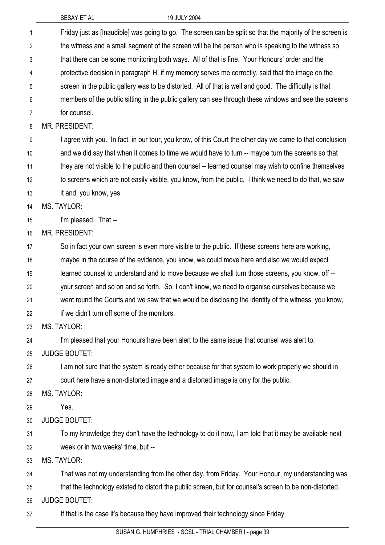| 1  | Friday just as [Inaudible] was going to go. The screen can be split so that the majority of the screen is |
|----|-----------------------------------------------------------------------------------------------------------|
| 2  | the witness and a small segment of the screen will be the person who is speaking to the witness so        |
| 3  | that there can be some monitoring both ways. All of that is fine. Your Honours' order and the             |
| 4  | protective decision in paragraph H, if my memory serves me correctly, said that the image on the          |
| 5  | screen in the public gallery was to be distorted. All of that is well and good. The difficulty is that    |
| 6  | members of the public sitting in the public gallery can see through these windows and see the screens     |
| 7  | for counsel.                                                                                              |
| 8  | MR. PRESIDENT:                                                                                            |
| 9  | I agree with you. In fact, in our tour, you know, of this Court the other day we came to that conclusion  |
| 10 | and we did say that when it comes to time we would have to turn -- maybe turn the screens so that         |
| 11 | they are not visible to the public and then counsel -- learned counsel may wish to confine themselves     |
| 12 | to screens which are not easily visible, you know, from the public. I think we need to do that, we saw    |
| 13 | it and, you know, yes.                                                                                    |
| 14 | <b>MS. TAYLOR:</b>                                                                                        |
| 15 | I'm pleased. That --                                                                                      |
| 16 | <b>MR. PRESIDENT:</b>                                                                                     |
| 17 | So in fact your own screen is even more visible to the public. If these screens here are working,         |
| 18 | maybe in the course of the evidence, you know, we could move here and also we would expect                |
| 19 | learned counsel to understand and to move because we shall turn those screens, you know, off --           |
| 20 | your screen and so on and so forth. So, I don't know, we need to organise ourselves because we            |
| 21 | went round the Courts and we saw that we would be disclosing the identity of the witness, you know,       |
| 22 | if we didn't turn off some of the monitors.                                                               |
| 23 | <b>MS. TAYLOR:</b>                                                                                        |
| 24 | I'm pleased that your Honours have been alert to the same issue that counsel was alert to.                |
| 25 | <b>JUDGE BOUTET:</b>                                                                                      |
| 26 | I am not sure that the system is ready either because for that system to work properly we should in       |
| 27 | court here have a non-distorted image and a distorted image is only for the public.                       |
| 28 | <b>MS. TAYLOR:</b>                                                                                        |
| 29 | Yes.                                                                                                      |
| 30 | <b>JUDGE BOUTET:</b>                                                                                      |
| 31 | To my knowledge they don't have the technology to do it now, I am told that it may be available next      |
| 32 | week or in two weeks' time, but --                                                                        |
| 33 | <b>MS. TAYLOR:</b>                                                                                        |
| 34 | That was not my understanding from the other day, from Friday. Your Honour, my understanding was          |
| 35 | that the technology existed to distort the public screen, but for counsel's screen to be non-distorted.   |
| 36 | <b>JUDGE BOUTET:</b>                                                                                      |
| 37 | If that is the case it's because they have improved their technology since Friday.                        |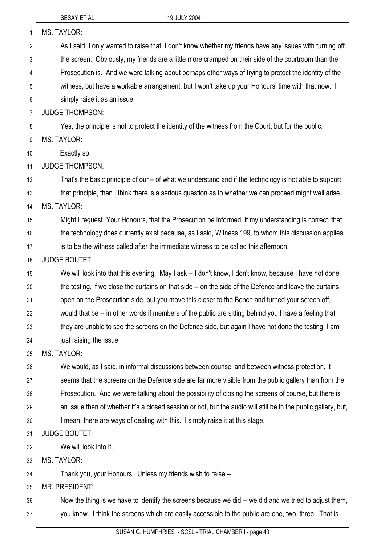| 1  | <b>MS. TAYLOR:</b>                                                                                             |
|----|----------------------------------------------------------------------------------------------------------------|
| 2  | As I said, I only wanted to raise that, I don't know whether my friends have any issues with turning off       |
| 3  | the screen. Obviously, my friends are a little more cramped on their side of the courtroom than the            |
| 4  | Prosecution is. And we were talking about perhaps other ways of trying to protect the identity of the          |
| 5  | witness, but have a workable arrangement, but I won't take up your Honours' time with that now. I              |
| 6  | simply raise it as an issue.                                                                                   |
| 7  | <b>JUDGE THOMPSON:</b>                                                                                         |
| 8  | Yes, the principle is not to protect the identity of the witness from the Court, but for the public.           |
| 9  | <b>MS. TAYLOR:</b>                                                                                             |
| 10 | Exactly so.                                                                                                    |
| 11 | <b>JUDGE THOMPSON:</b>                                                                                         |
| 12 | That's the basic principle of our – of what we understand and if the technology is not able to support         |
| 13 | that principle, then I think there is a serious question as to whether we can proceed might well arise.        |
| 14 | <b>MS. TAYLOR:</b>                                                                                             |
| 15 | Might I request, Your Honours, that the Prosecution be informed, if my understanding is correct, that          |
| 16 | the technology does currently exist because, as I said, Witness 199, to whom this discussion applies,          |
| 17 | is to be the witness called after the immediate witness to be called this afternoon.                           |
| 18 | <b>JUDGE BOUTET:</b>                                                                                           |
| 19 | We will look into that this evening. May I ask -- I don't know, I don't know, because I have not done          |
| 20 | the testing, if we close the curtains on that side -- on the side of the Defence and leave the curtains        |
| 21 | open on the Prosecution side, but you move this closer to the Bench and turned your screen off,                |
| 22 | would that be -- in other words if members of the public are sitting behind you I have a feeling that          |
| 23 | they are unable to see the screens on the Defence side, but again I have not done the testing, I am            |
| 24 | just raising the issue.                                                                                        |
| 25 | MS. TAYLOR:                                                                                                    |
| 26 | We would, as I said, in informal discussions between counsel and between witness protection, it                |
| 27 | seems that the screens on the Defence side are far more visible from the public gallery than from the          |
| 28 | Prosecution. And we were talking about the possibility of closing the screens of course, but there is          |
| 29 | an issue then of whether it's a closed session or not, but the audio will still be in the public gallery, but, |
| 30 | I mean, there are ways of dealing with this. I simply raise it at this stage.                                  |
| 31 | <b>JUDGE BOUTET:</b>                                                                                           |
| 32 | We will look into it.                                                                                          |
| 33 | <b>MS. TAYLOR:</b>                                                                                             |
| 34 | Thank you, your Honours. Unless my friends wish to raise --                                                    |
| 35 | MR. PRESIDENT:                                                                                                 |
| 36 | Now the thing is we have to identify the screens because we did -- we did and we tried to adjust them,         |

37 you know. I think the screens which are easily accessible to the public are one, two, three. That is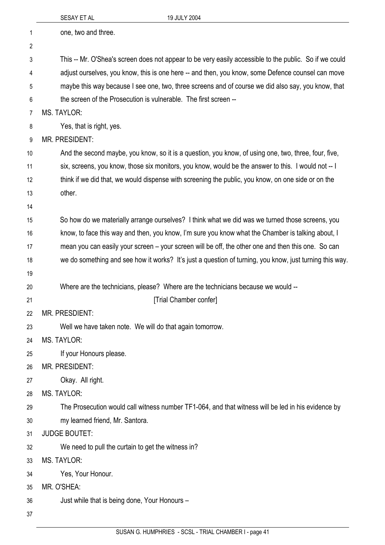|                | SESAY ET AL<br>19 JULY 2004                                                                             |
|----------------|---------------------------------------------------------------------------------------------------------|
| $\mathbf 1$    | one, two and three.                                                                                     |
| $\overline{2}$ |                                                                                                         |
| 3              | This -- Mr. O'Shea's screen does not appear to be very easily accessible to the public. So if we could  |
| 4              | adjust ourselves, you know, this is one here -- and then, you know, some Defence counsel can move       |
| 5              | maybe this way because I see one, two, three screens and of course we did also say, you know, that      |
| 6              | the screen of the Prosecution is vulnerable. The first screen --                                        |
| 7              | <b>MS. TAYLOR:</b>                                                                                      |
| 8              | Yes, that is right, yes.                                                                                |
| 9              | <b>MR. PRESIDENT:</b>                                                                                   |
| 10             | And the second maybe, you know, so it is a question, you know, of using one, two, three, four, five,    |
| 11             | six, screens, you know, those six monitors, you know, would be the answer to this. I would not -- I     |
| 12             | think if we did that, we would dispense with screening the public, you know, on one side or on the      |
| 13             | other.                                                                                                  |
| 14             |                                                                                                         |
| 15             | So how do we materially arrange ourselves? I think what we did was we turned those screens, you         |
| 16             | know, to face this way and then, you know, I'm sure you know what the Chamber is talking about, I       |
| 17             | mean you can easily your screen – your screen will be off, the other one and then this one. So can      |
| 18             | we do something and see how it works? It's just a question of turning, you know, just turning this way. |
| 19             |                                                                                                         |
| 20             | Where are the technicians, please? Where are the technicians because we would --                        |
| 21             | [Trial Chamber confer]                                                                                  |
| 22             | <b>MR. PRESDIENT:</b>                                                                                   |
| 23             | Well we have taken note. We will do that again tomorrow.                                                |
| 24             | <b>MS. TAYLOR:</b>                                                                                      |
| 25             | If your Honours please.                                                                                 |
| 26             | MR. PRESIDENT:                                                                                          |
| 27             | Okay. All right.                                                                                        |
| 28             | <b>MS. TAYLOR:</b>                                                                                      |
| 29             | The Prosecution would call witness number TF1-064, and that witness will be led in his evidence by      |
| 30             | my learned friend, Mr. Santora.                                                                         |
| 31             | <b>JUDGE BOUTET:</b>                                                                                    |
| 32             | We need to pull the curtain to get the witness in?                                                      |
| 33             | <b>MS. TAYLOR:</b>                                                                                      |
| 34             | Yes, Your Honour.                                                                                       |
| 35             | MR. O'SHEA:                                                                                             |
| 36             | Just while that is being done, Your Honours -                                                           |
| 37             |                                                                                                         |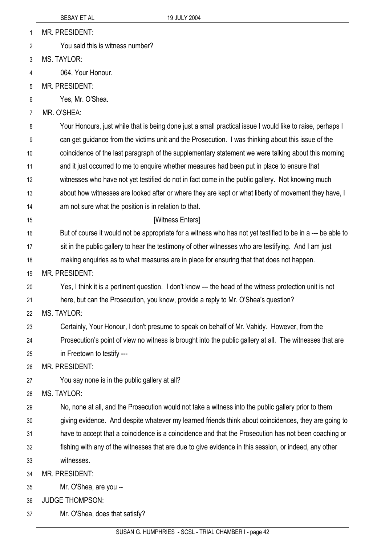| MR. PRESIDENT: |
|----------------|
|                |

You said this is witness number? 2

3 MS. TAYLOR:

- 4 064, Your Honour.
- 5 MR. PRESIDENT:
- 6 Yes, Mr. O'Shea.
- 7 MR. O'SHEA:

8 Your Honours, just while that is being done just a small practical issue I would like to raise, perhaps I

- 9 can get guidance from the victims unit and the Prosecution. I was thinking about this issue of the
- 10 coincidence of the last paragraph of the supplementary statement we were talking about this morning
- 11 and it just occurred to me to enquire whether measures had been put in place to ensure that
- 12 witnesses who have not yet testified do not in fact come in the public gallery. Not knowing much
- 13 about how witnesses are looked after or where they are kept or what liberty of movement they have, I
- 14 am not sure what the position is in relation to that.
- 15

## [Witness Enters]

- 16 But of course it would not be appropriate for a witness who has not yet testified to be in a --- be able to
- 17 sit in the public gallery to hear the testimony of other witnesses who are testifying. And I am just
- 18 making enquiries as to what measures are in place for ensuring that that does not happen.
- 19 MR. PRESIDENT:
- 20 Yes, I think it is a pertinent question. I don't know --- the head of the witness protection unit is not
- 21 here, but can the Prosecution, you know, provide a reply to Mr. O'Shea's question?
- 22 MS. TAYLOR:
- 23 Certainly, Your Honour, I don't presume to speak on behalf of Mr. Vahidy. However, from the
- 24 Prosecution's point of view no witness is brought into the public gallery at all. The witnesses that are
- 25 in Freetown to testify ---

26 MR. PRESIDENT:

- 27 You say none is in the public gallery at all?
- 28 MS. TAYLOR:
- 29 No, none at all, and the Prosecution would not take a witness into the public gallery prior to them
- 30 giving evidence. And despite whatever my learned friends think about coincidences, they are going to
- 31 have to accept that a coincidence is a coincidence and that the Prosecution has not been coaching or
- 32 33 fishing with any of the witnesses that are due to give evidence in this session, or indeed, any other witnesses.
- 34 MR. PRESIDENT:
- 35 Mr. O'Shea, are you --
- 36 JUDGE THOMPSON:
- 37 Mr. O'Shea, does that satisfy?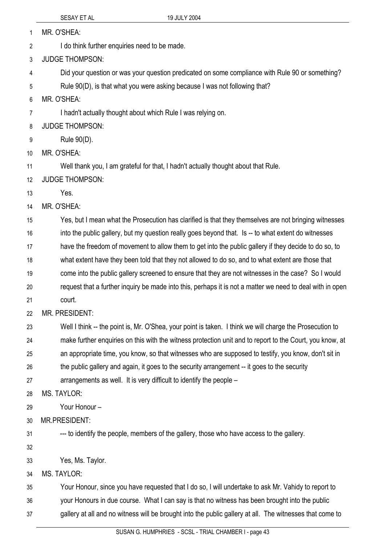MR. O'SHEA: 1

I do think further enquiries need to be made. 2

3 JUDGE THOMPSON:

4 Did your question or was your question predicated on some compliance with Rule 90 or something?

5 Rule 90(D), is that what you were asking because I was not following that?

6 MR. O'SHEA:

7 I hadn't actually thought about which Rule I was relying on.

8 JUDGE THOMPSON:

9 Rule 90(D).

10 MR. O'SHEA:

11 Well thank you, I am grateful for that, I hadn't actually thought about that Rule.

12 JUDGE THOMPSON:

13 Yes.

14 MR. O'SHEA:

15 Yes, but I mean what the Prosecution has clarified is that they themselves are not bringing witnesses

16 into the public gallery, but my question really goes beyond that. Is -- to what extent do witnesses

17 have the freedom of movement to allow them to get into the public gallery if they decide to do so, to

18 what extent have they been told that they not allowed to do so, and to what extent are those that

19 come into the public gallery screened to ensure that they are not witnesses in the case? So I would

20 request that a further inquiry be made into this, perhaps it is not a matter we need to deal with in open

21 court.

22 MR. PRESIDENT:

23 24 25 Well I think -- the point is, Mr. O'Shea, your point is taken. I think we will charge the Prosecution to make further enquiries on this with the witness protection unit and to report to the Court, you know, at an appropriate time, you know, so that witnesses who are supposed to testify, you know, don't sit in

26 the public gallery and again, it goes to the security arrangement -- it goes to the security

27 arrangements as well. It is very difficult to identify the people –

28 MS. TAYLOR:

29 Your Honour –

30 MR.PRESIDENT:

31 --- to identify the people, members of the gallery, those who have access to the gallery.

32

33 Yes, Ms. Taylor.

34 MS. TAYLOR:

35 Your Honour, since you have requested that I do so, I will undertake to ask Mr. Vahidy to report to

36 your Honours in due course. What I can say is that no witness has been brought into the public

37 gallery at all and no witness will be brought into the public gallery at all. The witnesses that come to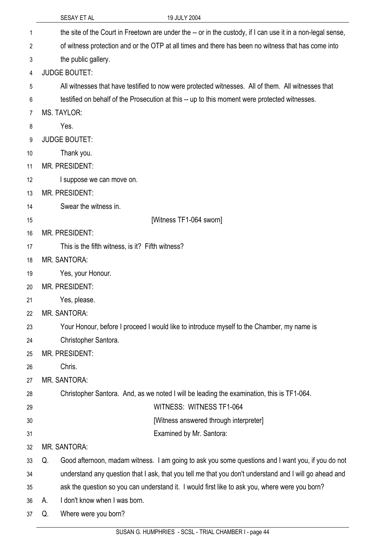|                | SESAY ET AL<br>19 JULY 2004                                                                          |                                                                                                             |
|----------------|------------------------------------------------------------------------------------------------------|-------------------------------------------------------------------------------------------------------------|
| 1              |                                                                                                      | the site of the Court in Freetown are under the -- or in the custody, if I can use it in a non-legal sense, |
| $\overline{2}$ | of witness protection and or the OTP at all times and there has been no witness that has come into   |                                                                                                             |
| 3              | the public gallery.                                                                                  |                                                                                                             |
| 4              | <b>JUDGE BOUTET:</b>                                                                                 |                                                                                                             |
| 5              | All witnesses that have testified to now were protected witnesses. All of them. All witnesses that   |                                                                                                             |
| 6              | testified on behalf of the Prosecution at this -- up to this moment were protected witnesses.        |                                                                                                             |
| 7              | <b>MS. TAYLOR:</b>                                                                                   |                                                                                                             |
| 8              | Yes.                                                                                                 |                                                                                                             |
| 9              | <b>JUDGE BOUTET:</b>                                                                                 |                                                                                                             |
|                | Thank you.<br>10                                                                                     |                                                                                                             |
|                | <b>MR. PRESIDENT:</b><br>11                                                                          |                                                                                                             |
|                | 12<br>I suppose we can move on.                                                                      |                                                                                                             |
|                | <b>MR. PRESIDENT:</b><br>13                                                                          |                                                                                                             |
|                | Swear the witness in.<br>14                                                                          |                                                                                                             |
|                | [Witness TF1-064 sworn]<br>15                                                                        |                                                                                                             |
|                | <b>MR. PRESIDENT:</b><br>16                                                                          |                                                                                                             |
|                | This is the fifth witness, is it? Fifth witness?<br>17                                               |                                                                                                             |
|                | <b>MR. SANTORA:</b><br>18                                                                            |                                                                                                             |
|                | Yes, your Honour.<br>19                                                                              |                                                                                                             |
|                | <b>MR. PRESIDENT:</b><br>20                                                                          |                                                                                                             |
|                | 21<br>Yes, please.                                                                                   |                                                                                                             |
|                | <b>MR. SANTORA:</b><br>22                                                                            |                                                                                                             |
|                | Your Honour, before I proceed I would like to introduce myself to the Chamber, my name is<br>23      |                                                                                                             |
|                | Christopher Santora.<br>24                                                                           |                                                                                                             |
|                | <b>MR. PRESIDENT:</b><br>25                                                                          |                                                                                                             |
|                | Chris.<br>26                                                                                         |                                                                                                             |
|                | <b>MR. SANTORA:</b><br>27                                                                            |                                                                                                             |
|                | Christopher Santora. And, as we noted I will be leading the examination, this is TF1-064.<br>28      |                                                                                                             |
|                | WITNESS: WITNESS TF1-064<br>29                                                                       |                                                                                                             |
|                | 30                                                                                                   | [Witness answered through interpreter]                                                                      |
|                | Examined by Mr. Santora:<br>31                                                                       |                                                                                                             |
|                | <b>MR. SANTORA:</b><br>32                                                                            |                                                                                                             |
|                | 33<br>Q.                                                                                             | Good afternoon, madam witness. I am going to ask you some questions and I want you, if you do not           |
|                | 34                                                                                                   | understand any question that I ask, that you tell me that you don't understand and I will go ahead and      |
|                | ask the question so you can understand it. I would first like to ask you, where were you born?<br>35 |                                                                                                             |
|                | I don't know when I was born.<br>36<br>А.                                                            |                                                                                                             |
| 37             | Where were you born?<br>Q.                                                                           |                                                                                                             |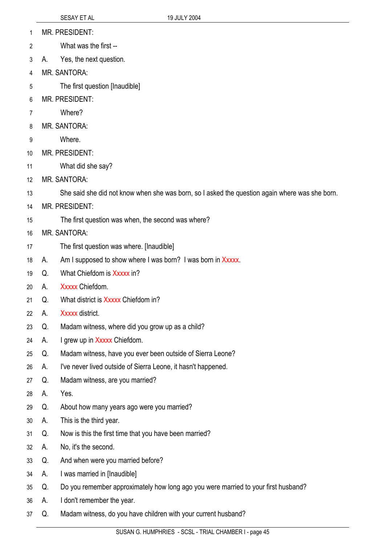- MR. PRESIDENT: 1
- What was the first -- 2
- 3 A. Yes, the next question.
- 4 MR. SANTORA:
- 5 The first question [Inaudible]
- 6 MR. PRESIDENT:
- 7 Where?
- 8 MR. SANTORA:
- 9 **Where**
- 10 MR. PRESIDENT:
- 11 What did she say?
- 12 MR. SANTORA:
- 13 She said she did not know when she was born, so I asked the question again where was she born.
- 14 MR. PRESIDENT:
- 15 The first question was when, the second was where?
- 16 MR. SANTORA:
- 17 The first question was where. [Inaudible]
- 18 A. Am I supposed to show where I was born? I was born in Xxxxx.
- 19 Q. What Chiefdom is Xxxxx in?
- 20 A. Xxxxx Chiefdom.
- 21 Q. What district is Xxxxx Chiefdom in?
- 22 A. Xxxxx district.
- 23 Q. Madam witness, where did you grow up as a child?
- 24 A. I grew up in Xxxxx Chiefdom.
- 25 Q. Madam witness, have you ever been outside of Sierra Leone?
- 26 A. I've never lived outside of Sierra Leone, it hasn't happened.
- 27 Q. Madam witness, are you married?
- 28 A. Yes.
- 29 Q. About how many years ago were you married?
- 30 A. This is the third year.
- 31 Q. Now is this the first time that you have been married?
- 32 A. No, it's the second.
- 33 Q. And when were you married before?
- 34 A. I was married in [Inaudible]
- 35 Q. Do you remember approximately how long ago you were married to your first husband?
- 36 A. I don't remember the year.
- 37 Q. Madam witness, do you have children with your current husband?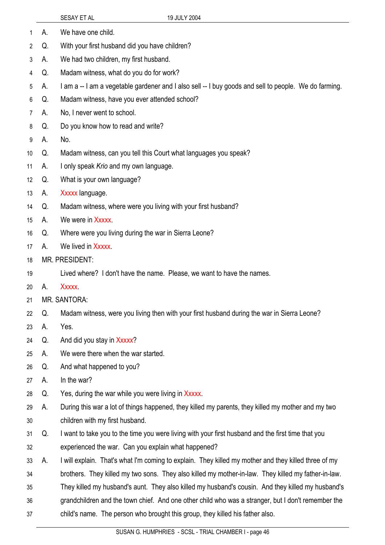- 1 A. We have one child.
- 2 Q. With your first husband did you have children?
- 3 A. We had two children, my first husband.
- 4 Q. Madam witness, what do you do for work?
- 5 A. I am a -- I am a vegetable gardener and I also sell -- I buy goods and sell to people. We do farming.
- 6 Q. Madam witness, have you ever attended school?
- 7 A. No, I never went to school.
- 8 Q. Do you know how to read and write?
- 9 A. No.
- 10 Q. Madam witness, can you tell this Court what languages you speak?
- 11 A. I only speak *Krio* and my own language.
- 12 Q. What is your own language?
- 13 A. Xxxxx language.
- 14 Q. Madam witness, where were you living with your first husband?
- 15 A. We were in Xxxxx.
- 16 Q. Where were you living during the war in Sierra Leone?
- 17 A. We lived in Xxxxx.
- 18 MR. PRESIDENT:
- 19 Lived where? I don't have the name. Please, we want to have the names.
- 20 A. Xxxxx.
- 21 MR. SANTORA:
- 22 Q. Madam witness, were you living then with your first husband during the war in Sierra Leone?
- 23 A. Yes.
- 24 Q. And did you stay in Xxxxx?
- 25 A. We were there when the war started.
- 26 Q. And what happened to you?
- 27 A. In the war?
- 28 Q. Yes, during the war while you were living in Xxxxx.
- 29 30 A. During this war a lot of things happened, they killed my parents, they killed my mother and my two children with my first husband.
- 31 32 Q. I want to take you to the time you were living with your first husband and the first time that you experienced the war. Can you explain what happened?
- 33 A. I will explain. That's what I'm coming to explain. They killed my mother and they killed three of my
- 34 brothers. They killed my two sons. They also killed my mother-in-law. They killed my father-in-law.
- 35 They killed my husband's aunt. They also killed my husband's cousin. And they killed my husband's
- 36 grandchildren and the town chief. And one other child who was a stranger, but I don't remember the
- 37 child's name. The person who brought this group, they killed his father also.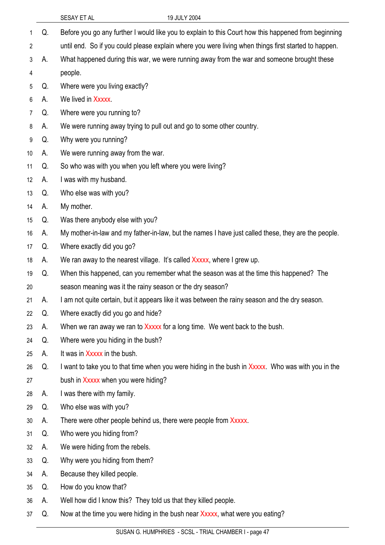|                 |    | SESAY ET AL<br>19 JULY 2004                                                                          |
|-----------------|----|------------------------------------------------------------------------------------------------------|
| 1               | Q. | Before you go any further I would like you to explain to this Court how this happened from beginning |
| $\overline{2}$  |    | until end. So if you could please explain where you were living when things first started to happen. |
| 3               | А. | What happened during this war, we were running away from the war and someone brought these           |
| 4               |    | people.                                                                                              |
| 5               | Q. | Where were you living exactly?                                                                       |
| 6               | А. | We lived in Xxxxx.                                                                                   |
| 7               | Q. | Where were you running to?                                                                           |
| 8               | А. | We were running away trying to pull out and go to some other country.                                |
| 9               | Q. | Why were you running?                                                                                |
| 10 <sup>°</sup> | А. | We were running away from the war.                                                                   |
| 11              | Q. | So who was with you when you left where you were living?                                             |
| 12              | А. | I was with my husband.                                                                               |
| 13              | Q. | Who else was with you?                                                                               |
| 14              | А. | My mother.                                                                                           |
| 15              | Q. | Was there anybody else with you?                                                                     |
| 16              | А. | My mother-in-law and my father-in-law, but the names I have just called these, they are the people.  |
| 17              | Q. | Where exactly did you go?                                                                            |
| 18              | A. | We ran away to the nearest village. It's called Xxxxx, where I grew up.                              |
| 19              | Q. | When this happened, can you remember what the season was at the time this happened? The              |
| 20              |    | season meaning was it the rainy season or the dry season?                                            |
| 21              | А. | I am not quite certain, but it appears like it was between the rainy season and the dry season.      |
| 22              | Q. | Where exactly did you go and hide?                                                                   |
| 23              | А. | When we ran away we ran to Xxxxx for a long time. We went back to the bush.                          |
| 24              | Q. | Where were you hiding in the bush?                                                                   |
| 25              | А. | It was in Xxxxx in the bush.                                                                         |
| 26              | Q. | I want to take you to that time when you were hiding in the bush in Xxxxx. Who was with you in the   |
| 27              |    | bush in Xxxxx when you were hiding?                                                                  |
| 28              | А. | I was there with my family.                                                                          |
| 29              | Q. | Who else was with you?                                                                               |
| 30              | А. | There were other people behind us, there were people from Xxxxx.                                     |
| 31              | Q. | Who were you hiding from?                                                                            |
| 32              | А. | We were hiding from the rebels.                                                                      |
| 33              | Q. | Why were you hiding from them?                                                                       |
| 34              | А. | Because they killed people.                                                                          |
| 35              | Q. | How do you know that?                                                                                |
| 36              | А. | Well how did I know this? They told us that they killed people.                                      |
| 37              | Q. | Now at the time you were hiding in the bush near Xxxxx, what were you eating?                        |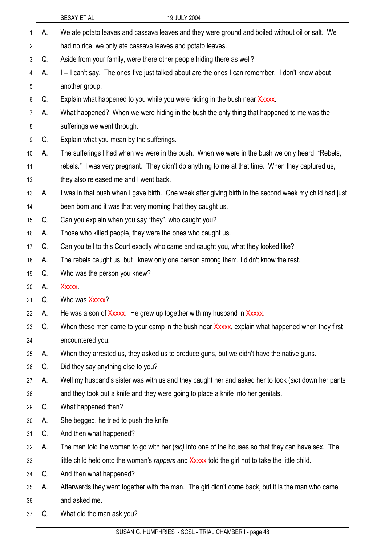|                 |    | 19 JULY 2004<br>SESAY ET AL                                                                            |
|-----------------|----|--------------------------------------------------------------------------------------------------------|
| 1               | А. | We ate potato leaves and cassava leaves and they were ground and boiled without oil or salt. We        |
| 2               |    | had no rice, we only ate cassava leaves and potato leaves.                                             |
| 3               | Q. | Aside from your family, were there other people hiding there as well?                                  |
| 4               | А. | I--I can't say. The ones I've just talked about are the ones I can remember. I don't know about        |
| 5               |    | another group.                                                                                         |
| 6               | Q. | Explain what happened to you while you were hiding in the bush near Xxxxx.                             |
| 7               | А. | What happened? When we were hiding in the bush the only thing that happened to me was the              |
| 8               |    | sufferings we went through.                                                                            |
| 9               | Q. | Explain what you mean by the sufferings.                                                               |
| 10 <sup>°</sup> | А. | The sufferings I had when we were in the bush. When we were in the bush we only heard, "Rebels,        |
| 11              |    | rebels." I was very pregnant. They didn't do anything to me at that time. When they captured us,       |
| 12              |    | they also released me and I went back.                                                                 |
| 13              | A  | I was in that bush when I gave birth. One week after giving birth in the second week my child had just |
| 14              |    | been born and it was that very morning that they caught us.                                            |
| 15              | Q. | Can you explain when you say "they", who caught you?                                                   |
| 16              | A. | Those who killed people, they were the ones who caught us.                                             |
| 17              | Q. | Can you tell to this Court exactly who came and caught you, what they looked like?                     |
| 18              | А. | The rebels caught us, but I knew only one person among them, I didn't know the rest.                   |
| 19              | Q. | Who was the person you knew?                                                                           |
| 20              | А. | <b>Xxxxx</b>                                                                                           |
| 21              | Q. | Who was Xxxxx?                                                                                         |
| 22              | А. | He was a son of Xxxxx. He grew up together with my husband in Xxxxx.                                   |
| 23              | Q. | When these men came to your camp in the bush near Xxxxx, explain what happened when they first         |
| 24              |    | encountered you.                                                                                       |
| 25              | А. | When they arrested us, they asked us to produce guns, but we didn't have the native guns.              |
| 26              | Q. | Did they say anything else to you?                                                                     |
| 27              | А. | Well my husband's sister was with us and they caught her and asked her to took (sic) down her pants    |
| 28              |    | and they took out a knife and they were going to place a knife into her genitals.                      |
| 29              | Q. | What happened then?                                                                                    |
| 30              | А. | She begged, he tried to push the knife                                                                 |
| 31              | Q. | And then what happened?                                                                                |
| 32              | А. | The man told the woman to go with her (sic) into one of the houses so that they can have sex. The      |
| 33              |    | little child held onto the woman's rappers and Xxxxx told the girl not to take the little child.       |
| 34              | Q. | And then what happened?                                                                                |
| 35              | А. | Afterwards they went together with the man. The girl didn't come back, but it is the man who came      |
| 36              |    | and asked me.                                                                                          |
| 37              | Q. | What did the man ask you?                                                                              |
|                 |    |                                                                                                        |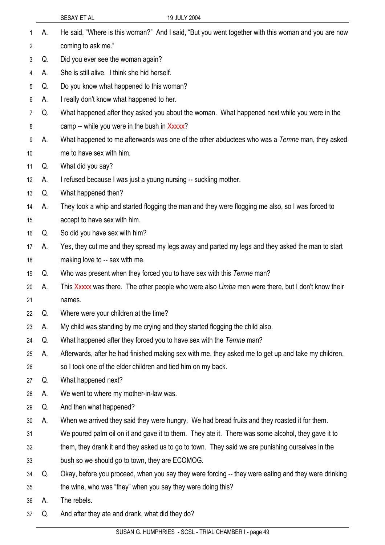|         |    | 19 JULY 2004<br>SESAY ET AL                                                                         |
|---------|----|-----------------------------------------------------------------------------------------------------|
| 1       | Α. | He said, "Where is this woman?" And I said, "But you went together with this woman and you are now  |
| 2       |    | coming to ask me."                                                                                  |
| 3       | Q. | Did you ever see the woman again?                                                                   |
| 4       | А. | She is still alive. I think she hid herself.                                                        |
| 5       | Q. | Do you know what happened to this woman?                                                            |
| 6       | А. | I really don't know what happened to her.                                                           |
| 7       | Q. | What happened after they asked you about the woman. What happened next while you were in the        |
| 8       |    | camp -- while you were in the bush in Xxxxx?                                                        |
| 9       | А. | What happened to me afterwards was one of the other abductees who was a Temne man, they asked       |
| 10      |    | me to have sex with him.                                                                            |
| 11      | Q. | What did you say?                                                                                   |
| $12 \,$ | А. | I refused because I was just a young nursing -- suckling mother.                                    |
| 13      | Q. | What happened then?                                                                                 |
| 14      | А. | They took a whip and started flogging the man and they were flogging me also, so I was forced to    |
| 15      |    | accept to have sex with him.                                                                        |
| 16      | Q. | So did you have sex with him?                                                                       |
| 17      | А. | Yes, they cut me and they spread my legs away and parted my legs and they asked the man to start    |
| 18      |    | making love to -- sex with me.                                                                      |
| 19      | Q. | Who was present when they forced you to have sex with this Temne man?                               |
| 20      | А. | This Xxxxx was there. The other people who were also Limba men were there, but I don't know their   |
| 21      |    | names.                                                                                              |
| 22      | Q. | Where were your children at the time?                                                               |
| 23      | А. | My child was standing by me crying and they started flogging the child also.                        |
| 24      | Q. | What happened after they forced you to have sex with the Temne man?                                 |
| 25      | А. | Afterwards, after he had finished making sex with me, they asked me to get up and take my children, |
| 26      |    | so I took one of the elder children and tied him on my back.                                        |
| 27      | Q. | What happened next?                                                                                 |
| 28      | А. | We went to where my mother-in-law was.                                                              |
| 29      | Q. | And then what happened?                                                                             |
| 30      | А. | When we arrived they said they were hungry. We had bread fruits and they roasted it for them.       |
| 31      |    | We poured palm oil on it and gave it to them. They ate it. There was some alcohol, they gave it to  |
| 32      |    | them, they drank it and they asked us to go to town. They said we are punishing ourselves in the    |
| 33      |    | bush so we should go to town, they are ECOMOG.                                                      |
| 34      | Q. | Okay, before you proceed, when you say they were forcing -- they were eating and they were drinking |
| 35      |    | the wine, who was "they" when you say they were doing this?                                         |
| 36      | А. | The rebels.                                                                                         |
| 37      | Q. | And after they ate and drank, what did they do?                                                     |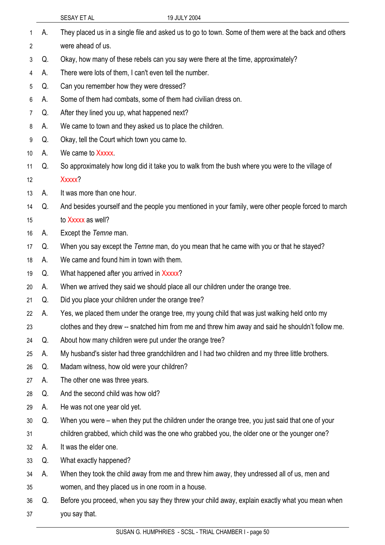|    |    | 19 JULY 2004<br>SESAY ET AL                                                                          |
|----|----|------------------------------------------------------------------------------------------------------|
| 1  | А. | They placed us in a single file and asked us to go to town. Some of them were at the back and others |
| 2  |    | were ahead of us.                                                                                    |
| 3  | Q. | Okay, how many of these rebels can you say were there at the time, approximately?                    |
| 4  | А. | There were lots of them, I can't even tell the number.                                               |
| 5  | Q. | Can you remember how they were dressed?                                                              |
| 6  | А. | Some of them had combats, some of them had civilian dress on.                                        |
| 7  | Q. | After they lined you up, what happened next?                                                         |
| 8  | А. | We came to town and they asked us to place the children.                                             |
| 9  | Q. | Okay, tell the Court which town you came to.                                                         |
| 10 | А. | We came to Xxxxx.                                                                                    |
| 11 | Q. | So approximately how long did it take you to walk from the bush where you were to the village of     |
| 12 |    | Xxxxx?                                                                                               |
| 13 | А. | It was more than one hour.                                                                           |
| 14 | Q. | And besides yourself and the people you mentioned in your family, were other people forced to march  |
| 15 |    | to Xxxxx as well?                                                                                    |
| 16 | А. | Except the Temne man.                                                                                |
| 17 | Q. | When you say except the Temne man, do you mean that he came with you or that he stayed?              |
| 18 | А. | We came and found him in town with them.                                                             |
| 19 | Q. | What happened after you arrived in Xxxxx?                                                            |
| 20 | А. | When we arrived they said we should place all our children under the orange tree.                    |
| 21 | Q. | Did you place your children under the orange tree?                                                   |
| 22 | А. | Yes, we placed them under the orange tree, my young child that was just walking held onto my         |
| 23 |    | clothes and they drew -- snatched him from me and threw him away and said he shouldn't follow me.    |
| 24 | Q. | About how many children were put under the orange tree?                                              |
| 25 | А. | My husband's sister had three grandchildren and I had two children and my three little brothers.     |
| 26 | Q. | Madam witness, how old were your children?                                                           |
| 27 | А. | The other one was three years.                                                                       |
| 28 | Q. | And the second child was how old?                                                                    |
| 29 | А. | He was not one year old yet.                                                                         |
| 30 | Q. | When you were – when they put the children under the orange tree, you just said that one of your     |
| 31 |    | children grabbed, which child was the one who grabbed you, the older one or the younger one?         |
| 32 | А. | It was the elder one.                                                                                |
| 33 | Q. | What exactly happened?                                                                               |
| 34 | А. | When they took the child away from me and threw him away, they undressed all of us, men and          |
| 35 |    | women, and they placed us in one room in a house.                                                    |
| 36 | Q. | Before you proceed, when you say they threw your child away, explain exactly what you mean when      |
| 37 |    | you say that.                                                                                        |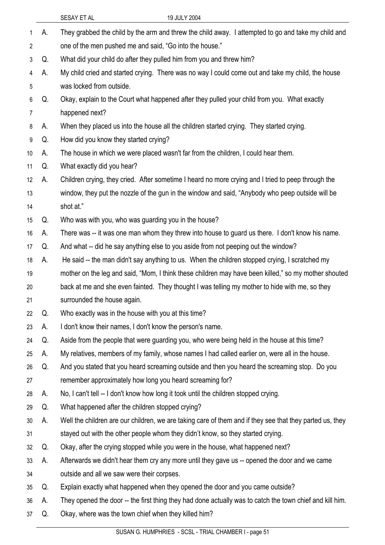|                 |    | SESAY ET AL<br>19 JULY 2004                                                                              |
|-----------------|----|----------------------------------------------------------------------------------------------------------|
| 1               | А. | They grabbed the child by the arm and threw the child away. I attempted to go and take my child and      |
| 2               |    | one of the men pushed me and said, "Go into the house."                                                  |
| 3               | Q. | What did your child do after they pulled him from you and threw him?                                     |
| 4               | А. | My child cried and started crying. There was no way I could come out and take my child, the house        |
| 5               |    | was locked from outside.                                                                                 |
| 6               | Q. | Okay, explain to the Court what happened after they pulled your child from you. What exactly             |
| 7               |    | happened next?                                                                                           |
| 8               | А. | When they placed us into the house all the children started crying. They started crying.                 |
| 9               | Q. | How did you know they started crying?                                                                    |
| 10 <sup>°</sup> | А. | The house in which we were placed wasn't far from the children, I could hear them.                       |
| 11              | Q. | What exactly did you hear?                                                                               |
| 12              | А. | Children crying, they cried. After sometime I heard no more crying and I tried to peep through the       |
| 13              |    | window, they put the nozzle of the gun in the window and said, "Anybody who peep outside will be         |
| 14              |    | shot at."                                                                                                |
| 15              | Q. | Who was with you, who was guarding you in the house?                                                     |
| 16              | А. | There was -- it was one man whom they threw into house to guard us there. I don't know his name.         |
| 17              | Q. | And what -- did he say anything else to you aside from not peeping out the window?                       |
| 18              | А. | He said -- the man didn't say anything to us. When the children stopped crying, I scratched my           |
| 19              |    | mother on the leg and said, "Mom, I think these children may have been killed," so my mother shouted     |
| 20              |    | back at me and she even fainted. They thought I was telling my mother to hide with me, so they           |
| 21              |    | surrounded the house again.                                                                              |
| 22              | Q. | Who exactly was in the house with you at this time?                                                      |
| 23              | А. | I don't know their names, I don't know the person's name.                                                |
| 24              | Q. | Aside from the people that were guarding you, who were being held in the house at this time?             |
| 25              | А. | My relatives, members of my family, whose names I had called earlier on, were all in the house.          |
| 26              | Q. | And you stated that you heard screaming outside and then you heard the screaming stop. Do you            |
| 27              |    | remember approximately how long you heard screaming for?                                                 |
| 28              | А. | No, I can't tell -- I don't know how long it took until the children stopped crying.                     |
| 29              | Q. | What happened after the children stopped crying?                                                         |
| 30              | А. | Well the children are our children, we are taking care of them and if they see that they parted us, they |
| 31              |    | stayed out with the other people whom they didn't know, so they started crying.                          |
| 32              | Q. | Okay, after the crying stopped while you were in the house, what happened next?                          |
| 33              | A. | Afterwards we didn't hear them cry any more until they gave us -- opened the door and we came            |
| 34              |    | outside and all we saw were their corpses.                                                               |
| 35              | Q. | Explain exactly what happened when they opened the door and you came outside?                            |
| 36              | А. | They opened the door -- the first thing they had done actually was to catch the town chief and kill him. |
| 37              | Q. | Okay, where was the town chief when they killed him?                                                     |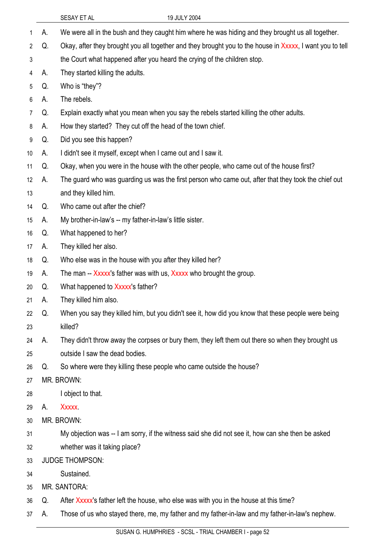|    |    | 19 JULY 2004<br>SESAY ET AL                                                                              |
|----|----|----------------------------------------------------------------------------------------------------------|
| 1  | А. | We were all in the bush and they caught him where he was hiding and they brought us all together.        |
| 2  | Q. | Okay, after they brought you all together and they brought you to the house in Xxxxx, I want you to tell |
| 3  |    | the Court what happened after you heard the crying of the children stop.                                 |
| 4  | А. | They started killing the adults.                                                                         |
| 5  | Q. | Who is "they"?                                                                                           |
| 6  | А. | The rebels.                                                                                              |
| 7  | Q. | Explain exactly what you mean when you say the rebels started killing the other adults.                  |
| 8  | А. | How they started? They cut off the head of the town chief.                                               |
| 9  | Q. | Did you see this happen?                                                                                 |
| 10 | А. | I didn't see it myself, except when I came out and I saw it.                                             |
| 11 | Q. | Okay, when you were in the house with the other people, who came out of the house first?                 |
| 12 | А. | The guard who was guarding us was the first person who came out, after that they took the chief out      |
| 13 |    | and they killed him.                                                                                     |
| 14 | Q. | Who came out after the chief?                                                                            |
| 15 | А. | My brother-in-law's -- my father-in-law's little sister.                                                 |
| 16 | Q. | What happened to her?                                                                                    |
| 17 | А. | They killed her also.                                                                                    |
| 18 | Q. | Who else was in the house with you after they killed her?                                                |
| 19 | А. | The man -- Xxxxx's father was with us, Xxxxx who brought the group.                                      |
| 20 | Q. | What happened to Xxxxx's father?                                                                         |
| 21 | А. | They killed him also.                                                                                    |
| 22 | Q. | When you say they killed him, but you didn't see it, how did you know that these people were being       |
| 23 |    | killed?                                                                                                  |
| 24 | А. | They didn't throw away the corpses or bury them, they left them out there so when they brought us        |
| 25 |    | outside I saw the dead bodies.                                                                           |
| 26 | Q. | So where were they killing these people who came outside the house?                                      |
| 27 |    | MR. BROWN:                                                                                               |
| 28 |    | I object to that.                                                                                        |
| 29 | А. | <b>Xxxxx</b>                                                                                             |
| 30 |    | MR. BROWN:                                                                                               |
| 31 |    | My objection was -- I am sorry, if the witness said she did not see it, how can she then be asked        |
| 32 |    | whether was it taking place?                                                                             |
| 33 |    | <b>JUDGE THOMPSON:</b>                                                                                   |
| 34 |    | Sustained.                                                                                               |
| 35 |    | <b>MR. SANTORA:</b>                                                                                      |
| 36 | Q. | After Xxxxx's father left the house, who else was with you in the house at this time?                    |
| 37 | А. | Those of us who stayed there, me, my father and my father-in-law and my father-in-law's nephew.          |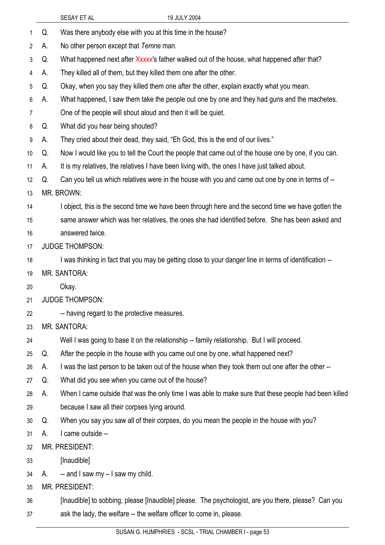|    |    | SESAY ET AL<br>19 JULY 2004                                                                            |
|----|----|--------------------------------------------------------------------------------------------------------|
| 1  | Q. | Was there anybody else with you at this time in the house?                                             |
| 2  | А. | No other person except that Temne man.                                                                 |
| 3  | Q. | What happened next after Xxxxx's father walked out of the house, what happened after that?             |
| 4  | А. | They killed all of them, but they killed them one after the other.                                     |
| 5  | Q. | Okay, when you say they killed them one after the other, explain exactly what you mean.                |
| 6  | А. | What happened, I saw them take the people out one by one and they had guns and the machetes.           |
| 7  |    | One of the people will shout aloud and then it will be quiet.                                          |
| 8  | Q. | What did you hear being shouted?                                                                       |
| 9  | А. | They cried about their dead, they said, "Eh God, this is the end of our lives."                        |
| 10 | Q. | Now I would like you to tell the Court the people that came out of the house one by one, if you can.   |
| 11 | А. | It is my relatives, the relatives I have been living with, the ones I have just talked about.          |
| 12 | Q. | Can you tell us which relatives were in the house with you and came out one by one in terms of --      |
| 13 |    | MR. BROWN:                                                                                             |
| 14 |    | I object, this is the second time we have been through here and the second time we have gotten the     |
| 15 |    | same answer which was her relatives, the ones she had identified before. She has been asked and        |
| 16 |    | answered twice.                                                                                        |
| 17 |    | <b>JUDGE THOMPSON:</b>                                                                                 |
| 18 |    | I was thinking in fact that you may be getting close to your danger line in terms of identification -- |
| 19 |    | <b>MR. SANTORA:</b>                                                                                    |
| 20 |    | Okay.                                                                                                  |
| 21 |    | <b>JUDGE THOMPSON:</b>                                                                                 |
| 22 |    | -- having regard to the protective measures.                                                           |
| 23 |    | MR. SANTORA:                                                                                           |
| 24 |    | Well I was going to base it on the relationship -- family relationship. But I will proceed.            |
| 25 | Q. | After the people in the house with you came out one by one, what happened next?                        |
| 26 | А. | I was the last person to be taken out of the house when they took them out one after the other --      |
| 27 | Q. | What did you see when you came out of the house?                                                       |
| 28 | А. | When I came outside that was the only time I was able to make sure that these people had been killed   |
| 29 |    | because I saw all their corpses lying around.                                                          |
| 30 | Q. | When you say you saw all of their corpses, do you mean the people in the house with you?               |
| 31 | А. | I came outside --                                                                                      |
| 32 |    | MR. PRESIDENT:                                                                                         |
| 33 |    | [Inaudible]                                                                                            |
| 34 | А. | $-$ and I saw my $-$ I saw my child.                                                                   |
| 35 |    | MR. PRESIDENT:                                                                                         |
| 36 |    | [Inaudible] to sobbing, please [Inaudible] please. The psychologist, are you there, please? Can you    |
| 37 |    | ask the lady, the welfare -- the welfare officer to come in, please.                                   |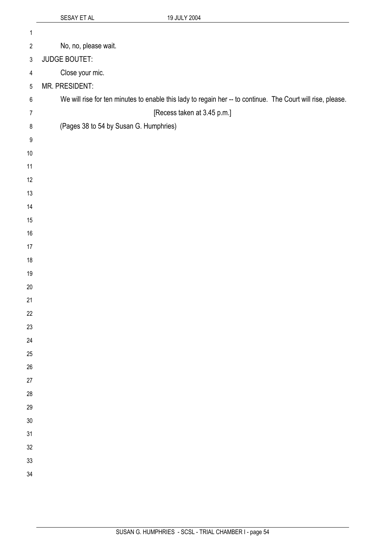| $\mathbf 1$    |                                                                                                             |
|----------------|-------------------------------------------------------------------------------------------------------------|
| $\overline{2}$ | No, no, please wait.                                                                                        |
| 3              | <b>JUDGE BOUTET:</b>                                                                                        |
| $\overline{4}$ | Close your mic.                                                                                             |
| $\,$ 5 $\,$    | MR. PRESIDENT:                                                                                              |
| $\,6\,$        | We will rise for ten minutes to enable this lady to regain her -- to continue. The Court will rise, please. |
| $\overline{7}$ | [Recess taken at 3.45 p.m.]                                                                                 |
| $\,8\,$        | (Pages 38 to 54 by Susan G. Humphries)                                                                      |
| 9              |                                                                                                             |
| $10$           |                                                                                                             |
| 11             |                                                                                                             |
| 12             |                                                                                                             |
| 13             |                                                                                                             |
| 14             |                                                                                                             |
| 15             |                                                                                                             |
| $16$           |                                                                                                             |
| 17             |                                                                                                             |
| $18$           |                                                                                                             |
| 19             |                                                                                                             |
| $20\,$         |                                                                                                             |
| 21             |                                                                                                             |
| 22             |                                                                                                             |
| 23             |                                                                                                             |
| 24             |                                                                                                             |
| 25             |                                                                                                             |
| 26             |                                                                                                             |
| 27             |                                                                                                             |
| $28\,$         |                                                                                                             |
| 29             |                                                                                                             |
| 30             |                                                                                                             |
| 31             |                                                                                                             |
| 32<br>33       |                                                                                                             |
| 34             |                                                                                                             |
|                |                                                                                                             |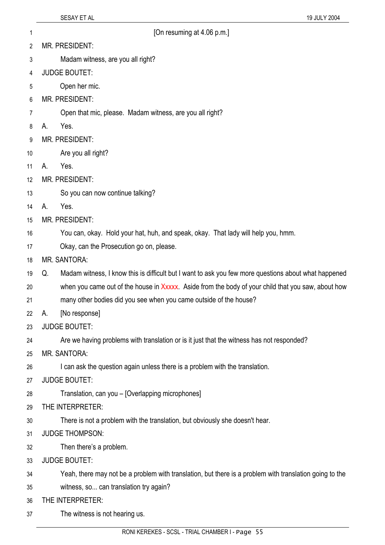- 1 **1 Constraining 1 CON CON CON CON CON CON CON CON CON CON CON CON CON CON CON CON CON CON CON CON CON CON CON CON CON CON CON CON CON CON CON CON CON**
- 2 MR. PRESIDENT:
- 3 Madam witness, are you all right?
- 4 JUDGE BOUTET:
- 5 Open her mic.
- 6 MR. PRESIDENT:
- 7 Open that mic, please. Madam witness, are you all right?
- 8 A. Yes.
- 9 MR. PRESIDENT:
- 10 Are you all right?
- 11 A. Yes.
- 12 MR. PRESIDENT:
- 13 So you can now continue talking?
- 14 A. Yes.
- 15 MR. PRESIDENT:
- 16 You can, okay. Hold your hat, huh, and speak, okay. That lady will help you, hmm.
- 17 Okay, can the Prosecution go on, please.
- 18 MR. SANTORA:
- 19 Q. Madam witness, I know this is difficult but I want to ask you few more questions about what happened
- 20 when you came out of the house in Xxxxx. Aside from the body of your child that you saw, about how
- 21 many other bodies did you see when you came outside of the house?
- 22 A. [No response]
- 23 JUDGE BOUTET:
- 24 Are we having problems with translation or is it just that the witness has not responded?
- 25 MR. SANTORA:
- 26 I can ask the question again unless there is a problem with the translation.
- 27 JUDGE BOUTET:
- 28 Translation, can you – [Overlapping microphones]
- 29 THE INTERPRETER:
- 30 There is not a problem with the translation, but obviously she doesn't hear.
- 31 JUDGE THOMPSON:
- 32 Then there's a problem.
- 33 JUDGE BOUTET:
- 34 Yeah, there may not be a problem with translation, but there is a problem with translation going to the
- 35 witness, so... can translation try again?
- 36 THE INTERPRETER:
- 37 The witness is not hearing us.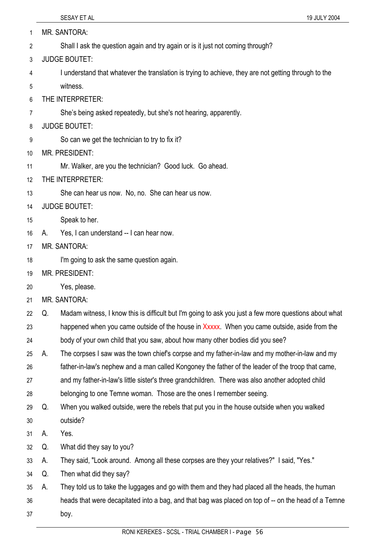| 1              |    | <b>MR. SANTORA:</b>                                                                                   |
|----------------|----|-------------------------------------------------------------------------------------------------------|
| $\overline{2}$ |    | Shall I ask the question again and try again or is it just not coming through?                        |
| 3              |    | <b>JUDGE BOUTET:</b>                                                                                  |
| 4              |    | I understand that whatever the translation is trying to achieve, they are not getting through to the  |
| 5              |    | witness.                                                                                              |
| 6              |    | THE INTERPRETER:                                                                                      |
| $\overline{7}$ |    | She's being asked repeatedly, but she's not hearing, apparently.                                      |
| 8              |    | <b>JUDGE BOUTET:</b>                                                                                  |
| 9              |    | So can we get the technician to try to fix it?                                                        |
| 10             |    | <b>MR. PRESIDENT:</b>                                                                                 |
| 11             |    | Mr. Walker, are you the technician? Good luck. Go ahead.                                              |
| 12             |    | THE INTERPRETER:                                                                                      |
| 13             |    | She can hear us now. No, no. She can hear us now.                                                     |
| 14             |    | <b>JUDGE BOUTET:</b>                                                                                  |
| 15             |    | Speak to her.                                                                                         |
| 16             | А. | Yes, I can understand -- I can hear now.                                                              |
| 17             |    | <b>MR. SANTORA:</b>                                                                                   |
| 18             |    | I'm going to ask the same question again.                                                             |
| 19             |    | MR. PRESIDENT:                                                                                        |
| 20             |    | Yes, please.                                                                                          |
| 21             |    | <b>MR. SANTORA:</b>                                                                                   |
| 22             | Q. | Madam witness, I know this is difficult but I'm going to ask you just a few more questions about what |
| 23             |    | happened when you came outside of the house in Xxxxx. When you came outside, aside from the           |
| 24             |    | body of your own child that you saw, about how many other bodies did you see?                         |
| 25             | А. | The corpses I saw was the town chief's corpse and my father-in-law and my mother-in-law and my        |
| 26             |    | father-in-law's nephew and a man called Kongoney the father of the leader of the troop that came,     |
| 27             |    | and my father-in-law's little sister's three grandchildren. There was also another adopted child      |
| 28             |    | belonging to one Temne woman. Those are the ones I remember seeing.                                   |
| 29             | Q. | When you walked outside, were the rebels that put you in the house outside when you walked            |
| 30             |    | outside?                                                                                              |
| 31             | А. | Yes.                                                                                                  |
| 32             | Q. | What did they say to you?                                                                             |
| 33             | А. | They said, "Look around. Among all these corpses are they your relatives?" I said, "Yes."             |
| 34             | Q. | Then what did they say?                                                                               |
| 35             | А. | They told us to take the luggages and go with them and they had placed all the heads, the human       |
| 36             |    | heads that were decapitated into a bag, and that bag was placed on top of -- on the head of a Temne   |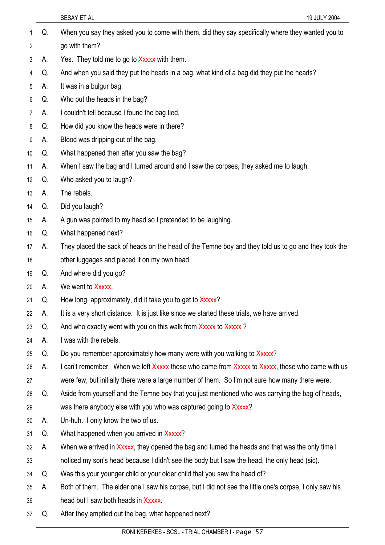- SESAY ET AL 19 JULY 2004 Q. When you say they asked you to come with them, did they say specifically where they wanted you to go with them? 1 2 3 4 5 6 7 8 9 10 11 12 13 14 15 16 17 18 19 20 21 22 23 24 25 26 27 28 29 30 31 32 33 34 35 A. Yes. They told me to go to Xxxxx with them. Q. And when you said they put the heads in a bag, what kind of a bag did they put the heads? A. It was in a bulgur bag. Q. Who put the heads in the bag? A. I couldn't tell because I found the bag tied. Q. How did you know the heads were in there? A. Blood was dripping out of the bag. Q. What happened then after you saw the bag? A. When I saw the bag and I turned around and I saw the corpses, they asked me to laugh. Q. Who asked you to laugh? A. The rebels. Q. Did you laugh? A. A gun was pointed to my head so I pretended to be laughing. Q. What happened next? A. They placed the sack of heads on the head of the Temne boy and they told us to go and they took the other luggages and placed it on my own head. Q. And where did you go? A. We went to Xxxxx. Q. How long, approximately, did it take you to get to Xxxxx? A. It is a very short distance. It is just like since we started these trials, we have arrived. Q. And who exactly went with you on this walk from Xxxxx to Xxxxx? A. I was with the rebels. Q. Do you remember approximately how many were with you walking to Xxxxx? A. I can't remember. When we left Xxxxx those who came from Xxxxx to Xxxxx, those who came with us were few, but initially there were a large number of them. So I'm not sure how many there were. Q. Aside from yourself and the Temne boy that you just mentioned who was carrying the bag of heads, was there anybody else with you who was captured going to Xxxxx? A. Un-huh. I only know the two of us. Q. What happened when you arrived in Xxxxx? A. When we arrived in Xxxxx, they opened the bag and turned the heads and that was the only time I noticed my son's head because I didn't see the body but I saw the head, the only head (sic). Q. Was this your younger child or your older child that you saw the head of? A. Both of them. The elder one I saw his corpse, but I did not see the little one's corpse, I only saw his
- 36 head but I saw both heads in Xxxxx.
- 37 Q. After they emptied out the bag, what happened next?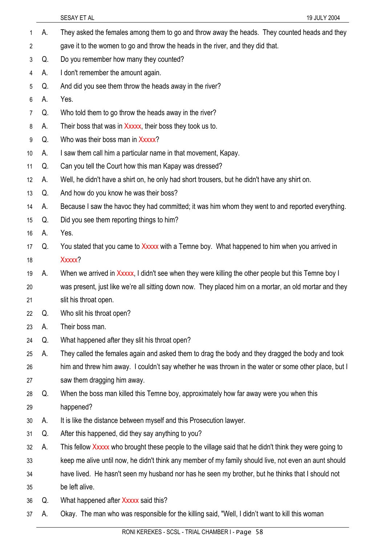|    |    | SESAY ET AL<br>19 JULY 2004                                                                            |
|----|----|--------------------------------------------------------------------------------------------------------|
| 1  | А. | They asked the females among them to go and throw away the heads. They counted heads and they          |
| 2  |    | gave it to the women to go and throw the heads in the river, and they did that.                        |
| 3  | Q. | Do you remember how many they counted?                                                                 |
| 4  | А. | I don't remember the amount again.                                                                     |
| 5  | Q. | And did you see them throw the heads away in the river?                                                |
| 6  | А. | Yes.                                                                                                   |
| 7  | Q. | Who told them to go throw the heads away in the river?                                                 |
| 8  | А. | Their boss that was in Xxxxx, their boss they took us to.                                              |
| 9  | Q. | Who was their boss man in Xxxxx?                                                                       |
| 10 | А. | I saw them call him a particular name in that movement, Kapay.                                         |
| 11 | Q. | Can you tell the Court how this man Kapay was dressed?                                                 |
| 12 | А. | Well, he didn't have a shirt on, he only had short trousers, but he didn't have any shirt on.          |
| 13 | Q. | And how do you know he was their boss?                                                                 |
| 14 | А. | Because I saw the havoc they had committed; it was him whom they went to and reported everything.      |
| 15 | Q. | Did you see them reporting things to him?                                                              |
| 16 | А. | Yes.                                                                                                   |
| 17 | Q. | You stated that you came to Xxxxx with a Temne boy. What happened to him when you arrived in           |
| 18 |    | Xxxxx?                                                                                                 |
| 19 | А. | When we arrived in Xxxxx, I didn't see when they were killing the other people but this Temne boy I    |
| 20 |    | was present, just like we're all sitting down now. They placed him on a mortar, an old mortar and they |
| 21 |    | slit his throat open.                                                                                  |
| 22 | Q. | Who slit his throat open?                                                                              |
| 23 | А. | Their boss man.                                                                                        |
| 24 | Q. | What happened after they slit his throat open?                                                         |
| 25 | А. | They called the females again and asked them to drag the body and they dragged the body and took       |
| 26 |    | him and threw him away. I couldn't say whether he was thrown in the water or some other place, but I   |
| 27 |    | saw them dragging him away.                                                                            |
| 28 | Q. | When the boss man killed this Temne boy, approximately how far away were you when this                 |
| 29 |    | happened?                                                                                              |
| 30 | А. | It is like the distance between myself and this Prosecution lawyer.                                    |
| 31 | Q. | After this happened, did they say anything to you?                                                     |
| 32 | А. | This fellow Xxxxx who brought these people to the village said that he didn't think they were going to |
| 33 |    | keep me alive until now, he didn't think any member of my family should live, not even an aunt should  |
| 34 |    | have lived. He hasn't seen my husband nor has he seen my brother, but he thinks that I should not      |
| 35 |    | be left alive.                                                                                         |
| 36 | Q. | What happened after Xxxxx said this?                                                                   |
| 37 | А. | Okay. The man who was responsible for the killing said, "Well, I didn't want to kill this woman        |
|    |    |                                                                                                        |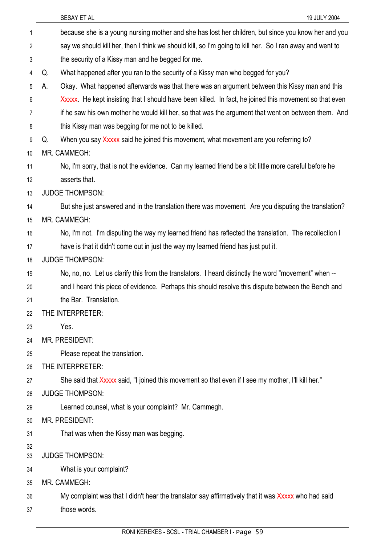|          | SESAY ET AL<br>19 JULY 2004                                                                              |
|----------|----------------------------------------------------------------------------------------------------------|
| 1        | because she is a young nursing mother and she has lost her children, but since you know her and you      |
| 2        | say we should kill her, then I think we should kill, so I'm going to kill her. So I ran away and went to |
| 3        | the security of a Kissy man and he begged for me.                                                        |
| 4        | What happened after you ran to the security of a Kissy man who begged for you?<br>Q.                     |
| 5        | Okay. What happened afterwards was that there was an argument between this Kissy man and this<br>А.      |
| 6        | Xxxxx. He kept insisting that I should have been killed. In fact, he joined this movement so that even   |
| 7        | if he saw his own mother he would kill her, so that was the argument that went on between them. And      |
| 8        | this Kissy man was begging for me not to be killed.                                                      |
| 9        | When you say Xxxxx said he joined this movement, what movement are you referring to?<br>Q.               |
| 10       | MR. CAMMEGH:                                                                                             |
| 11       | No, I'm sorry, that is not the evidence. Can my learned friend be a bit little more careful before he    |
| 12       | asserts that.                                                                                            |
| 13       | <b>JUDGE THOMPSON:</b>                                                                                   |
| 14       | But she just answered and in the translation there was movement. Are you disputing the translation?      |
| 15       | MR. CAMMEGH:                                                                                             |
| 16       | No, I'm not. I'm disputing the way my learned friend has reflected the translation. The recollection I   |
| 17       | have is that it didn't come out in just the way my learned friend has just put it.                       |
| 18       | <b>JUDGE THOMPSON:</b>                                                                                   |
| 19       | No, no, no. Let us clarify this from the translators. I heard distinctly the word "movement" when --     |
| 20       | and I heard this piece of evidence. Perhaps this should resolve this dispute between the Bench and       |
| 21       | the Bar. Translation.                                                                                    |
| 22       | THE INTERPRETER:                                                                                         |
| 23       | Yes.                                                                                                     |
| 24       | MR. PRESIDENT:                                                                                           |
| 25       | Please repeat the translation.                                                                           |
| 26       | THE INTERPRETER:                                                                                         |
| 27       | "She said that Xxxxx said, "I joined this movement so that even if I see my mother, I'll kill her.       |
| 28       | <b>JUDGE THOMPSON:</b>                                                                                   |
| 29       | Learned counsel, what is your complaint? Mr. Cammegh.                                                    |
| 30       | <b>MR. PRESIDENT:</b>                                                                                    |
| 31       | That was when the Kissy man was begging.                                                                 |
| 32<br>33 | <b>JUDGE THOMPSON:</b>                                                                                   |
| 34       | What is your complaint?                                                                                  |
| 35       | MR. CAMMEGH:                                                                                             |
| 36       | My complaint was that I didn't hear the translator say affirmatively that it was Xxxxx who had said      |
| 37       | those words.                                                                                             |
|          |                                                                                                          |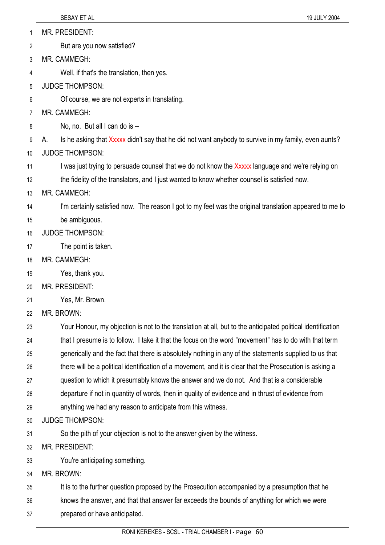MR. PRESIDENT: 1

But are you now satisfied? 2

3 MR. CAMMEGH:

4 Well, if that's the translation, then yes.

- 5 JUDGE THOMPSON:
- 6 Of course, we are not experts in translating.
- 7 MR. CAMMEGH:
- 8 No, no. But all I can do is --

9 A. Is he asking that Xxxxx didn't say that he did not want anybody to survive in my family, even aunts?

- 10 JUDGE THOMPSON:
- 11 I was just trying to persuade counsel that we do not know the Xxxxx language and we're relying on

12 the fidelity of the translators, and I just wanted to know whether counsel is satisfied now.

13 MR. CAMMEGH:

14 I'm certainly satisfied now. The reason I got to my feet was the original translation appeared to me to

- 15 be ambiguous.
- 16 JUDGE THOMPSON:
- 17 The point is taken.
- 18 MR. CAMMEGH:
- 19 Yes, thank you.
- 20 MR. PRESIDENT:
- 21 Yes, Mr. Brown.

22 MR. BROWN:

23 24 Your Honour, my objection is not to the translation at all, but to the anticipated political identification that I presume is to follow. I take it that the focus on the word "movement" has to do with that term

25 generically and the fact that there is absolutely nothing in any of the statements supplied to us that

26 there will be a political identification of a movement, and it is clear that the Prosecution is asking a

- 27 question to which it presumably knows the answer and we do not. And that is a considerable
- 28 departure if not in quantity of words, then in quality of evidence and in thrust of evidence from
- 29 anything we had any reason to anticipate from this witness.
- 30 JUDGE THOMPSON:
- 31 So the pith of your objection is not to the answer given by the witness.
- 32 MR. PRESIDENT:
- 33 You're anticipating something.
- 34 MR. BROWN:

35 It is to the further question proposed by the Prosecution accompanied by a presumption that he

36 knows the answer, and that that answer far exceeds the bounds of anything for which we were

37 prepared or have anticipated.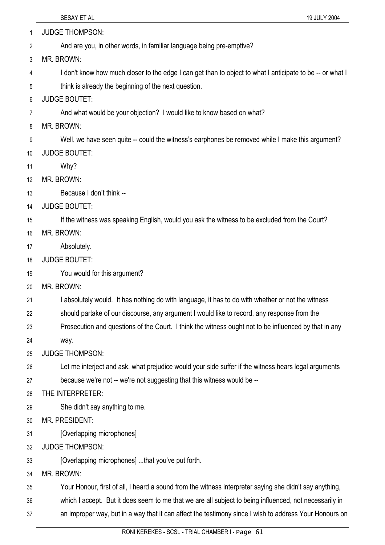1 JUDGE THOMPSON:

- 2 And are you, in other words, in familiar language being pre-emptive?
- 3 MR. BROWN:
- 4 I don't know how much closer to the edge I can get than to object to what I anticipate to be -- or what I
- 5 think is already the beginning of the next question.
- 6 JUDGE BOUTET:
- 7 And what would be your objection? I would like to know based on what?
- 8 MR. BROWN:
- 9 Well, we have seen quite -- could the witness's earphones be removed while I make this argument?
- 10 JUDGE BOUTET:
- 11 Why?
- 12 MR. BROWN:
- 13 Because I don't think --
- 14 JUDGE BOUTET:
- 15 If the witness was speaking English, would you ask the witness to be excluded from the Court?
- 16 MR. BROWN:
- 17 Absolutely.
- 18 JUDGE BOUTET:
- 19 You would for this argument?
- 20 MR. BROWN:
- 21 I absolutely would. It has nothing do with language, it has to do with whether or not the witness
- 22 should partake of our discourse, any argument I would like to record, any response from the
- 23 Prosecution and questions of the Court. I think the witness ought not to be influenced by that in any
- 24 way.
- 25 JUDGE THOMPSON:
- 26 Let me interject and ask, what prejudice would your side suffer if the witness hears legal arguments
- 27 because we're not -- we're not suggesting that this witness would be --
- 28 THE INTERPRETER:
- 29 She didn't say anything to me.
- 30 MR. PRESIDENT:
- 31 [Overlapping microphones]
- 32 JUDGE THOMPSON:
- 33 [Overlapping microphones] ...that you've put forth.
- 34 MR. BROWN:

35 Your Honour, first of all, I heard a sound from the witness interpreter saying she didn't say anything,

- 36 which I accept. But it does seem to me that we are all subject to being influenced, not necessarily in
- 37 an improper way, but in a way that it can affect the testimony since I wish to address Your Honours on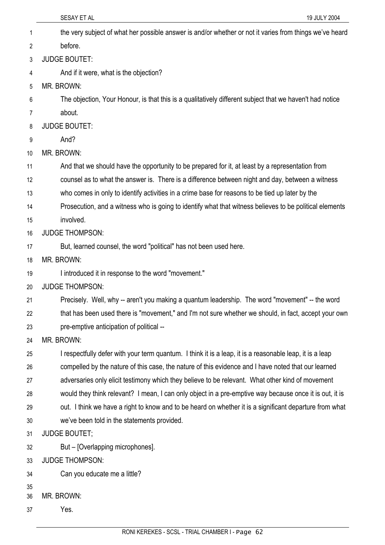|          | SESAY ET AL<br>19 JULY 2004                                                                              |
|----------|----------------------------------------------------------------------------------------------------------|
| 1        | the very subject of what her possible answer is and/or whether or not it varies from things we've heard  |
| 2        | before.                                                                                                  |
| 3        | <b>JUDGE BOUTET:</b>                                                                                     |
| 4        | And if it were, what is the objection?                                                                   |
| 5        | MR. BROWN:                                                                                               |
| 6        | The objection, Your Honour, is that this is a qualitatively different subject that we haven't had notice |
| 7        | about.                                                                                                   |
| 8        | <b>JUDGE BOUTET:</b>                                                                                     |
| 9        | And?                                                                                                     |
| 10       | MR. BROWN:                                                                                               |
| 11       | And that we should have the opportunity to be prepared for it, at least by a representation from         |
| 12       | counsel as to what the answer is. There is a difference between night and day, between a witness         |
| 13       | who comes in only to identify activities in a crime base for reasons to be tied up later by the          |
| 14       | Prosecution, and a witness who is going to identify what that witness believes to be political elements  |
| 15       | involved.                                                                                                |
| 16       | <b>JUDGE THOMPSON:</b>                                                                                   |
| 17       | But, learned counsel, the word "political" has not been used here.                                       |
| 18       | MR. BROWN:                                                                                               |
| 19       | I introduced it in response to the word "movement."                                                      |
| 20       | <b>JUDGE THOMPSON:</b>                                                                                   |
| 21       | Precisely. Well, why -- aren't you making a quantum leadership. The word "movement" -- the word          |
| 22       | that has been used there is "movement," and I'm not sure whether we should, in fact, accept your own     |
| 23       | pre-emptive anticipation of political --                                                                 |
| 24       | MR. BROWN:                                                                                               |
| 25       | I respectfully defer with your term quantum. I think it is a leap, it is a reasonable leap, it is a leap |
| 26       | compelled by the nature of this case, the nature of this evidence and I have noted that our learned      |
| 27       | adversaries only elicit testimony which they believe to be relevant. What other kind of movement         |
| 28       | would they think relevant? I mean, I can only object in a pre-emptive way because once it is out, it is  |
| 29       | out. I think we have a right to know and to be heard on whether it is a significant departure from what  |
| 30       | we've been told in the statements provided.                                                              |
| 31       | <b>JUDGE BOUTET;</b>                                                                                     |
| 32       | But – [Overlapping microphones].                                                                         |
| 33       | <b>JUDGE THOMPSON:</b>                                                                                   |
| 34       | Can you educate me a little?                                                                             |
| 35<br>36 | MR. BROWN:                                                                                               |
| 37       | Yes.                                                                                                     |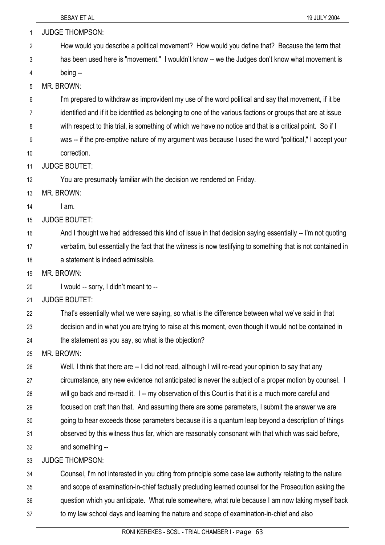37

| 1              | <b>JUDGE THOMPSON:</b>                                                                                      |
|----------------|-------------------------------------------------------------------------------------------------------------|
| $\overline{2}$ | How would you describe a political movement? How would you define that? Because the term that               |
| 3              | has been used here is "movement." I wouldn't know -- we the Judges don't know what movement is              |
| 4              | being --                                                                                                    |
| 5              | MR. BROWN:                                                                                                  |
| 6              | I'm prepared to withdraw as improvident my use of the word political and say that movement, if it be        |
| 7              | identified and if it be identified as belonging to one of the various factions or groups that are at issue  |
| 8              | with respect to this trial, is something of which we have no notice and that is a critical point. So if I   |
| 9              | was -- if the pre-emptive nature of my argument was because I used the word "political," I accept your      |
| 10             | correction.                                                                                                 |
| 11             | <b>JUDGE BOUTET:</b>                                                                                        |
| 12             | You are presumably familiar with the decision we rendered on Friday.                                        |
| 13             | MR. BROWN:                                                                                                  |
| 14             | I am.                                                                                                       |
| 15             | <b>JUDGE BOUTET:</b>                                                                                        |
| 16             | And I thought we had addressed this kind of issue in that decision saying essentially -- I'm not quoting    |
| 17             | verbatim, but essentially the fact that the witness is now testifying to something that is not contained in |
| 18             | a statement is indeed admissible.                                                                           |
| 19             | MR. BROWN:                                                                                                  |
| 20             | I would -- sorry, I didn't meant to --                                                                      |
| 21             | <b>JUDGE BOUTET:</b>                                                                                        |
| 22             | That's essentially what we were saying, so what is the difference between what we've said in that           |
| 23             | decision and in what you are trying to raise at this moment, even though it would not be contained in       |
| 24             | the statement as you say, so what is the objection?                                                         |
| 25             | MR. BROWN:                                                                                                  |
| 26             | Well, I think that there are -- I did not read, although I will re-read your opinion to say that any        |
| 27             | circumstance, any new evidence not anticipated is never the subject of a proper motion by counsel. I        |
| 28             | will go back and re-read it. 1-- my observation of this Court is that it is a much more careful and         |
| 29             | focused on craft than that. And assuming there are some parameters, I submit the answer we are              |
| 30             | going to hear exceeds those parameters because it is a quantum leap beyond a description of things          |
| 31             | observed by this witness thus far, which are reasonably consonant with that which was said before,          |
| 32             | and something --                                                                                            |
| 33             | <b>JUDGE THOMPSON:</b>                                                                                      |
| 34             | Counsel, I'm not interested in you citing from principle some case law authority relating to the nature     |
| 35             | and scope of examination-in-chief factually precluding learned counsel for the Prosecution asking the       |
| 36             | question which you anticipate. What rule somewhere, what rule because I am now taking myself back           |

to my law school days and learning the nature and scope of examination-in-chief and also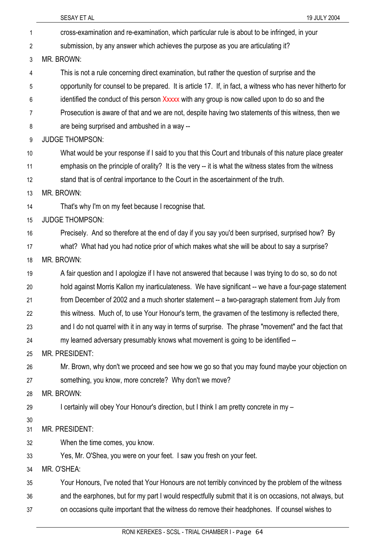|                | 19 JULY 2004<br>SESAY ET AL                                                                                 |
|----------------|-------------------------------------------------------------------------------------------------------------|
| 1              | cross-examination and re-examination, which particular rule is about to be infringed, in your               |
| $\overline{2}$ | submission, by any answer which achieves the purpose as you are articulating it?                            |
| 3              | MR. BROWN:                                                                                                  |
| 4              | This is not a rule concerning direct examination, but rather the question of surprise and the               |
| 5              | opportunity for counsel to be prepared. It is article 17. If, in fact, a witness who has never hitherto for |
| 6              | identified the conduct of this person Xxxxx with any group is now called upon to do so and the              |
| 7              | Prosecution is aware of that and we are not, despite having two statements of this witness, then we         |
| 8              | are being surprised and ambushed in a way --                                                                |
| 9              | <b>JUDGE THOMPSON:</b>                                                                                      |
| 10             | What would be your response if I said to you that this Court and tribunals of this nature place greater     |
| 11             | emphasis on the principle of orality? It is the very -- it is what the witness states from the witness      |
| 12             | stand that is of central importance to the Court in the ascertainment of the truth.                         |
| 13             | MR. BROWN:                                                                                                  |
| 14             | That's why I'm on my feet because I recognise that.                                                         |
| 15             | <b>JUDGE THOMPSON:</b>                                                                                      |
| 16             | Precisely. And so therefore at the end of day if you say you'd been surprised, surprised how? By            |
| 17             | what? What had you had notice prior of which makes what she will be about to say a surprise?                |
| 18             | MR. BROWN:                                                                                                  |
| 19             | A fair question and I apologize if I have not answered that because I was trying to do so, so do not        |
| 20             | hold against Morris Kallon my inarticulateness. We have significant -- we have a four-page statement        |
| 21             | from December of 2002 and a much shorter statement -- a two-paragraph statement from July from              |
| 22             | this witness. Much of, to use Your Honour's term, the gravamen of the testimony is reflected there,         |
| 23             | and I do not quarrel with it in any way in terms of surprise. The phrase "movement" and the fact that       |
| 24             | my learned adversary presumably knows what movement is going to be identified --                            |
| 25             | MR. PRESIDENT:                                                                                              |
| 26             | Mr. Brown, why don't we proceed and see how we go so that you may found maybe your objection on             |
| 27             | something, you know, more concrete? Why don't we move?                                                      |
| 28             | MR. BROWN:                                                                                                  |
| 29             | I certainly will obey Your Honour's direction, but I think I am pretty concrete in my -                     |
| 30             | MR. PRESIDENT:                                                                                              |
| 31             |                                                                                                             |
| 32<br>33       | When the time comes, you know.<br>Yes, Mr. O'Shea, you were on your feet. I saw you fresh on your feet.     |
| 34             | MR. O'SHEA:                                                                                                 |
| 35             | Your Honours, I've noted that Your Honours are not terribly convinced by the problem of the witness         |
| 36             | and the earphones, but for my part I would respectfully submit that it is on occasions, not always, but     |
| 37             | on occasions quite important that the witness do remove their headphones. If counsel wishes to              |
|                |                                                                                                             |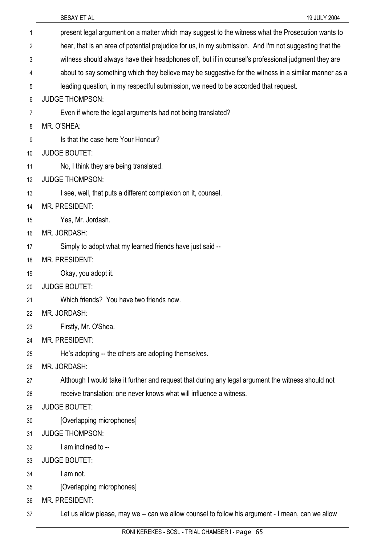37

| 1  | present legal argument on a matter which may suggest to the witness what the Prosecution wants to      |
|----|--------------------------------------------------------------------------------------------------------|
| 2  | hear, that is an area of potential prejudice for us, in my submission. And I'm not suggesting that the |
| 3  | witness should always have their headphones off, but if in counsel's professional judgment they are    |
| 4  | about to say something which they believe may be suggestive for the witness in a similar manner as a   |
| 5  | leading question, in my respectful submission, we need to be accorded that request.                    |
| 6  | <b>JUDGE THOMPSON:</b>                                                                                 |
| 7  | Even if where the legal arguments had not being translated?                                            |
| 8  | MR. O'SHEA:                                                                                            |
| 9  | Is that the case here Your Honour?                                                                     |
| 10 | <b>JUDGE BOUTET:</b>                                                                                   |
| 11 | No, I think they are being translated.                                                                 |
| 12 | <b>JUDGE THOMPSON:</b>                                                                                 |
| 13 | I see, well, that puts a different complexion on it, counsel.                                          |
| 14 | <b>MR. PRESIDENT:</b>                                                                                  |
| 15 | Yes, Mr. Jordash.                                                                                      |
| 16 | MR. JORDASH:                                                                                           |
| 17 | Simply to adopt what my learned friends have just said --                                              |
| 18 | <b>MR. PRESIDENT:</b>                                                                                  |
| 19 | Okay, you adopt it.                                                                                    |
| 20 | <b>JUDGE BOUTET:</b>                                                                                   |
| 21 | Which friends? You have two friends now.                                                               |
| 22 | MR. JORDASH:                                                                                           |
| 23 | Firstly, Mr. O'Shea.                                                                                   |
| 24 | MR. PRESIDENT:                                                                                         |
| 25 | He's adopting -- the others are adopting themselves.                                                   |
| 26 | MR. JORDASH:                                                                                           |
| 27 | Although I would take it further and request that during any legal argument the witness should not     |
| 28 | receive translation; one never knows what will influence a witness.                                    |
| 29 | <b>JUDGE BOUTET:</b>                                                                                   |
| 30 | [Overlapping microphones]                                                                              |
| 31 | <b>JUDGE THOMPSON:</b>                                                                                 |
| 32 | I am inclined to --                                                                                    |
| 33 | <b>JUDGE BOUTET:</b>                                                                                   |
| 34 | I am not.                                                                                              |
| 35 | [Overlapping microphones]                                                                              |
| 36 | MR. PRESIDENT:                                                                                         |

Let us allow please, may we -- can we allow counsel to follow his argument - I mean, can we allow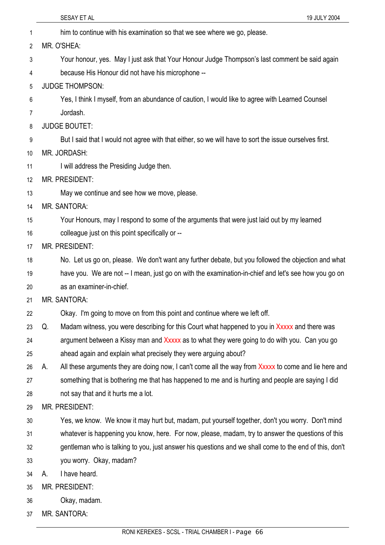|                | SESAY ET AL<br>19 JULY 2004                                                                                |
|----------------|------------------------------------------------------------------------------------------------------------|
| 1              | him to continue with his examination so that we see where we go, please.                                   |
| $\overline{2}$ | MR. O'SHEA:                                                                                                |
| 3              | Your honour, yes. May I just ask that Your Honour Judge Thompson's last comment be said again              |
| 4              | because His Honour did not have his microphone --                                                          |
| 5              | <b>JUDGE THOMPSON:</b>                                                                                     |
| 6              | Yes, I think I myself, from an abundance of caution, I would like to agree with Learned Counsel            |
| 7              | Jordash.                                                                                                   |
| 8              | <b>JUDGE BOUTET:</b>                                                                                       |
| 9              | But I said that I would not agree with that either, so we will have to sort the issue ourselves first.     |
| 10             | MR. JORDASH:                                                                                               |
| 11             | I will address the Presiding Judge then.                                                                   |
| 12             | <b>MR. PRESIDENT:</b>                                                                                      |
| 13             | May we continue and see how we move, please.                                                               |
| 14             | <b>MR. SANTORA:</b>                                                                                        |
| 15             | Your Honours, may I respond to some of the arguments that were just laid out by my learned                 |
| 16             | colleague just on this point specifically or --                                                            |
| 17             | <b>MR. PRESIDENT:</b>                                                                                      |
| 18             | No. Let us go on, please. We don't want any further debate, but you followed the objection and what        |
| 19             | have you. We are not -- I mean, just go on with the examination-in-chief and let's see how you go on       |
| 20             | as an examiner-in-chief.                                                                                   |
| 21             | <b>MR. SANTORA:</b>                                                                                        |
| 22             | Okay. I'm going to move on from this point and continue where we left off.                                 |
| 23             | Madam witness, you were describing for this Court what happened to you in Xxxxx and there was<br>Q.        |
| 24             | argument between a Kissy man and Xxxxx as to what they were going to do with you. Can you go               |
| 25             | ahead again and explain what precisely they were arguing about?                                            |
| 26             | All these arguments they are doing now, I can't come all the way from Xxxxx to come and lie here and<br>А. |
| 27             | something that is bothering me that has happened to me and is hurting and people are saying I did          |
| 28             | not say that and it hurts me a lot.                                                                        |
| 29             | MR. PRESIDENT:                                                                                             |
| 30             | Yes, we know. We know it may hurt but, madam, put yourself together, don't you worry. Don't mind           |
| 31             | whatever is happening you know, here. For now, please, madam, try to answer the questions of this          |
| 32             | gentleman who is talking to you, just answer his questions and we shall come to the end of this, don't     |
| 33             | you worry. Okay, madam?                                                                                    |
| 34             | I have heard.<br>А.                                                                                        |
| 35             | MR. PRESIDENT:                                                                                             |
| 36             | Okay, madam.                                                                                               |
| 37             | MR. SANTORA:                                                                                               |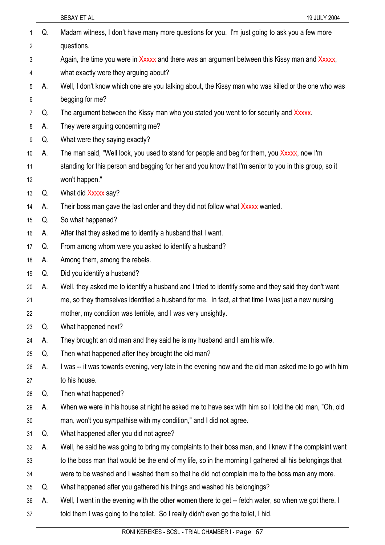| 1<br>$\overline{2}$ | Q. | Madam witness, I don't have many more questions for you. I'm just going to ask you a few more<br>questions. |
|---------------------|----|-------------------------------------------------------------------------------------------------------------|
|                     |    | Again, the time you were in Xxxxx and there was an argument between this Kissy man and Xxxxx,               |
| 3<br>4              |    | what exactly were they arguing about?                                                                       |
| 5                   | А. | Well, I don't know which one are you talking about, the Kissy man who was killed or the one who was         |
| 6                   |    | begging for me?                                                                                             |
| 7                   | Q. | The argument between the Kissy man who you stated you went to for security and Xxxxx.                       |
| 8                   | А. | They were arguing concerning me?                                                                            |
| 9                   | Q. | What were they saying exactly?                                                                              |
| 10                  | А. | The man said, "Well look, you used to stand for people and beg for them, you Xxxxx, now I'm                 |
| 11                  |    | standing for this person and begging for her and you know that I'm senior to you in this group, so it       |
| 12                  |    | won't happen."                                                                                              |
| 13                  | Q. | What did Xxxxx say?                                                                                         |
| 14                  | A. | Their boss man gave the last order and they did not follow what Xxxxx wanted.                               |
| 15                  | Q. | So what happened?                                                                                           |
| 16                  | А. | After that they asked me to identify a husband that I want.                                                 |
| 17                  | Q. | From among whom were you asked to identify a husband?                                                       |
| 18                  | А. | Among them, among the rebels.                                                                               |
| 19                  | Q. | Did you identify a husband?                                                                                 |
| 20                  | А. | Well, they asked me to identify a husband and I tried to identify some and they said they don't want        |
| 21                  |    | me, so they themselves identified a husband for me. In fact, at that time I was just a new nursing          |
| 22                  |    | mother, my condition was terrible, and I was very unsightly.                                                |
| 23                  | Q. | What happened next?                                                                                         |
| 24                  | А. | They brought an old man and they said he is my husband and I am his wife.                                   |
| 25                  | Q. | Then what happened after they brought the old man?                                                          |
| 26                  | А. | I was -- it was towards evening, very late in the evening now and the old man asked me to go with him       |
| 27                  |    | to his house.                                                                                               |
| 28                  | Q. | Then what happened?                                                                                         |
| 29                  | А. | When we were in his house at night he asked me to have sex with him so I told the old man, "Oh, old         |
| 30                  |    | man, won't you sympathise with my condition," and I did not agree.                                          |
| 31                  | Q. | What happened after you did not agree?                                                                      |
| 32                  | А. | Well, he said he was going to bring my complaints to their boss man, and I knew if the complaint went       |
| 33                  |    | to the boss man that would be the end of my life, so in the morning I gathered all his belongings that      |
| 34                  |    | were to be washed and I washed them so that he did not complain me to the boss man any more.                |
| 35                  | Q. | What happened after you gathered his things and washed his belongings?                                      |
| 36                  | А. | Well, I went in the evening with the other women there to get -- fetch water, so when we got there, I       |
| 37                  |    | told them I was going to the toilet. So I really didn't even go the toilet, I hid.                          |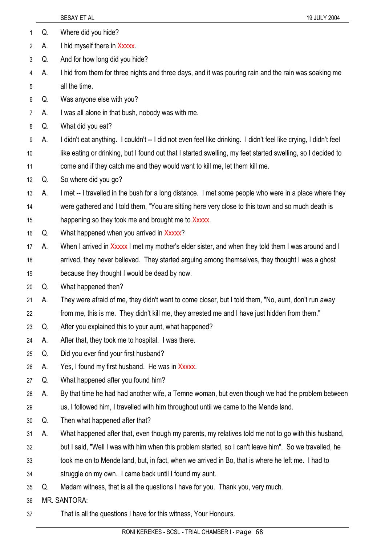|    |    | 19 JULY 2004<br>SESAY ET AL                                                                                      |
|----|----|------------------------------------------------------------------------------------------------------------------|
| 1  | Q. | Where did you hide?                                                                                              |
| 2  | А. | I hid myself there in Xxxxx.                                                                                     |
| 3  | Q. | And for how long did you hide?                                                                                   |
| 4  | А. | I hid from them for three nights and three days, and it was pouring rain and the rain was soaking me             |
| 5  |    | all the time.                                                                                                    |
| 6  | Q. | Was anyone else with you?                                                                                        |
| 7  | А. | I was all alone in that bush, nobody was with me.                                                                |
| 8  | Q. | What did you eat?                                                                                                |
| 9  | А. | I didn't eat anything. I couldn't -- I did not even feel like drinking. I didn't feel like crying, I didn't feel |
| 10 |    | like eating or drinking, but I found out that I started swelling, my feet started swelling, so I decided to      |
| 11 |    | come and if they catch me and they would want to kill me, let them kill me.                                      |
| 12 | Q. | So where did you go?                                                                                             |
| 13 | А. | I met -- I travelled in the bush for a long distance. I met some people who were in a place where they           |
| 14 |    | were gathered and I told them, "You are sitting here very close to this town and so much death is                |
| 15 |    | happening so they took me and brought me to Xxxxx.                                                               |
| 16 | Q. | What happened when you arrived in Xxxxx?                                                                         |
| 17 | А. | When I arrived in Xxxxx I met my mother's elder sister, and when they told them I was around and I               |
| 18 |    | arrived, they never believed. They started arguing among themselves, they thought I was a ghost                  |
| 19 |    | because they thought I would be dead by now.                                                                     |
| 20 | Q. | What happened then?                                                                                              |
| 21 | А. | They were afraid of me, they didn't want to come closer, but I told them, "No, aunt, don't run away              |
| 22 |    | from me, this is me. They didn't kill me, they arrested me and I have just hidden from them."                    |
| 23 | Q. | After you explained this to your aunt, what happened?                                                            |
| 24 | А. | After that, they took me to hospital. I was there.                                                               |
| 25 | Q. | Did you ever find your first husband?                                                                            |
| 26 | А. | Yes, I found my first husband. He was in Xxxxx.                                                                  |
| 27 | Q. | What happened after you found him?                                                                               |
| 28 | А. | By that time he had had another wife, a Temne woman, but even though we had the problem between                  |
| 29 |    | us, I followed him, I travelled with him throughout until we came to the Mende land.                             |
| 30 | Q. | Then what happened after that?                                                                                   |
| 31 | А. | What happened after that, even though my parents, my relatives told me not to go with this husband,              |
| 32 |    | but I said, "Well I was with him when this problem started, so I can't leave him". So we travelled, he           |
| 33 |    | took me on to Mende land, but, in fact, when we arrived in Bo, that is where he left me. I had to                |
| 34 |    | struggle on my own. I came back until I found my aunt.                                                           |
| 35 | Q. | Madam witness, that is all the questions I have for you. Thank you, very much.                                   |
| 36 |    | MR. SANTORA:                                                                                                     |
| 37 |    | That is all the questions I have for this witness, Your Honours.                                                 |
|    |    |                                                                                                                  |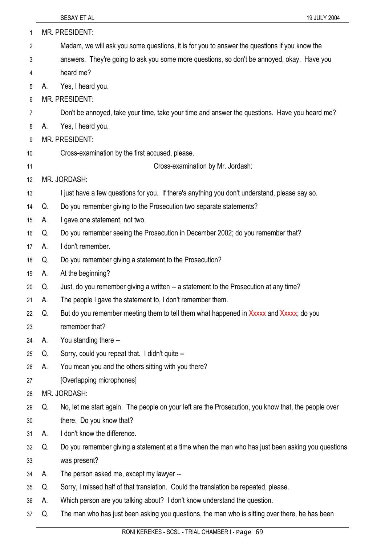|    |    | 19 JULY 2004<br>SESAY ET AL                                                                         |
|----|----|-----------------------------------------------------------------------------------------------------|
| 1  |    | MR. PRESIDENT:                                                                                      |
| 2  |    | Madam, we will ask you some questions, it is for you to answer the questions if you know the        |
| 3  |    | answers. They're going to ask you some more questions, so don't be annoyed, okay. Have you          |
| 4  |    | heard me?                                                                                           |
| 5  | Α. | Yes, I heard you.                                                                                   |
| 6  |    | <b>MR. PRESIDENT:</b>                                                                               |
| 7  |    | Don't be annoyed, take your time, take your time and answer the questions. Have you heard me?       |
| 8  | А. | Yes, I heard you.                                                                                   |
| 9  |    | <b>MR. PRESIDENT:</b>                                                                               |
| 10 |    | Cross-examination by the first accused, please.                                                     |
| 11 |    | Cross-examination by Mr. Jordash:                                                                   |
| 12 |    | MR. JORDASH:                                                                                        |
| 13 |    | I just have a few questions for you. If there's anything you don't understand, please say so.       |
| 14 | Q. | Do you remember giving to the Prosecution two separate statements?                                  |
| 15 | А. | I gave one statement, not two.                                                                      |
| 16 | Q. | Do you remember seeing the Prosecution in December 2002; do you remember that?                      |
| 17 | А. | I don't remember.                                                                                   |
| 18 | Q. | Do you remember giving a statement to the Prosecution?                                              |
| 19 | А. | At the beginning?                                                                                   |
| 20 | Q. | Just, do you remember giving a written -- a statement to the Prosecution at any time?               |
| 21 | A. | The people I gave the statement to, I don't remember them.                                          |
| 22 | Q. | But do you remember meeting them to tell them what happened in Xxxxx and Xxxxx; do you              |
| 23 |    | remember that?                                                                                      |
| 24 | А. | You standing there --                                                                               |
| 25 | Q. | Sorry, could you repeat that. I didn't quite --                                                     |
| 26 | А. | You mean you and the others sitting with you there?                                                 |
| 27 |    | [Overlapping microphones]                                                                           |
| 28 |    | MR. JORDASH:                                                                                        |
| 29 | Q. | No, let me start again. The people on your left are the Prosecution, you know that, the people over |
| 30 |    | there. Do you know that?                                                                            |
| 31 | А. | I don't know the difference.                                                                        |
| 32 | Q. | Do you remember giving a statement at a time when the man who has just been asking you questions    |
| 33 |    | was present?                                                                                        |
| 34 | А. | The person asked me, except my lawyer --                                                            |
| 35 | Q. | Sorry, I missed half of that translation. Could the translation be repeated, please.                |
| 36 | А. | Which person are you talking about? I don't know understand the question.                           |
| 37 | Q. | The man who has just been asking you questions, the man who is sitting over there, he has been      |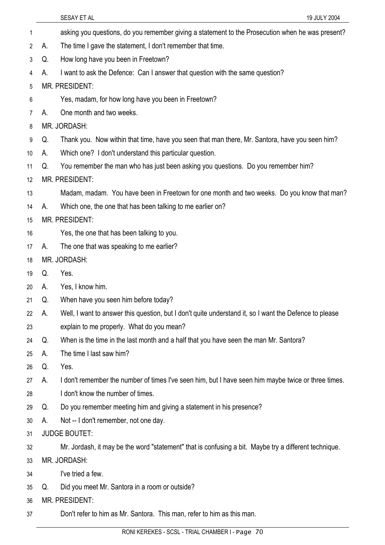|                |    | SESAY ET AL<br>19 JULY 2004                                                                            |
|----------------|----|--------------------------------------------------------------------------------------------------------|
| 1              |    | asking you questions, do you remember giving a statement to the Prosecution when he was present?       |
| $\overline{2}$ | Α. | The time I gave the statement, I don't remember that time.                                             |
| 3              | Q. | How long have you been in Freetown?                                                                    |
| 4              | А. | I want to ask the Defence: Can I answer that question with the same question?                          |
| 5              |    | MR. PRESIDENT:                                                                                         |
| 6              |    | Yes, madam, for how long have you been in Freetown?                                                    |
| 7              | А. | One month and two weeks.                                                                               |
| 8              |    | MR. JORDASH:                                                                                           |
| 9              | Q. | Thank you. Now within that time, have you seen that man there, Mr. Santora, have you seen him?         |
| 10             | А. | Which one? I don't understand this particular question.                                                |
| 11             | Q. | You remember the man who has just been asking you questions. Do you remember him?                      |
| 12             |    | MR. PRESIDENT:                                                                                         |
| 13             |    | Madam, madam. You have been in Freetown for one month and two weeks. Do you know that man?             |
| 14             | А. | Which one, the one that has been talking to me earlier on?                                             |
| 15             |    | MR. PRESIDENT:                                                                                         |
| 16             |    | Yes, the one that has been talking to you.                                                             |
| 17             | А. | The one that was speaking to me earlier?                                                               |
| 18             |    | MR. JORDASH:                                                                                           |
| 19             | Q. | Yes.                                                                                                   |
| 20             | А. | Yes, I know him.                                                                                       |
| 21             | Q. | When have you seen him before today?                                                                   |
| 22             | А. | Well, I want to answer this question, but I don't quite understand it, so I want the Defence to please |
| 23             |    | explain to me properly. What do you mean?                                                              |
| 24             | Q. | When is the time in the last month and a half that you have seen the man Mr. Santora?                  |
| 25             | А. | The time I last saw him?                                                                               |
| 26             | Q. | Yes.                                                                                                   |
| 27             | А. | I don't remember the number of times I've seen him, but I have seen him maybe twice or three times.    |
| 28             |    | I don't know the number of times.                                                                      |
| 29             | Q. | Do you remember meeting him and giving a statement in his presence?                                    |
| 30             | А. | Not -- I don't remember, not one day.                                                                  |
| 31             |    | <b>JUDGE BOUTET:</b>                                                                                   |
| 32             |    | Mr. Jordash, it may be the word "statement" that is confusing a bit. Maybe try a different technique.  |
| 33             |    | MR. JORDASH:                                                                                           |
| 34             |    | I've tried a few.                                                                                      |
| 35             | Q. | Did you meet Mr. Santora in a room or outside?                                                         |
| 36             |    | MR. PRESIDENT:                                                                                         |
| 37             |    | Don't refer to him as Mr. Santora. This man, refer to him as this man.                                 |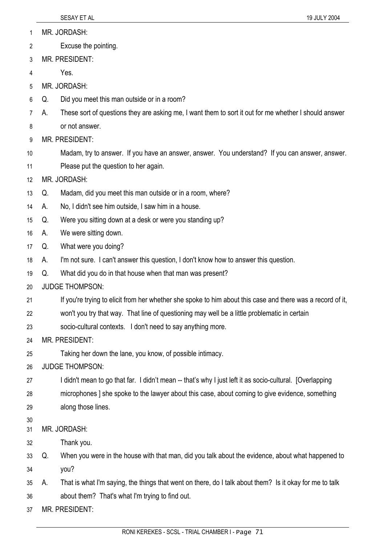1 MR. JORDASH:

- 2 Excuse the pointing.
- 3 MR. PRESIDENT:
- 4 Yes.
- 5 MR. JORDASH:
- 6 Q. Did you meet this man outside or in a room?
- 7 A. These sort of questions they are asking me, I want them to sort it out for me whether I should answer
- 8 or not answer.
- 9 MR. PRESIDENT:
- 10 Madam, try to answer. If you have an answer, answer. You understand? If you can answer, answer.
- 11 Please put the question to her again.
- 12 MR. JORDASH:
- 13 Q. Madam, did you meet this man outside or in a room, where?
- 14 A. No, I didn't see him outside, I saw him in a house.
- 15 Q. Were you sitting down at a desk or were you standing up?
- 16 A. We were sitting down.
- 17 Q. What were you doing?
- 18 A. I'm not sure. I can't answer this question, I don't know how to answer this question.
- 19 Q. What did you do in that house when that man was present?
- 20 JUDGE THOMPSON:
- 21 If you're trying to elicit from her whether she spoke to him about this case and there was a record of it,
- 22 won't you try that way. That line of questioning may well be a little problematic in certain
- 23 socio-cultural contexts. I don't need to say anything more.
- 24 MR. PRESIDENT:
- 25 Taking her down the lane, you know, of possible intimacy.
- 26 JUDGE THOMPSON:
- 27 I didn't mean to go that far. I didn't mean -- that's why I just left it as socio-cultural. [Overlapping]
- 28 microphones ] she spoke to the lawyer about this case, about coming to give evidence, something
- 29 along those lines.
- 30

31 MR. JORDASH:

- 32 Thank you.
- 33 34 Q. When you were in the house with that man, did you talk about the evidence, about what happened to you?
- 35 36 A. That is what I'm saying, the things that went on there, do I talk about them? Is it okay for me to talk about them? That's what I'm trying to find out.

37 MR. PRESIDENT: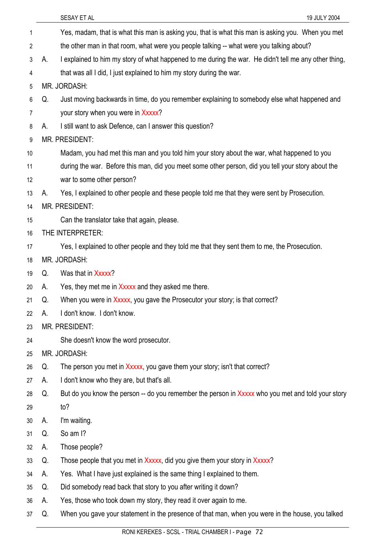37

Yes, madam, that is what this man is asking you, that is what this man is asking you. When you met the other man in that room, what were you people talking -- what were you talking about? 1 2 3 4 5 6 7 8 9 10 11 12 13 14 15 16 17 18 19 20 21 22 23 24 25 26 27 28 29 30 31 32 33 34 35 36 A. I explained to him my story of what happened to me during the war. He didn't tell me any other thing, that was all I did, I just explained to him my story during the war. MR. JORDASH: Q. Just moving backwards in time, do you remember explaining to somebody else what happened and your story when you were in Xxxxx? A. I still want to ask Defence, can I answer this question? MR. PRESIDENT: Madam, you had met this man and you told him your story about the war, what happened to you during the war. Before this man, did you meet some other person, did you tell your story about the war to some other person? A. Yes, I explained to other people and these people told me that they were sent by Prosecution. MR. PRESIDENT: Can the translator take that again, please. THE INTERPRETER: Yes, I explained to other people and they told me that they sent them to me, the Prosecution. MR. JORDASH: Q. Was that in Xxxxx? A. Yes, they met me in Xxxxx and they asked me there. Q. When you were in Xxxxx, you gave the Prosecutor your story; is that correct? A. I don't know. I don't know. MR. PRESIDENT: She doesn't know the word prosecutor. MR. JORDASH: Q. The person you met in Xxxxx, you gave them your story; isn't that correct? A. I don't know who they are, but that's all. Q. But do you know the person -- do you remember the person in Xxxxx who you met and told your story to? A. I'm waiting. Q. So am I? A. Those people? Q. Those people that you met in Xxxxx, did you give them your story in Xxxxx? A. Yes. What I have just explained is the same thing I explained to them. Q. Did somebody read back that story to you after writing it down? A. Yes, those who took down my story, they read it over again to me.

Q. When you gave your statement in the presence of that man, when you were in the house, you talked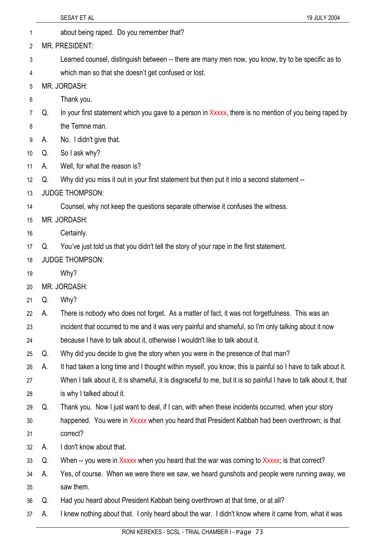|    |    | SESAY ET AL<br>19 JULY 2004                                                                                       |
|----|----|-------------------------------------------------------------------------------------------------------------------|
| 1  |    | about being raped. Do you remember that?                                                                          |
| 2  |    | MR. PRESIDENT:                                                                                                    |
| 3  |    | Learned counsel, distinguish between -- there are many men now, you know, try to be specific as to                |
| 4  |    | which man so that she doesn't get confused or lost.                                                               |
| 5  |    | MR. JORDASH:                                                                                                      |
| 6  |    | Thank you.                                                                                                        |
| 7  | Q. | In your first statement which you gave to a person in Xxxxx, there is no mention of you being raped by            |
| 8  |    | the Temne man.                                                                                                    |
| 9  | А. | No. I didn't give that.                                                                                           |
| 10 | Q. | So I ask why?                                                                                                     |
| 11 | А. | Well, for what the reason is?                                                                                     |
| 12 | Q. | Why did you miss it out in your first statement but then put it into a second statement --                        |
| 13 |    | <b>JUDGE THOMPSON:</b>                                                                                            |
| 14 |    | Counsel, why not keep the questions separate otherwise it confuses the witness.                                   |
| 15 |    | MR. JORDASH:                                                                                                      |
| 16 |    | Certainly.                                                                                                        |
| 17 | Q. | You've just told us that you didn't tell the story of your rape in the first statement.                           |
| 18 |    | <b>JUDGE THOMPSON:</b>                                                                                            |
| 19 |    | Why?                                                                                                              |
| 20 |    | MR. JORDASH:                                                                                                      |
| 21 | Q. | Why?                                                                                                              |
| 22 | А. | There is nobody who does not forget. As a matter of fact, it was not forgetfulness. This was an                   |
| 23 |    | incident that occurred to me and it was very painful and shameful, so I'm only talking about it now               |
| 24 |    | because I have to talk about it, otherwise I wouldn't like to talk about it.                                      |
| 25 | Q. | Why did you decide to give the story when you were in the presence of that man?                                   |
| 26 | А. | It had taken a long time and I thought within myself, you know, this is painful so I have to talk about it.       |
| 27 |    | When I talk about it, it is shameful, it is disgraceful to me, but it is so painful I have to talk about it, that |
| 28 |    | is why I talked about it.                                                                                         |
| 29 | Q. | Thank you. Now I just want to deal, if I can, with when these incidents occurred, when your story                 |
| 30 |    | happened. You were in Xxxxx when you heard that President Kabbah had been overthrown; is that                     |
| 31 |    | correct?                                                                                                          |
| 32 | А. | I don't know about that.                                                                                          |
| 33 | Q. | When -- you were in Xxxxx when you heard that the war was coming to Xxxxx; is that correct?                       |
| 34 | А. | Yes, of course. When we were there we saw, we heard gunshots and people were running away, we                     |
| 35 |    | saw them.                                                                                                         |
| 36 | Q. | Had you heard about President Kabbah being overthrown at that time, or at all?                                    |
| 37 | А. | I knew nothing about that. I only heard about the war. I didn't know where it came from, what it was              |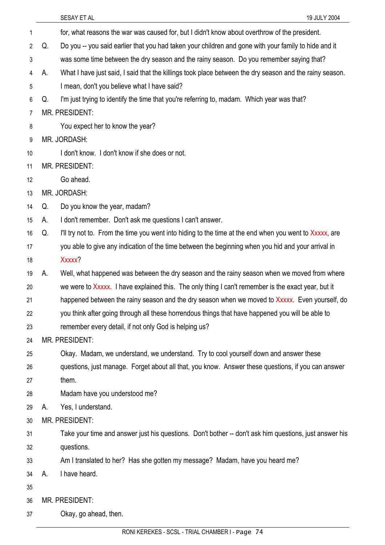|    |    | SESAY ET AL<br>19 JULY 2004                                                                             |
|----|----|---------------------------------------------------------------------------------------------------------|
| 1  |    | for, what reasons the war was caused for, but I didn't know about overthrow of the president.           |
| 2  | Q. | Do you -- you said earlier that you had taken your children and gone with your family to hide and it    |
| 3  |    | was some time between the dry season and the rainy season. Do you remember saying that?                 |
| 4  | А. | What I have just said, I said that the killings took place between the dry season and the rainy season. |
| 5  |    | I mean, don't you believe what I have said?                                                             |
| 6  | Q. | I'm just trying to identify the time that you're referring to, madam. Which year was that?              |
| 7  |    | <b>MR. PRESIDENT:</b>                                                                                   |
| 8  |    | You expect her to know the year?                                                                        |
| 9  |    | MR. JORDASH:                                                                                            |
| 10 |    | I don't know. I don't know if she does or not.                                                          |
| 11 |    | <b>MR. PRESIDENT:</b>                                                                                   |
| 12 |    | Go ahead.                                                                                               |
| 13 |    | MR. JORDASH:                                                                                            |
| 14 | Q. | Do you know the year, madam?                                                                            |
| 15 | A. | I don't remember. Don't ask me questions I can't answer.                                                |
| 16 | Q. | I'll try not to. From the time you went into hiding to the time at the end when you went to Xxxxx, are  |
| 17 |    | you able to give any indication of the time between the beginning when you hid and your arrival in      |
| 18 |    | Xxxxx?                                                                                                  |
| 19 | А. | Well, what happened was between the dry season and the rainy season when we moved from where            |
| 20 |    | we were to Xxxxx. I have explained this. The only thing I can't remember is the exact year, but it      |
| 21 |    | happened between the rainy season and the dry season when we moved to Xxxxx. Even yourself, do          |
| 22 |    | you think after going through all these horrendous things that have happened you will be able to        |
| 23 |    | remember every detail, if not only God is helping us?                                                   |
| 24 |    | MR. PRESIDENT:                                                                                          |
| 25 |    | Okay. Madam, we understand, we understand. Try to cool yourself down and answer these                   |
| 26 |    | questions, just manage. Forget about all that, you know. Answer these questions, if you can answer      |
| 27 |    | them.                                                                                                   |
| 28 |    | Madam have you understood me?                                                                           |
| 29 | А. | Yes, I understand.                                                                                      |
| 30 |    | MR. PRESIDENT:                                                                                          |
| 31 |    | Take your time and answer just his questions. Don't bother -- don't ask him questions, just answer his  |
| 32 |    | questions.                                                                                              |
| 33 |    | Am I translated to her? Has she gotten my message? Madam, have you heard me?                            |
| 34 | А. | I have heard.                                                                                           |
| 35 |    |                                                                                                         |
| 36 |    | MR. PRESIDENT:                                                                                          |
| 37 |    | Okay, go ahead, then.                                                                                   |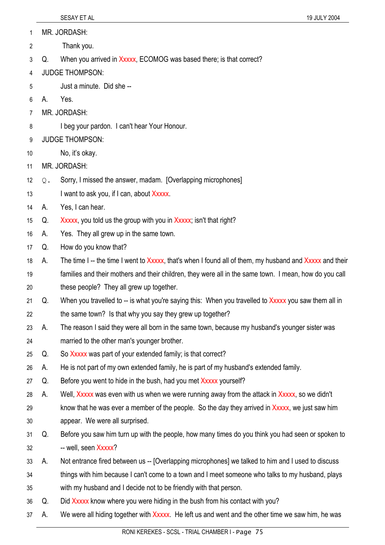1 MR. JORDASH:

- 2 Thank you.
- 3 Q. When you arrived in Xxxxx, ECOMOG was based there; is that correct?
- 4 JUDGE THOMPSON:
- 5 Just a minute. Did she --
- 6 A. Yes.
- 7 MR. JORDASH:
- 8 I beg your pardon. I can't hear Your Honour.
- 9 JUDGE THOMPSON:
- 10 No, it's okay.
- 11 MR. JORDASH:
- 12 Q. Sorry, I missed the answer, madam. [Overlapping microphones]
- 13 I want to ask you, if I can, about Xxxxx.
- 14 A. Yes, I can hear.
- 15 Q. Xxxxx, you told us the group with you in Xxxxx; isn't that right?
- 16 A. Yes. They all grew up in the same town.
- 17 Q. How do you know that?
- 18 A. The time I -- the time I went to Xxxxx, that's when I found all of them, my husband and Xxxxx and their
- 19 20 families and their mothers and their children, they were all in the same town. I mean, how do you call these people? They all grew up together.
- 21 22 Q. When you travelled to -- is what you're saying this: When you travelled to Xxxxx you saw them all in the same town? Is that why you say they grew up together?
- 23 24 A. The reason I said they were all born in the same town, because my husband's younger sister was married to the other man's younger brother.
- 25 Q. So Xxxxx was part of your extended family; is that correct?
- 26 A. He is not part of my own extended family, he is part of my husband's extended family.
- 27 Q. Before you went to hide in the bush, had you met Xxxxx yourself?
- 28 A. Well, Xxxxx was even with us when we were running away from the attack in Xxxxx, so we didn't
- 29 30 know that he was ever a member of the people. So the day they arrived in Xxxxx, we just saw him appear. We were all surprised.
- 31 32 Q. Before you saw him turn up with the people, how many times do you think you had seen or spoken to -- well, seen Xxxxx?
- 33 A. Not entrance fired between us -- [Overlapping microphones] we talked to him and I used to discuss
- 34 things with him because I can't come to a town and I meet someone who talks to my husband, plays
- 35 with my husband and I decide not to be friendly with that person.
- 36 Q. Did Xxxxx know where you were hiding in the bush from his contact with you?
- 37 A. We were all hiding together with Xxxxx. He left us and went and the other time we saw him, he was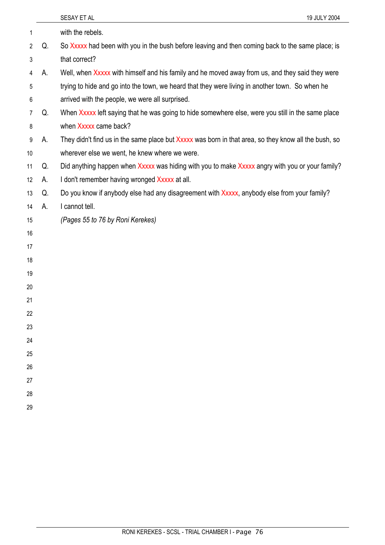|    |    | 19 JULY 2004<br>SESAY ET AL                                                                          |
|----|----|------------------------------------------------------------------------------------------------------|
| 1  |    | with the rebels.                                                                                     |
| 2  | Q. | So Xxxxx had been with you in the bush before leaving and then coming back to the same place; is     |
| 3  |    | that correct?                                                                                        |
| 4  | А. | Well, when Xxxxx with himself and his family and he moved away from us, and they said they were      |
| 5  |    | trying to hide and go into the town, we heard that they were living in another town. So when he      |
| 6  |    | arrived with the people, we were all surprised.                                                      |
| 7  | Q. | When Xxxxx left saying that he was going to hide somewhere else, were you still in the same place    |
| 8  |    | when Xxxxx came back?                                                                                |
| 9  | А. | They didn't find us in the same place but Xxxxx was born in that area, so they know all the bush, so |
| 10 |    | wherever else we went, he knew where we were.                                                        |
| 11 | Q. | Did anything happen when Xxxxx was hiding with you to make Xxxxx angry with you or your family?      |
| 12 | А. | I don't remember having wronged Xxxxx at all.                                                        |
| 13 | Q. | Do you know if anybody else had any disagreement with Xxxxx, anybody else from your family?          |
| 14 | А. | I cannot tell.                                                                                       |
| 15 |    | (Pages 55 to 76 by Roni Kerekes)                                                                     |
| 16 |    |                                                                                                      |
| 17 |    |                                                                                                      |
| 18 |    |                                                                                                      |
| 19 |    |                                                                                                      |
| 20 |    |                                                                                                      |
| 21 |    |                                                                                                      |
| 22 |    |                                                                                                      |
| 23 |    |                                                                                                      |
| 24 |    |                                                                                                      |
| 25 |    |                                                                                                      |
| 26 |    |                                                                                                      |
| 27 |    |                                                                                                      |
| 28 |    |                                                                                                      |
| 29 |    |                                                                                                      |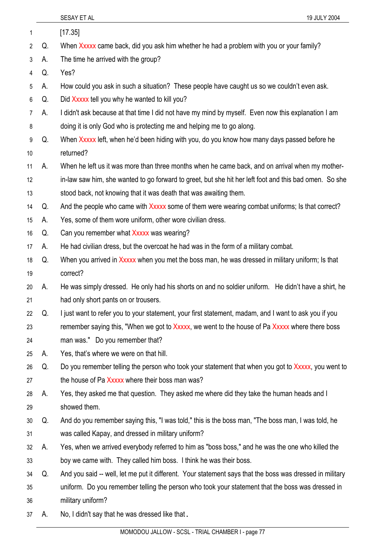|                 |    | SESAY ET AL<br>19 JULY 2004                                                                              |
|-----------------|----|----------------------------------------------------------------------------------------------------------|
| 1               |    | [17.35]                                                                                                  |
| $\overline{2}$  | Q. | When Xxxxx came back, did you ask him whether he had a problem with you or your family?                  |
| 3               | А. | The time he arrived with the group?                                                                      |
| 4               | Q. | Yes?                                                                                                     |
| 5               | А. | How could you ask in such a situation? These people have caught us so we couldn't even ask.              |
| 6               | Q. | Did Xxxxx tell you why he wanted to kill you?                                                            |
| $\overline{7}$  | А. | I didn't ask because at that time I did not have my mind by myself. Even now this explanation I am       |
| 8               |    | doing it is only God who is protecting me and helping me to go along.                                    |
| 9               | Q. | When Xxxxx left, when he'd been hiding with you, do you know how many days passed before he              |
| 10 <sup>°</sup> |    | returned?                                                                                                |
| 11              | А. | When he left us it was more than three months when he came back, and on arrival when my mother-          |
| 12              |    | in-law saw him, she wanted to go forward to greet, but she hit her left foot and this bad omen. So she   |
| 13              |    | stood back, not knowing that it was death that was awaiting them.                                        |
| 14              | Q. | And the people who came with Xxxxx some of them were wearing combat uniforms; Is that correct?           |
| 15              | А. | Yes, some of them wore uniform, other wore civilian dress.                                               |
| 16              | Q. | Can you remember what Xxxxx was wearing?                                                                 |
| 17              | А. | He had civilian dress, but the overcoat he had was in the form of a military combat.                     |
| 18              | Q. | When you arrived in Xxxxx when you met the boss man, he was dressed in military uniform; Is that         |
| 19              |    | correct?                                                                                                 |
| 20              | А. | He was simply dressed. He only had his shorts on and no soldier uniform. He didn't have a shirt, he      |
| 21              |    | had only short pants on or trousers.                                                                     |
| 22              | Q. | I just want to refer you to your statement, your first statement, madam, and I want to ask you if you    |
| 23              |    | remember saying this, "When we got to Xxxxx, we went to the house of Pa Xxxxx where there boss           |
| 24              |    | man was." Do you remember that?                                                                          |
| 25              | А. | Yes, that's where we were on that hill.                                                                  |
| 26              | Q. | Do you remember telling the person who took your statement that when you got to Xxxxx, you went to       |
| 27              |    | the house of Pa Xxxxx where their boss man was?                                                          |
| 28              | А. | Yes, they asked me that question. They asked me where did they take the human heads and I                |
| 29              |    | showed them.                                                                                             |
| 30              | Q. | And do you remember saying this, "I was told," this is the boss man, "The boss man, I was told, he       |
| 31              |    | was called Kapay, and dressed in military uniform?                                                       |
| 32              | А. | Yes, when we arrived everybody referred to him as "boss boss," and he was the one who killed the         |
| 33              |    | boy we came with. They called him boss. I think he was their boss.                                       |
| 34              | Q. | And you said -- well, let me put it different. Your statement says that the boss was dressed in military |
| 35              |    | uniform. Do you remember telling the person who took your statement that the boss was dressed in         |
| 36              |    | military uniform?                                                                                        |
| 37              | А. | No, I didn't say that he was dressed like that.                                                          |
|                 |    |                                                                                                          |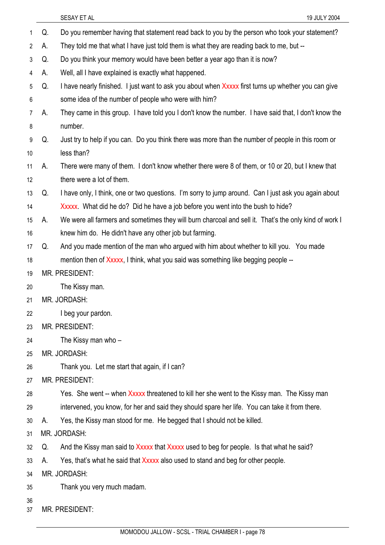| 1              | Q. | Do you remember having that statement read back to you by the person who took your statement?         |
|----------------|----|-------------------------------------------------------------------------------------------------------|
| $\overline{2}$ | А. | They told me that what I have just told them is what they are reading back to me, but --              |
| 3              | Q. | Do you think your memory would have been better a year ago than it is now?                            |
| 4              | А. | Well, all I have explained is exactly what happened.                                                  |
| 5              | Q. | I have nearly finished. I just want to ask you about when Xxxxx first turns up whether you can give   |
| 6              |    | some idea of the number of people who were with him?                                                  |
| 7              | А. | They came in this group. I have told you I don't know the number. I have said that, I don't know the  |
| 8              |    | number.                                                                                               |
| 9              | Q. | Just try to help if you can. Do you think there was more than the number of people in this room or    |
| 10             |    | less than?                                                                                            |
| 11             | А. | There were many of them. I don't know whether there were 8 of them, or 10 or 20, but I knew that      |
| 12             |    | there were a lot of them.                                                                             |
| 13             | Q. | I have only, I think, one or two questions. I'm sorry to jump around. Can I just ask you again about  |
| 14             |    | Xxxxx. What did he do? Did he have a job before you went into the bush to hide?                       |
| 15             | А. | We were all farmers and sometimes they will burn charcoal and sell it. That's the only kind of work I |
| 16             |    | knew him do. He didn't have any other job but farming.                                                |
| 17             | Q. | And you made mention of the man who argued with him about whether to kill you. You made               |
| 18             |    | mention then of Xxxxx, I think, what you said was something like begging people --                    |
| 19             |    | MR. PRESIDENT:                                                                                        |
| 20             |    | The Kissy man.                                                                                        |
| 21             |    | MR. JORDASH:                                                                                          |
| 22             |    | I beg your pardon.                                                                                    |
| 23             |    | <b>MR. PRESIDENT:</b>                                                                                 |
| 24             |    | The Kissy man who -                                                                                   |
| 25             |    | MR. JORDASH:                                                                                          |
| 26             |    | Thank you. Let me start that again, if I can?                                                         |
| 27             |    | <b>MR. PRESIDENT:</b>                                                                                 |
| 28             |    | Yes. She went -- when Xxxxx threatened to kill her she went to the Kissy man. The Kissy man           |
| 29             |    | intervened, you know, for her and said they should spare her life. You can take it from there.        |
| 30             | А. | Yes, the Kissy man stood for me. He begged that I should not be killed.                               |
| 31             |    | MR. JORDASH:                                                                                          |
| 32             | Q. | And the Kissy man said to Xxxxx that Xxxxx used to beg for people. Is that what he said?              |
| 33             | А. | Yes, that's what he said that Xxxxx also used to stand and beg for other people.                      |
| 34             |    | MR. JORDASH:                                                                                          |
| 35             |    | Thank you very much madam.                                                                            |
| 36             |    |                                                                                                       |

37 MR. PRESIDENT: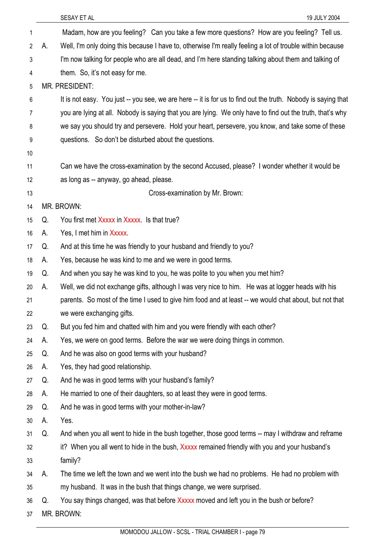| 1              |    | Madam, how are you feeling? Can you take a few more questions? How are you feeling? Tell us.                  |
|----------------|----|---------------------------------------------------------------------------------------------------------------|
| $\overline{2}$ | А. | Well, I'm only doing this because I have to, otherwise I'm really feeling a lot of trouble within because     |
| 3              |    | I'm now talking for people who are all dead, and I'm here standing talking about them and talking of          |
| 4              |    | them. So, it's not easy for me.                                                                               |
| 5              |    | MR. PRESIDENT:                                                                                                |
| 6              |    | It is not easy. You just -- you see, we are here -- it is for us to find out the truth. Nobody is saying that |
| 7              |    | you are lying at all. Nobody is saying that you are lying. We only have to find out the truth, that's why     |
| 8              |    | we say you should try and persevere. Hold your heart, persevere, you know, and take some of these             |
| 9              |    | questions. So don't be disturbed about the questions.                                                         |
| 10             |    |                                                                                                               |
| 11             |    | Can we have the cross-examination by the second Accused, please? I wonder whether it would be                 |
| 12             |    | as long as -- anyway, go ahead, please.                                                                       |
| 13             |    | Cross-examination by Mr. Brown:                                                                               |
| 14             |    | MR. BROWN:                                                                                                    |
| 15             | Q. | You first met Xxxxx in Xxxxx Is that true?                                                                    |
| 16             | А. | Yes, I met him in Xxxxx.                                                                                      |
| 17             | Q. | And at this time he was friendly to your husband and friendly to you?                                         |
| 18             | А. | Yes, because he was kind to me and we were in good terms.                                                     |
| 19             | Q. | And when you say he was kind to you, he was polite to you when you met him?                                   |
| 20             | А. | Well, we did not exchange gifts, although I was very nice to him. He was at logger heads with his             |
| 21             |    | parents. So most of the time I used to give him food and at least -- we would chat about, but not that        |
| 22             |    | we were exchanging gifts.                                                                                     |
| 23             | Q. | But you fed him and chatted with him and you were friendly with each other?                                   |
| 24             | А. | Yes, we were on good terms. Before the war we were doing things in common.                                    |
| 25             | Q. | And he was also on good terms with your husband?                                                              |
| 26             | А. | Yes, they had good relationship.                                                                              |
| 27             | Q. | And he was in good terms with your husband's family?                                                          |
| 28             | А. | He married to one of their daughters, so at least they were in good terms.                                    |
| 29             | Q. | And he was in good terms with your mother-in-law?                                                             |
| 30             | А. | Yes.                                                                                                          |
| 31             | Q. | And when you all went to hide in the bush together, those good terms -- may I withdraw and reframe            |
| 32             |    | it? When you all went to hide in the bush, Xxxxx remained friendly with you and your husband's                |
| 33             |    | family?                                                                                                       |
| 34             | А. | The time we left the town and we went into the bush we had no problems. He had no problem with                |
| 35             |    | my husband. It was in the bush that things change, we were surprised.                                         |
| 36             | Q. | You say things changed, was that before Xxxxx moved and left you in the bush or before?                       |
| 37             |    | MR. BROWN:                                                                                                    |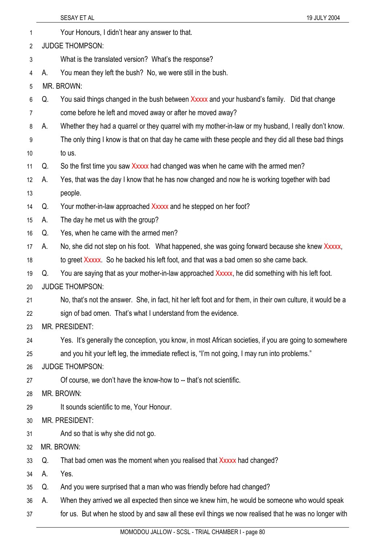| 1              |    | Your Honours, I didn't hear any answer to that.                                                              |
|----------------|----|--------------------------------------------------------------------------------------------------------------|
| 2              |    | <b>JUDGE THOMPSON:</b>                                                                                       |
| 3              |    | What is the translated version? What's the response?                                                         |
| 4              | А. | You mean they left the bush? No, we were still in the bush.                                                  |
| 5              |    | MR. BROWN:                                                                                                   |
| 6              | Q. | You said things changed in the bush between Xxxxx and your husband's family. Did that change                 |
| $\overline{7}$ |    | come before he left and moved away or after he moved away?                                                   |
| 8              | А. | Whether they had a quarrel or they quarrel with my mother-in-law or my husband, I really don't know.         |
| 9              |    | The only thing I know is that on that day he came with these people and they did all these bad things        |
| 10             |    | to us.                                                                                                       |
| 11             | Q. | So the first time you saw Xxxxx had changed was when he came with the armed men?                             |
| 12             | А. | Yes, that was the day I know that he has now changed and now he is working together with bad                 |
| 13             |    | people.                                                                                                      |
| 14             | Q. | Your mother-in-law approached Xxxxx and he stepped on her foot?                                              |
| 15             | А. | The day he met us with the group?                                                                            |
| 16             | Q. | Yes, when he came with the armed men?                                                                        |
| 17             | А. | No, she did not step on his foot. What happened, she was going forward because she knew Xxxxx,               |
| 18             |    | to greet Xxxxx. So he backed his left foot, and that was a bad omen so she came back.                        |
| 19             | Q. | You are saying that as your mother-in-law approached Xxxxx, he did something with his left foot.             |
| 20             |    | <b>JUDGE THOMPSON:</b>                                                                                       |
| 21             |    | No, that's not the answer. She, in fact, hit her left foot and for them, in their own culture, it would be a |
| 22             |    | sign of bad omen. That's what I understand from the evidence.                                                |
| 23             |    | <b>MR. PRESIDENT:</b>                                                                                        |
| 24             |    | Yes. It's generally the conception, you know, in most African societies, if you are going to somewhere       |
| 25             |    | and you hit your left leg, the immediate reflect is, "I'm not going, I may run into problems."               |
| 26             |    | <b>JUDGE THOMPSON:</b>                                                                                       |
| 27             |    | Of course, we don't have the know-how to -- that's not scientific.                                           |
| 28             |    | MR. BROWN:                                                                                                   |
| 29             |    | It sounds scientific to me, Your Honour.                                                                     |
| 30             |    | <b>MR. PRESIDENT:</b>                                                                                        |
| 31             |    | And so that is why she did not go.                                                                           |
| 32             |    | MR. BROWN:                                                                                                   |
| 33             | Q. | That bad omen was the moment when you realised that Xxxxx had changed?                                       |
| 34             | А. | Yes.                                                                                                         |
| 35             | Q. | And you were surprised that a man who was friendly before had changed?                                       |
| 36             | А. | When they arrived we all expected then since we knew him, he would be someone who would speak                |
| 37             |    | for us. But when he stood by and saw all these evil things we now realised that he was no longer with        |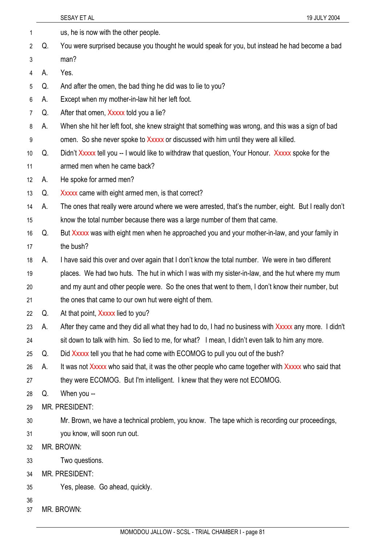|          |                       | 19 JULY 2004<br>SESAY ET AL                                                                           |  |
|----------|-----------------------|-------------------------------------------------------------------------------------------------------|--|
| 1        |                       | us, he is now with the other people.                                                                  |  |
| 2        | Q.                    | You were surprised because you thought he would speak for you, but instead he had become a bad        |  |
| 3        |                       | man?                                                                                                  |  |
| 4        | А.                    | Yes.                                                                                                  |  |
| 5        | Q.                    | And after the omen, the bad thing he did was to lie to you?                                           |  |
| 6        | А.                    | Except when my mother-in-law hit her left foot.                                                       |  |
| 7        | Q.                    | After that omen, Xxxxx told you a lie?                                                                |  |
| 8        | А.                    | When she hit her left foot, she knew straight that something was wrong, and this was a sign of bad    |  |
| 9        |                       | omen. So she never spoke to Xxxxx or discussed with him until they were all killed.                   |  |
| 10       | Q.                    | Didn't Xxxxx tell you -- I would like to withdraw that question, Your Honour. Xxxxx spoke for the     |  |
| 11       |                       | armed men when he came back?                                                                          |  |
| 12       | А.                    | He spoke for armed men?                                                                               |  |
| 13       | Q.                    | Xxxxx came with eight armed men, is that correct?                                                     |  |
| 14       | А.                    | The ones that really were around where we were arrested, that's the number, eight. But I really don't |  |
| 15       |                       | know the total number because there was a large number of them that came.                             |  |
| 16       | Q.                    | But Xxxxx was with eight men when he approached you and your mother-in-law, and your family in        |  |
| 17       |                       | the bush?                                                                                             |  |
| 18       | А.                    | I have said this over and over again that I don't know the total number. We were in two different     |  |
| 19       |                       | places. We had two huts. The hut in which I was with my sister-in-law, and the hut where my mum       |  |
| 20       |                       | and my aunt and other people were. So the ones that went to them, I don't know their number, but      |  |
| 21       |                       | the ones that came to our own hut were eight of them.                                                 |  |
| 22       | Q.                    | At that point, Xxxxx lied to you?                                                                     |  |
| 23       | А.                    | After they came and they did all what they had to do, I had no business with Xxxxx any more. I didn't |  |
| 24       |                       | sit down to talk with him. So lied to me, for what? I mean, I didn't even talk to him any more.       |  |
| 25       | Q.                    | Did Xxxxx tell you that he had come with ECOMOG to pull you out of the bush?                          |  |
| 26       | А.                    | It was not Xxxxx who said that, it was the other people who came together with Xxxxx who said that    |  |
| 27       |                       | they were ECOMOG. But I'm intelligent. I knew that they were not ECOMOG.                              |  |
| 28       | Q.                    | When you --                                                                                           |  |
| 29       |                       | MR. PRESIDENT:                                                                                        |  |
| 30       |                       | Mr. Brown, we have a technical problem, you know. The tape which is recording our proceedings,        |  |
| 31       |                       | you know, will soon run out.                                                                          |  |
| 32       |                       | MR. BROWN:                                                                                            |  |
| 33       |                       | Two questions.                                                                                        |  |
| 34       | <b>MR. PRESIDENT:</b> |                                                                                                       |  |
| 35       |                       | Yes, please. Go ahead, quickly.                                                                       |  |
| 36<br>37 |                       | MR. BROWN:                                                                                            |  |
|          |                       |                                                                                                       |  |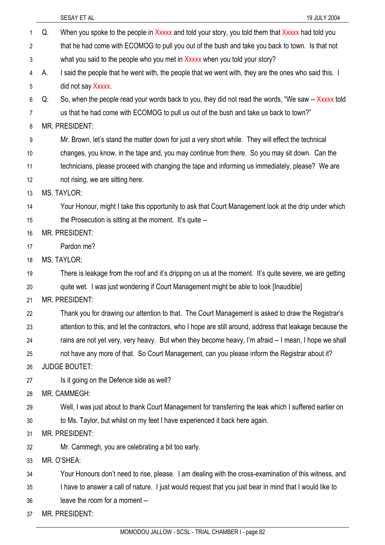|                |    | 19 JULY 2004<br>SESAY ET AL                                                                               |
|----------------|----|-----------------------------------------------------------------------------------------------------------|
| 1              | Q. | When you spoke to the people in Xxxxx and told your story, you told them that Xxxxx had told you          |
| $\overline{2}$ |    | that he had come with ECOMOG to pull you out of the bush and take you back to town. Is that not           |
| 3              |    | what you said to the people who you met in Xxxxx when you told your story?                                |
| 4              | А. | I said the people that he went with, the people that we went with, they are the ones who said this. I     |
| 5              |    | did not say Xxxxx.                                                                                        |
| 6              | Q. | So, when the people read your words back to you, they did not read the words, "We saw -- Xxxxx told       |
| 7              |    | us that he had come with ECOMOG to pull us out of the bush and take us back to town?"                     |
| 8              |    | MR. PRESIDENT:                                                                                            |
| 9              |    | Mr. Brown, let's stand the matter down for just a very short while. They will effect the technical        |
| 10             |    | changes, you know, in the tape and, you may continue from there. So you may sit down. Can the             |
| 11             |    | technicians, please proceed with changing the tape and informing us immediately, please? We are           |
| 12             |    | not rising, we are sitting here.                                                                          |
| 13             |    | <b>MS. TAYLOR:</b>                                                                                        |
| 14             |    | Your Honour, might I take this opportunity to ask that Court Management look at the drip under which      |
| 15             |    | the Prosecution is sitting at the moment. It's quite --                                                   |
| 16             |    | <b>MR. PRESIDENT:</b>                                                                                     |
| 17             |    | Pardon me?                                                                                                |
| 18             |    | <b>MS. TAYLOR:</b>                                                                                        |
| 19             |    | There is leakage from the roof and it's dripping on us at the moment. It's quite severe, we are getting   |
| 20             |    | quite wet. I was just wondering if Court Management might be able to look [Inaudible]                     |
| 21             |    | MR. PRESIDENT:                                                                                            |
| 22             |    | Thank you for drawing our attention to that. The Court Management is asked to draw the Registrar's        |
| 23             |    | attention to this, and let the contractors, who I hope are still around, address that leakage because the |
| 24             |    | rains are not yet very, very heavy. But when they become heavy, I'm afraid -- I mean, I hope we shall     |
| 25             |    | not have any more of that. So Court Management, can you please inform the Registrar about it?             |
| 26             |    | <b>JUDGE BOUTET:</b>                                                                                      |
| 27             |    | Is it going on the Defence side as well?                                                                  |
| 28             |    | MR. CAMMEGH:                                                                                              |
| 29             |    | Well, I was just about to thank Court Management for transferring the leak which I suffered earlier on    |
| 30             |    | to Ms. Taylor, but whilst on my feet I have experienced it back here again.                               |
| 31             |    | MR. PRESIDENT:                                                                                            |
| 32             |    | Mr. Cammegh, you are celebrating a bit too early.                                                         |
| 33             |    | MR. O'SHEA:                                                                                               |
| 34             |    | Your Honours don't need to rise, please. I am dealing with the cross-examination of this witness, and     |
| 35             |    | I have to answer a call of nature. I just would request that you just bear in mind that I would like to   |
| 36             |    | leave the room for a moment --                                                                            |
| 37             |    | MR. PRESIDENT:                                                                                            |
|                |    | MOMODOU INTOWE COOL TOTAL CUAMPER L. 2022-00                                                              |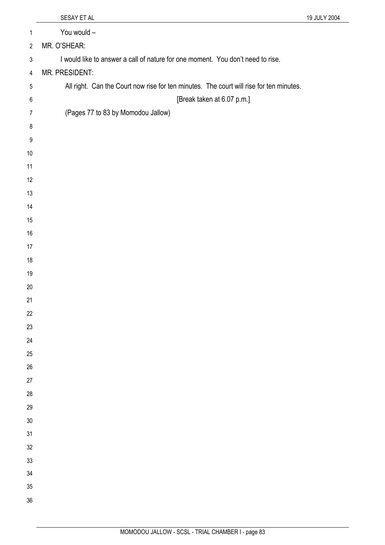|                  | SESAY ET AL                                                                             | 19 JULY 2004 |
|------------------|-----------------------------------------------------------------------------------------|--------------|
| 1                | You would -                                                                             |              |
| $\overline{2}$   | MR. O'SHEAR:                                                                            |              |
| $\mathfrak{Z}$   | I would like to answer a call of nature for one moment. You don't need to rise.         |              |
| 4                | MR. PRESIDENT:                                                                          |              |
| 5                | All right. Can the Court now rise for ten minutes. The court will rise for ten minutes. |              |
| 6                | [Break taken at 6.07 p.m.]                                                              |              |
| $\overline{7}$   | (Pages 77 to 83 by Momodou Jallow)                                                      |              |
| 8                |                                                                                         |              |
| $9\,$            |                                                                                         |              |
| 10               |                                                                                         |              |
| 11               |                                                                                         |              |
| 12               |                                                                                         |              |
| 13               |                                                                                         |              |
| 14               |                                                                                         |              |
| 15               |                                                                                         |              |
| 16               |                                                                                         |              |
| 17               |                                                                                         |              |
| 18               |                                                                                         |              |
| 19               |                                                                                         |              |
| 20               |                                                                                         |              |
| 21               |                                                                                         |              |
| 22               |                                                                                         |              |
| 23               |                                                                                         |              |
| 24               |                                                                                         |              |
| 25               |                                                                                         |              |
| $26\,$           |                                                                                         |              |
| $27\,$<br>$28\,$ |                                                                                         |              |
| 29               |                                                                                         |              |
| $30\,$           |                                                                                         |              |
| 31               |                                                                                         |              |
| 32               |                                                                                         |              |
| $33\,$           |                                                                                         |              |
| $34\,$           |                                                                                         |              |
| 35               |                                                                                         |              |
| 36               |                                                                                         |              |
|                  |                                                                                         |              |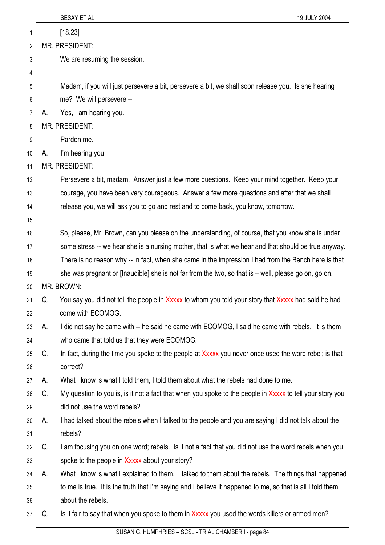|    |    | SESAY ET AL<br>19 JULY 2004                                                                                |
|----|----|------------------------------------------------------------------------------------------------------------|
| 1  |    | [18.23]                                                                                                    |
| 2  |    | <b>MR. PRESIDENT:</b>                                                                                      |
| 3  |    | We are resuming the session.                                                                               |
| 4  |    |                                                                                                            |
| 5  |    | Madam, if you will just persevere a bit, persevere a bit, we shall soon release you. Is she hearing        |
| 6  |    | me? We will persevere --                                                                                   |
| 7  | А. | Yes, I am hearing you.                                                                                     |
| 8  |    | MR. PRESIDENT:                                                                                             |
| 9  |    | Pardon me.                                                                                                 |
| 10 | А. | I'm hearing you.                                                                                           |
| 11 |    | MR. PRESIDENT:                                                                                             |
| 12 |    | Persevere a bit, madam. Answer just a few more questions. Keep your mind together. Keep your               |
| 13 |    | courage, you have been very courageous. Answer a few more questions and after that we shall                |
| 14 |    | release you, we will ask you to go and rest and to come back, you know, tomorrow.                          |
| 15 |    |                                                                                                            |
| 16 |    | So, please, Mr. Brown, can you please on the understanding, of course, that you know she is under          |
| 17 |    | some stress -- we hear she is a nursing mother, that is what we hear and that should be true anyway.       |
| 18 |    | There is no reason why -- in fact, when she came in the impression I had from the Bench here is that       |
| 19 |    | she was pregnant or [lnaudible] she is not far from the two, so that is $-$ well, please go on, go on.     |
| 20 |    | MR. BROWN:                                                                                                 |
| 21 | Q. | You say you did not tell the people in Xxxxx to whom you told your story that Xxxxx had said he had        |
| 22 |    | come with ECOMOG.                                                                                          |
| 23 | А. | I did not say he came with -- he said he came with ECOMOG, I said he came with rebels. It is them          |
| 24 |    | who came that told us that they were ECOMOG.                                                               |
| 25 | Q. | In fact, during the time you spoke to the people at Xxxxx you never once used the word rebel; is that      |
| 26 |    | correct?                                                                                                   |
| 27 | А. | What I know is what I told them, I told them about what the rebels had done to me.                         |
| 28 | Q. | My question to you is, is it not a fact that when you spoke to the people in Xxxxx to tell your story you  |
| 29 |    | did not use the word rebels?                                                                               |
| 30 | А. | I had talked about the rebels when I talked to the people and you are saying I did not talk about the      |
| 31 |    | rebels?                                                                                                    |
| 32 | Q. | I am focusing you on one word; rebels. Is it not a fact that you did not use the word rebels when you      |
| 33 |    | spoke to the people in Xxxxx about your story?                                                             |
| 34 | А. | What I know is what I explained to them. I talked to them about the rebels. The things that happened       |
| 35 |    | to me is true. It is the truth that I'm saying and I believe it happened to me, so that is all I told them |
| 36 |    | about the rebels.                                                                                          |
| 37 | Q. | Is it fair to say that when you spoke to them in Xxxxx you used the words killers or armed men?            |
|    |    |                                                                                                            |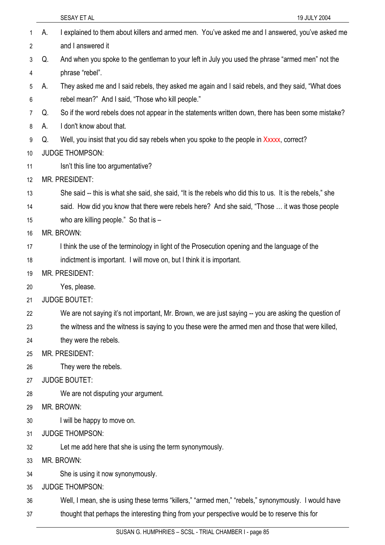|    |    | SESAY ET AL<br>19 JULY 2004                                                                               |
|----|----|-----------------------------------------------------------------------------------------------------------|
| 1  | А. | I explained to them about killers and armed men. You've asked me and I answered, you've asked me          |
| 2  |    | and I answered it                                                                                         |
| 3  | Q. | And when you spoke to the gentleman to your left in July you used the phrase "armed men" not the          |
| 4  |    | phrase "rebel".                                                                                           |
| 5  | А. | They asked me and I said rebels, they asked me again and I said rebels, and they said, "What does         |
| 6  |    | rebel mean?" And I said, "Those who kill people."                                                         |
| 7  | Q. | So if the word rebels does not appear in the statements written down, there has been some mistake?        |
| 8  | А. | I don't know about that.                                                                                  |
| 9  | Q. | Well, you insist that you did say rebels when you spoke to the people in Xxxxx, correct?                  |
| 10 |    | <b>JUDGE THOMPSON:</b>                                                                                    |
| 11 |    | Isn't this line too argumentative?                                                                        |
| 12 |    | MR. PRESIDENT:                                                                                            |
| 13 |    | She said -- this is what she said, she said, "It is the rebels who did this to us. It is the rebels," she |
| 14 |    | said. How did you know that there were rebels here? And she said, "Those  it was those people             |
| 15 |    | who are killing people." So that is $-$                                                                   |
| 16 |    | MR. BROWN:                                                                                                |
| 17 |    | I think the use of the terminology in light of the Prosecution opening and the language of the            |
| 18 |    | indictment is important. I will move on, but I think it is important.                                     |
| 19 |    | MR. PRESIDENT:                                                                                            |
| 20 |    | Yes, please.                                                                                              |
| 21 |    | <b>JUDGE BOUTET:</b>                                                                                      |
| 22 |    | We are not saying it's not important, Mr. Brown, we are just saying -- you are asking the question of     |
| 23 |    | the witness and the witness is saying to you these were the armed men and those that were killed,         |
| 24 |    | they were the rebels.                                                                                     |
| 25 |    | <b>MR. PRESIDENT:</b>                                                                                     |
| 26 |    | They were the rebels.                                                                                     |
| 27 |    | <b>JUDGE BOUTET:</b>                                                                                      |
| 28 |    | We are not disputing your argument.                                                                       |
| 29 |    | MR. BROWN:                                                                                                |
| 30 |    | I will be happy to move on.                                                                               |
| 31 |    | <b>JUDGE THOMPSON:</b>                                                                                    |
| 32 |    | Let me add here that she is using the term synonymously.                                                  |
| 33 |    | MR. BROWN:                                                                                                |
| 34 |    | She is using it now synonymously.                                                                         |
| 35 |    | <b>JUDGE THOMPSON:</b>                                                                                    |
| 36 |    | Well, I mean, she is using these terms "killers," "armed men," "rebels," synonymously. I would have       |
| 37 |    | thought that perhaps the interesting thing from your perspective would be to reserve this for             |
|    |    |                                                                                                           |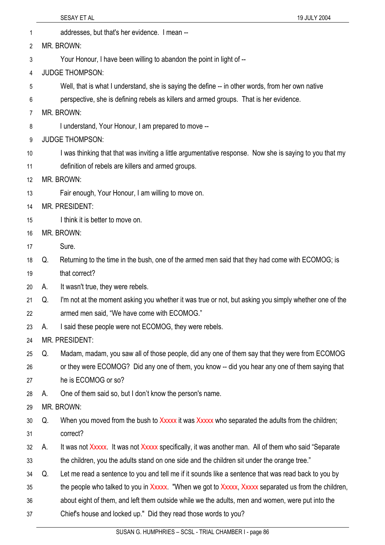1 addresses, but that's her evidence. I mean -- 2 3 4 5 6 7 8 9 10 11 12 13 14 15 MR. BROWN: Your Honour, I have been willing to abandon the point in light of -- JUDGE THOMPSON: Well, that is what I understand, she is saying the define -- in other words, from her own native perspective, she is defining rebels as killers and armed groups. That is her evidence. MR. BROWN: I understand, Your Honour, I am prepared to move -- JUDGE THOMPSON: I was thinking that that was inviting a little argumentative response. Now she is saying to you that my definition of rebels are killers and armed groups. MR. BROWN: Fair enough, Your Honour, I am willing to move on. MR. PRESIDENT: I think it is better to move on.

- 16 MR. BROWN:
- 17 Sure.
- 18 19 Q. Returning to the time in the bush, one of the armed men said that they had come with ECOMOG; is that correct?
- 20 A. It wasn't true, they were rebels.
- 21 22 Q. I'm not at the moment asking you whether it was true or not, but asking you simply whether one of the armed men said, "We have come with ECOMOG."
- 23 A. I said these people were not ECOMOG, they were rebels.

24 MR. PRESIDENT:

- 25 Q. Madam, madam, you saw all of those people, did any one of them say that they were from ECOMOG
- 26 or they were ECOMOG? Did any one of them, you know -- did you hear any one of them saying that
- 27 he is ECOMOG or so?
- 28 A. One of them said so, but I don't know the person's name.
- 29 MR. BROWN:
- 30 31 Q. When you moved from the bush to Xxxxx it was Xxxxx who separated the adults from the children; correct?
- 32 33 A. It was not Xxxxx. It was not Xxxxx specifically, it was another man. All of them who said "Separate" the children, you the adults stand on one side and the children sit under the orange tree."
- 34 Q. Let me read a sentence to you and tell me if it sounds like a sentence that was read back to you by
- 35 the people who talked to you in Xxxxx. "When we got to Xxxxx, Xxxxx separated us from the children,
- 36 about eight of them, and left them outside while we the adults, men and women, were put into the
- 37 Chief's house and locked up." Did they read those words to you?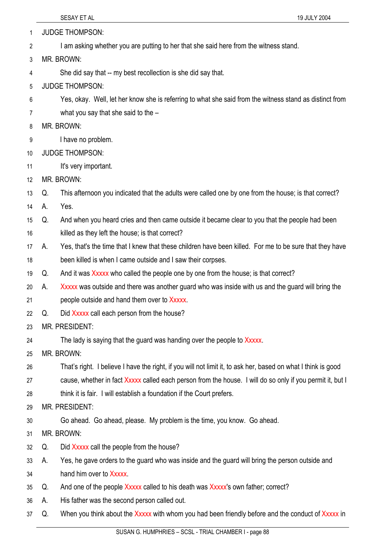| 1 | <b>JUDGE THOMPSON:</b> |  |
|---|------------------------|--|
|---|------------------------|--|

- I am asking whether you are putting to her that she said here from the witness stand. 2
- 3 MR. BROWN:
- 4 She did say that -- my best recollection is she did say that.
- 5 JUDGE THOMPSON:
- 6 Yes, okay. Well, let her know she is referring to what she said from the witness stand as distinct from
- 7 what you say that she said to the –
- 8 MR. BROWN:
- 9 I have no problem.
- 10 JUDGE THOMPSON:
- 11 It's very important.
- 12 MR. BROWN:
- 13 Q. This afternoon you indicated that the adults were called one by one from the house; is that correct?
- 14 A. Yes.
- 15 Q. And when you heard cries and then came outside it became clear to you that the people had been
- 16 killed as they left the house; is that correct?
- 17 18 A. Yes, that's the time that I knew that these children have been killed. For me to be sure that they have been killed is when I came outside and I saw their corpses.
- 19 Q. And it was Xxxxx who called the people one by one from the house; is that correct?
- 20 21 A. Xxxxx was outside and there was another guard who was inside with us and the guard will bring the people outside and hand them over to Xxxxx.
- 22 Q. Did Xxxxx call each person from the house?
- 23 MR. PRESIDENT:
- 24 The lady is saying that the guard was handing over the people to Xxxxx.
- 25 MR. BROWN:
- 26 That's right. I believe I have the right, if you will not limit it, to ask her, based on what I think is good
- 27 cause, whether in fact Xxxxx called each person from the house. I will do so only if you permit it, but I
- 28 think it is fair. I will establish a foundation if the Court prefers.
- 29 MR. PRESIDENT:
- 30 Go ahead. Go ahead, please. My problem is the time, you know. Go ahead.
- 31 MR. BROWN:
- 32 Q. Did Xxxxx call the people from the house?
- 33 A. Yes, he gave orders to the guard who was inside and the guard will bring the person outside and
- 34 hand him over to Xxxxx.
- 35 Q. And one of the people Xxxxx called to his death was Xxxxx's own father; correct?
- 36 A. His father was the second person called out.
- 37 Q. When you think about the Xxxxx with whom you had been friendly before and the conduct of Xxxxx in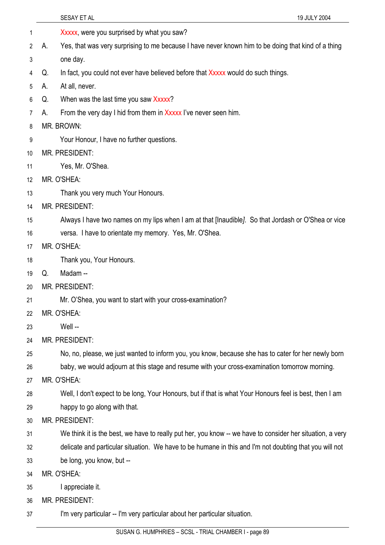|    | SESAY ET AL<br>19 JULY 2004                                                                               |
|----|-----------------------------------------------------------------------------------------------------------|
| 1  | Xxxxx, were you surprised by what you saw?                                                                |
| 2  | Yes, that was very surprising to me because I have never known him to be doing that kind of a thing<br>А. |
| 3  | one day.                                                                                                  |
| 4  | In fact, you could not ever have believed before that Xxxxx would do such things.<br>Q.                   |
| 5  | At all, never.<br>А.                                                                                      |
| 6  | When was the last time you saw Xxxxx?<br>Q.                                                               |
| 7  | From the very day I hid from them in Xxxxx I've never seen him.<br>А.                                     |
| 8  | MR. BROWN:                                                                                                |
| 9  | Your Honour, I have no further questions.                                                                 |
| 10 | MR. PRESIDENT:                                                                                            |
| 11 | Yes, Mr. O'Shea.                                                                                          |
| 12 | MR. O'SHEA:                                                                                               |
| 13 | Thank you very much Your Honours.                                                                         |
| 14 | <b>MR. PRESIDENT:</b>                                                                                     |
| 15 | Always I have two names on my lips when I am at that [Inaudible]. So that Jordash or O'Shea or vice       |
| 16 | versa. I have to orientate my memory. Yes, Mr. O'Shea.                                                    |
| 17 | MR. O'SHEA:                                                                                               |
| 18 | Thank you, Your Honours.                                                                                  |
| 19 | Madam-<br>Q.                                                                                              |
| 20 | MR. PRESIDENT:                                                                                            |
| 21 | Mr. O'Shea, you want to start with your cross-examination?                                                |
| 22 | MR. O'SHEA:                                                                                               |
| 23 | Well --                                                                                                   |
| 24 | MR. PRESIDENT:                                                                                            |
| 25 | No, no, please, we just wanted to inform you, you know, because she has to cater for her newly born       |
| 26 | baby, we would adjourn at this stage and resume with your cross-examination tomorrow morning.             |
| 27 | MR. O'SHEA:                                                                                               |
| 28 | Well, I don't expect to be long, Your Honours, but if that is what Your Honours feel is best, then I am   |
| 29 | happy to go along with that.                                                                              |
| 30 | <b>MR. PRESIDENT:</b>                                                                                     |
| 31 | We think it is the best, we have to really put her, you know -- we have to consider her situation, a very |
| 32 | delicate and particular situation. We have to be humane in this and I'm not doubting that you will not    |
| 33 | be long, you know, but --                                                                                 |
| 34 | MR. O'SHEA:                                                                                               |
| 35 | I appreciate it.                                                                                          |
| 36 | <b>MR. PRESIDENT:</b>                                                                                     |
| 37 | I'm very particular -- I'm very particular about her particular situation.                                |
|    |                                                                                                           |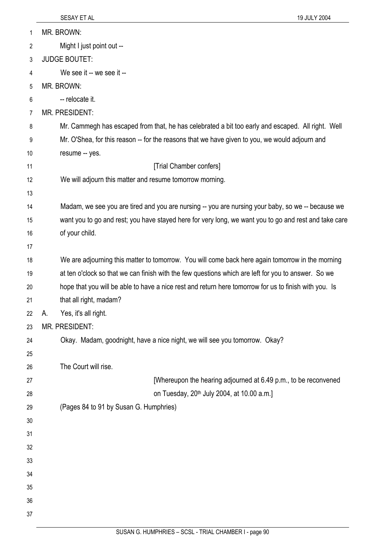| 1  | MR. BROWN:                                                                                            |
|----|-------------------------------------------------------------------------------------------------------|
| 2  | Might I just point out --                                                                             |
| 3  | <b>JUDGE BOUTET:</b>                                                                                  |
| 4  | We see it -- we see it --                                                                             |
| 5  | MR. BROWN:                                                                                            |
| 6  | -- relocate it.                                                                                       |
| 7  | MR. PRESIDENT:                                                                                        |
| 8  | Mr. Cammegh has escaped from that, he has celebrated a bit too early and escaped. All right. Well     |
| 9  | Mr. O'Shea, for this reason -- for the reasons that we have given to you, we would adjourn and        |
| 10 | resume -- yes.                                                                                        |
| 11 | [Trial Chamber confers]                                                                               |
| 12 | We will adjourn this matter and resume tomorrow morning.                                              |
| 13 |                                                                                                       |
| 14 | Madam, we see you are tired and you are nursing -- you are nursing your baby, so we -- because we     |
| 15 | want you to go and rest; you have stayed here for very long, we want you to go and rest and take care |
| 16 | of your child.                                                                                        |
| 17 |                                                                                                       |
| 18 | We are adjourning this matter to tomorrow. You will come back here again tomorrow in the morning      |
| 19 | at ten o'clock so that we can finish with the few questions which are left for you to answer. So we   |
| 20 | hope that you will be able to have a nice rest and return here tomorrow for us to finish with you. Is |
| 21 | that all right, madam?                                                                                |
| 22 | Yes, it's all right.<br>А.                                                                            |
| 23 | MR. PRESIDENT:                                                                                        |
| 24 | Okay. Madam, goodnight, have a nice night, we will see you tomorrow. Okay?                            |
| 25 |                                                                                                       |
| 26 | The Court will rise.                                                                                  |
| 27 | [Whereupon the hearing adjourned at 6.49 p.m., to be reconvened                                       |
| 28 | on Tuesday, 20 <sup>th</sup> July 2004, at 10.00 a.m.]                                                |
| 29 | (Pages 84 to 91 by Susan G. Humphries)                                                                |
| 30 |                                                                                                       |
| 31 |                                                                                                       |
| 32 |                                                                                                       |
| 33 |                                                                                                       |
| 34 |                                                                                                       |
| 35 |                                                                                                       |
| 36 |                                                                                                       |
| 37 |                                                                                                       |